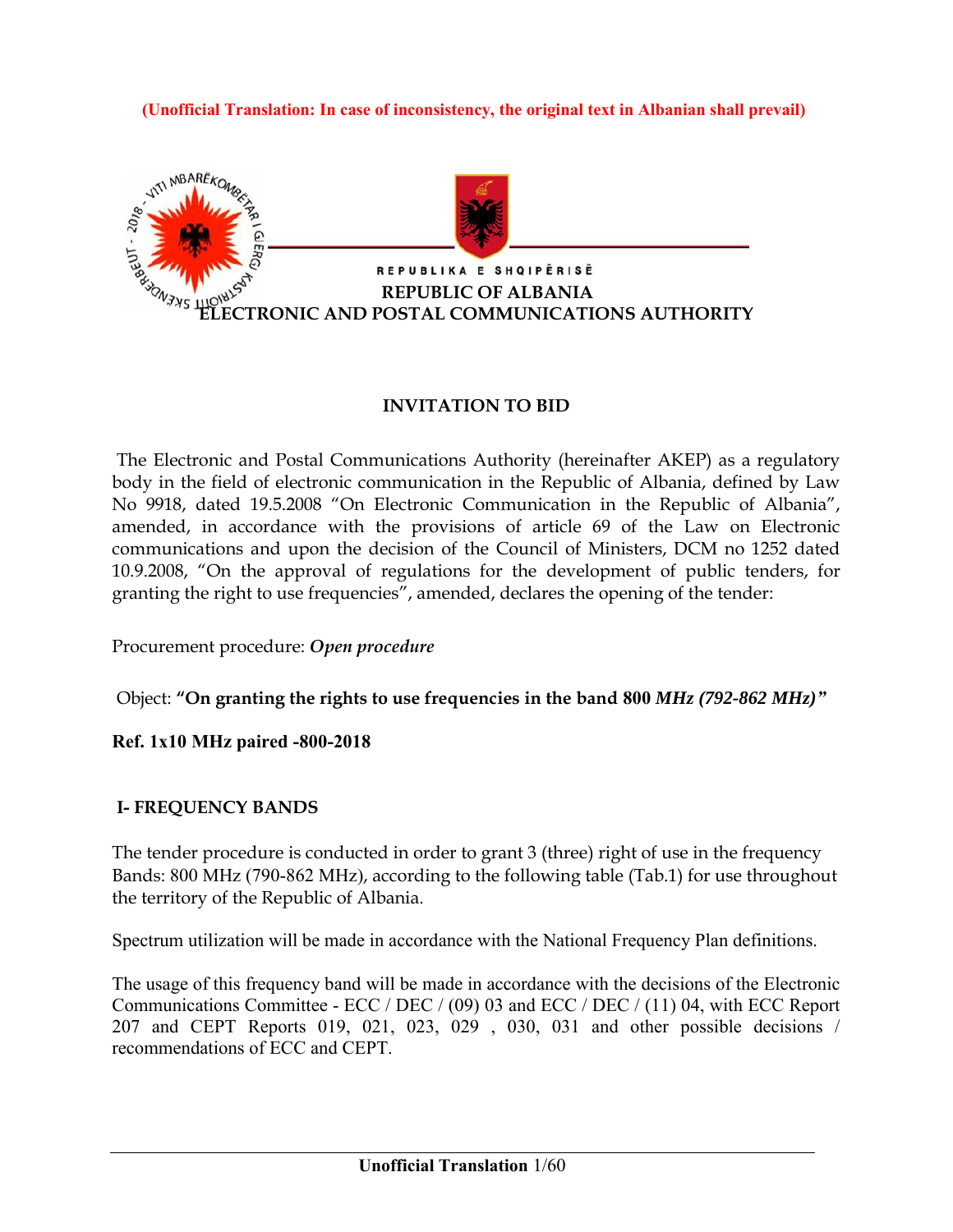**(Unofficial Translation: In case of inconsistency, the original text in Albanian shall prevail)**



#### **INVITATION TO BID**

The Electronic and Postal Communications Authority (hereinafter AKEP) as a regulatory body in the field of electronic communication in the Republic of Albania, defined by Law No 9918, dated 19.5.2008 "On Electronic Communication in the Republic of Albania", amended, in accordance with the provisions of article 69 of the Law on Electronic communications and upon the decision of the Council of Ministers, DCM no 1252 dated 10.9.2008, "On the approval of regulations for the development of public tenders, for granting the right to use frequencies", amended, declares the opening of the tender:

Procurement procedure: *Open procedure*

Object: **"On granting the rights to use frequencies in the band 800** *MHz (792-862 MHz)"*

**Ref. 1x10 MHz paired -800-2018** 

#### **I- FREQUENCY BANDS**

The tender procedure is conducted in order to grant 3 (three) right of use in the frequency Bands: 800 MHz (790-862 MHz), according to the following table (Tab.1) for use throughout the territory of the Republic of Albania.

Spectrum utilization will be made in accordance with the National Frequency Plan definitions.

The usage of this frequency band will be made in accordance with the decisions of the Electronic Communications Committee - ECC / DEC / (09) 03 and ECC / DEC / (11) 04, with ECC Report 207 and CEPT Reports 019, 021, 023, 029 , 030, 031 and other possible decisions / recommendations of ECC and CEPT.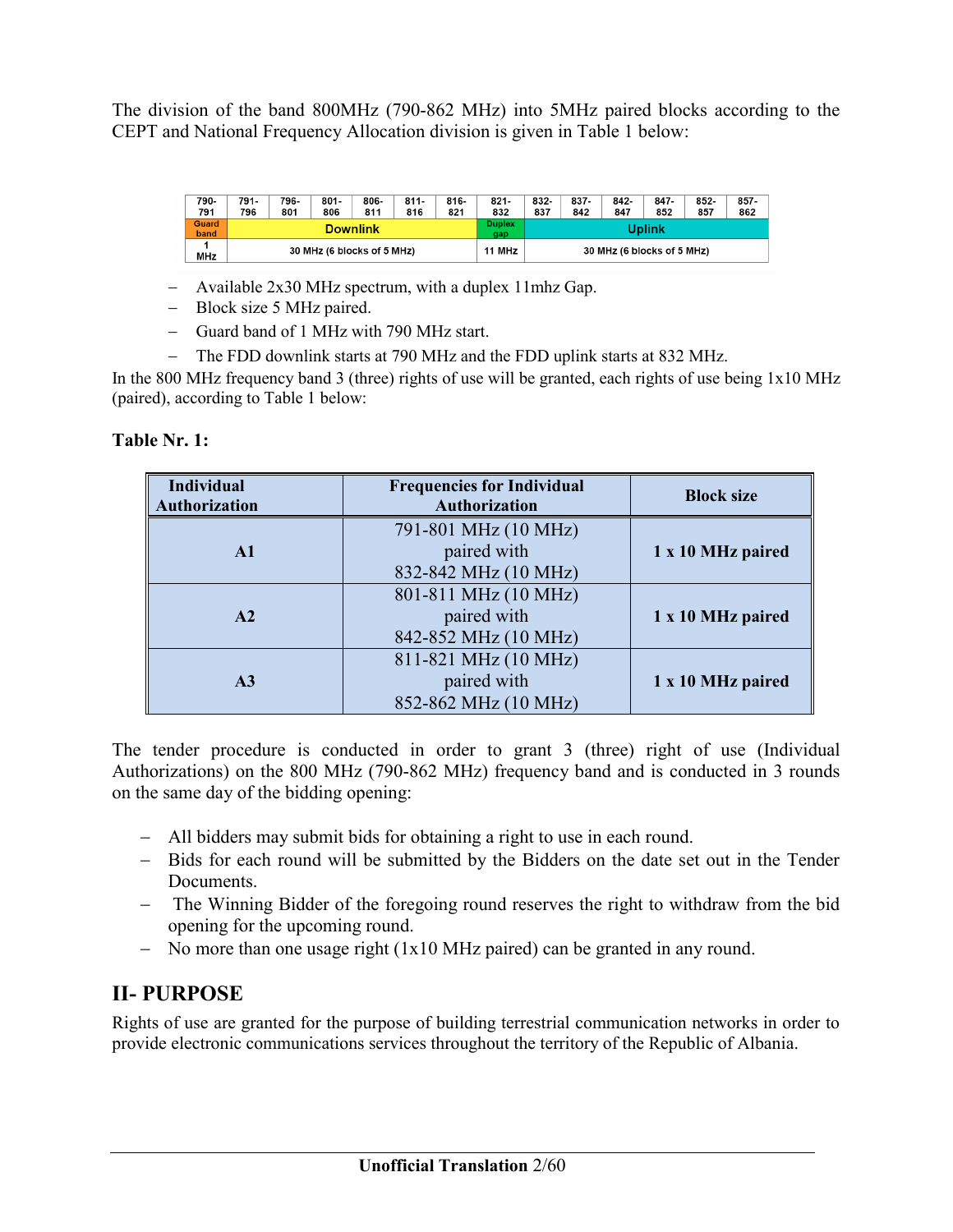The division of the band 800MHz (790-862 MHz) into 5MHz paired blocks according to the CEPT and National Frequency Allocation division is given in Table 1 below:

| 790-<br>791          | 791-<br>796                | 796-<br>801 | $801 -$<br>806 | 806-<br>811          | $811 -$<br>816 | $816 -$<br>821 | $821 -$<br>832 | 832-<br>837                | 837-<br>842 | 842-<br>847 | $847 -$<br>852 | 852-<br>857 | $857 -$<br>862 |
|----------------------|----------------------------|-------------|----------------|----------------------|----------------|----------------|----------------|----------------------------|-------------|-------------|----------------|-------------|----------------|
| <b>Guard</b><br>band | <b>Downlink</b>            |             |                | <b>Duplex</b><br>gap |                |                |                | Uplink                     |             |             |                |             |                |
| <b>MHz</b>           | 30 MHz (6 blocks of 5 MHz) |             |                | 11 MHz               |                |                |                | 30 MHz (6 blocks of 5 MHz) |             |             |                |             |                |

- Available 2x30 MHz spectrum, with a duplex 11mhz Gap.
- Block size 5 MHz paired.
- Guard band of 1 MHz with 790 MHz start.
- The FDD downlink starts at 790 MHz and the FDD uplink starts at 832 MHz.

In the 800 MHz frequency band 3 (three) rights of use will be granted, each rights of use being  $1x10$  MHz (paired), according to Table 1 below:

| <b>Individual</b><br><b>Authorization</b> | <b>Frequencies for Individual</b><br>Authorization          | <b>Block size</b> |
|-------------------------------------------|-------------------------------------------------------------|-------------------|
| $\mathbf{A}1$                             | 791-801 MHz (10 MHz)<br>paired with<br>832-842 MHz (10 MHz) | 1 x 10 MHz paired |
| A2                                        | 801-811 MHz (10 MHz)<br>paired with<br>842-852 MHz (10 MHz) | 1 x 10 MHz paired |
| A <sub>3</sub>                            | 811-821 MHz (10 MHz)<br>paired with<br>852-862 MHz (10 MHz) | 1 x 10 MHz paired |

The tender procedure is conducted in order to grant 3 (three) right of use (Individual Authorizations) on the 800 MHz (790-862 MHz) frequency band and is conducted in 3 rounds on the same day of the bidding opening:

- All bidders may submit bids for obtaining a right to use in each round.
- Bids for each round will be submitted by the Bidders on the date set out in the Tender Documents.
- The Winning Bidder of the foregoing round reserves the right to withdraw from the bid opening for the upcoming round.
- No more than one usage right (1x10 MHz paired) can be granted in any round.

### **II- PURPOSE**

Rights of use are granted for the purpose of building terrestrial communication networks in order to provide electronic communications services throughout the territory of the Republic of Albania.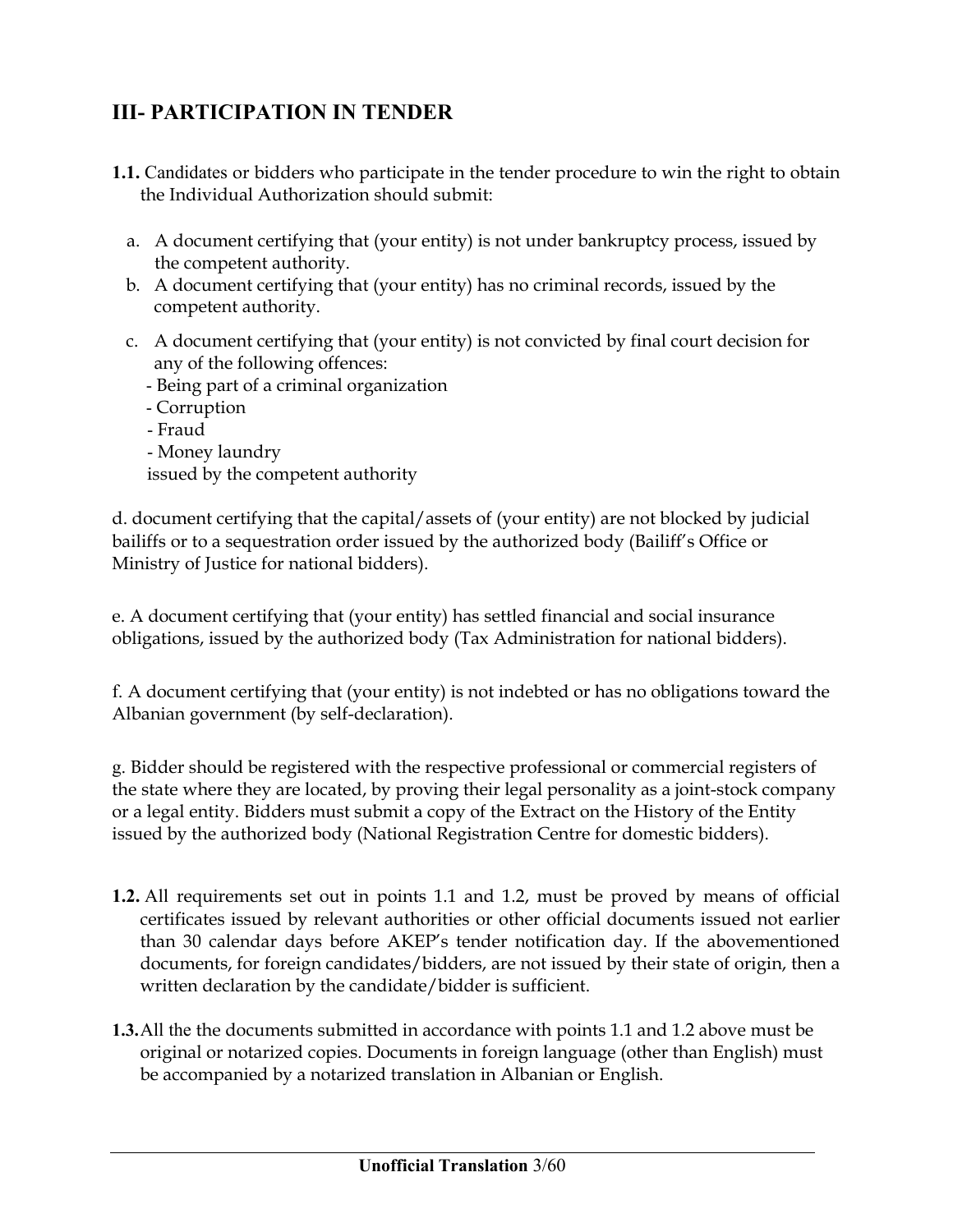## **III- PARTICIPATION IN TENDER**

- **1.1.** Candidates or bidders who participate in the tender procedure to win the right to obtain the Individual Authorization should submit:
	- a. A document certifying that (your entity) is not under bankruptcy process, issued by the competent authority.
	- b. A document certifying that (your entity) has no criminal records, issued by the competent authority.
	- c. A document certifying that (your entity) is not convicted by final court decision for any of the following offences:
		- Being part of a criminal organization
		- Corruption
		- Fraud - Money laundry issued by the competent authority

d. document certifying that the capital/assets of (your entity) are not blocked by judicial bailiffs or to a sequestration order issued by the authorized body (Bailiff's Office or Ministry of Justice for national bidders).

e. A document certifying that (your entity) has settled financial and social insurance obligations, issued by the authorized body (Tax Administration for national bidders).

f. A document certifying that (your entity) is not indebted or has no obligations toward the Albanian government (by self-declaration).

g. Bidder should be registered with the respective professional or commercial registers of the state where they are located, by proving their legal personality as a joint-stock company or a legal entity. Bidders must submit a copy of the Extract on the History of the Entity issued by the authorized body (National Registration Centre for domestic bidders).

- **1.2.** All requirements set out in points 1.1 and 1.2, must be proved by means of official certificates issued by relevant authorities or other official documents issued not earlier than 30 calendar days before AKEP's tender notification day. If the abovementioned documents, for foreign candidates/bidders, are not issued by their state of origin, then a written declaration by the candidate/bidder is sufficient.
- **1.3.**All the the documents submitted in accordance with points 1.1 and 1.2 above must be original or notarized copies. Documents in foreign language (other than English) must be accompanied by a notarized translation in Albanian or English.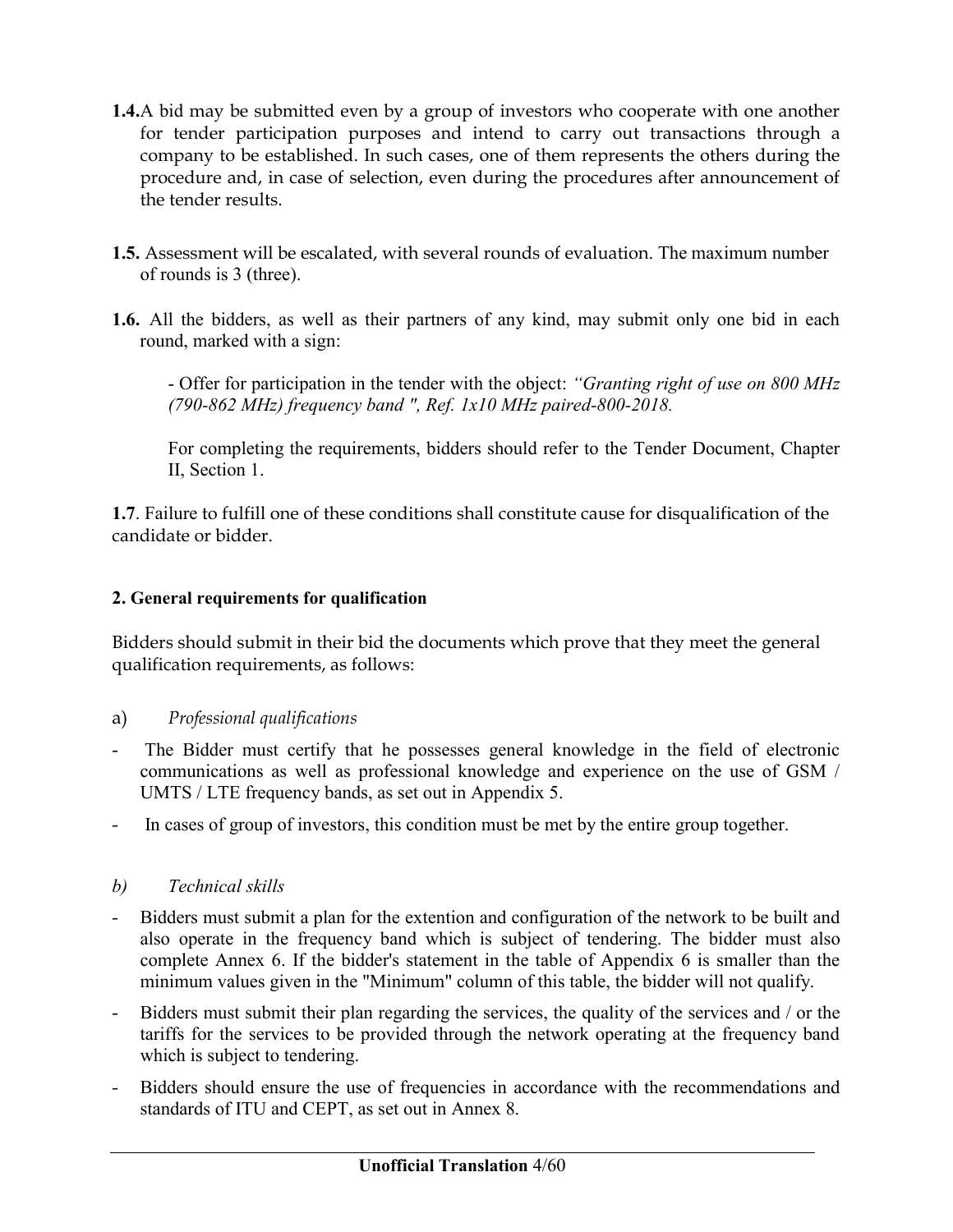- **1.4.**A bid may be submitted even by a group of investors who cooperate with one another for tender participation purposes and intend to carry out transactions through a company to be established. In such cases, one of them represents the others during the procedure and, in case of selection, even during the procedures after announcement of the tender results.
- **1.5.** Assessment will be escalated, with several rounds of evaluation. The maximum number of rounds is 3 (three).
- **1.6.** All the bidders, as well as their partners of any kind, may submit only one bid in each round, marked with a sign:

- Offer for participation in the tender with the object: *"Granting right of use on 800 MHz (790-862 MHz) frequency band ", Ref. 1x10 MHz paired-800-2018.* 

For completing the requirements, bidders should refer to the Tender Document, Chapter II, Section 1.

**1.7**. Failure to fulfill one of these conditions shall constitute cause for disqualification of the candidate or bidder.

#### **2. General requirements for qualification**

Bidders should submit in their bid the documents which prove that they meet the general qualification requirements, as follows:

#### a) *Professional qualifications*

- The Bidder must certify that he possesses general knowledge in the field of electronic communications as well as professional knowledge and experience on the use of GSM / UMTS / LTE frequency bands, as set out in Appendix 5.
- In cases of group of investors, this condition must be met by the entire group together.

### *b) Technical skills*

- Bidders must submit a plan for the extention and configuration of the network to be built and also operate in the frequency band which is subject of tendering. The bidder must also complete Annex 6. If the bidder's statement in the table of Appendix 6 is smaller than the minimum values given in the "Minimum" column of this table, the bidder will not qualify.
- Bidders must submit their plan regarding the services, the quality of the services and / or the tariffs for the services to be provided through the network operating at the frequency band which is subject to tendering.
- Bidders should ensure the use of frequencies in accordance with the recommendations and standards of ITU and CEPT, as set out in Annex 8.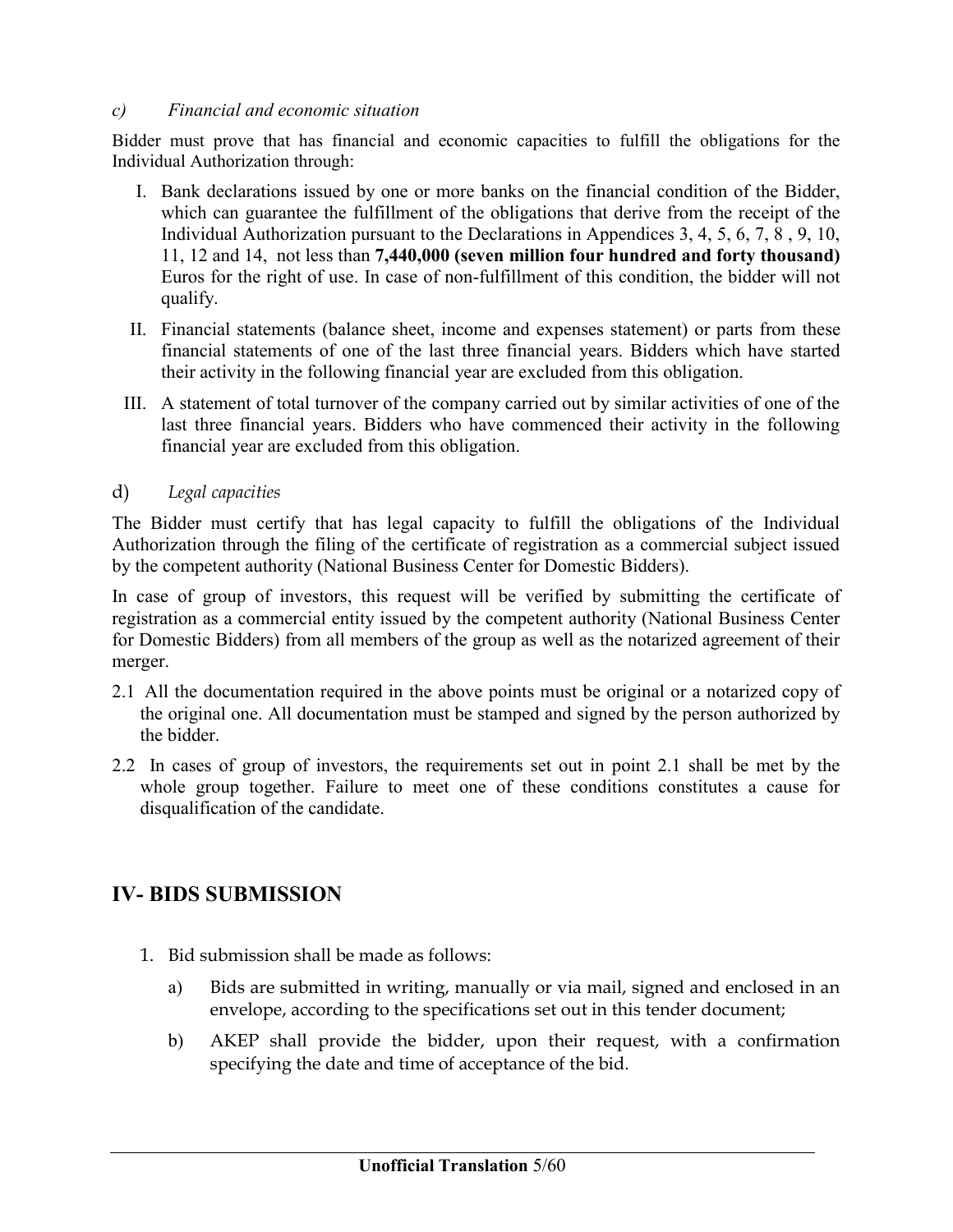#### *c) Financial and economic situation*

Bidder must prove that has financial and economic capacities to fulfill the obligations for the Individual Authorization through:

- I. Bank declarations issued by one or more banks on the financial condition of the Bidder, which can guarantee the fulfillment of the obligations that derive from the receipt of the Individual Authorization pursuant to the Declarations in Appendices 3, 4, 5, 6, 7, 8 , 9, 10, 11, 12 and 14, not less than **7,440,000 (seven million four hundred and forty thousand)** Euros for the right of use. In case of non-fulfillment of this condition, the bidder will not qualify.
- II. Financial statements (balance sheet, income and expenses statement) or parts from these financial statements of one of the last three financial years. Bidders which have started their activity in the following financial year are excluded from this obligation.
- III. A statement of total turnover of the company carried out by similar activities of one of the last three financial years. Bidders who have commenced their activity in the following financial year are excluded from this obligation.
- d) *Legal capacities*

The Bidder must certify that has legal capacity to fulfill the obligations of the Individual Authorization through the filing of the certificate of registration as a commercial subject issued by the competent authority (National Business Center for Domestic Bidders).

In case of group of investors, this request will be verified by submitting the certificate of registration as a commercial entity issued by the competent authority (National Business Center for Domestic Bidders) from all members of the group as well as the notarized agreement of their merger.

- 2.1 All the documentation required in the above points must be original or a notarized copy of the original one. All documentation must be stamped and signed by the person authorized by the bidder.
- 2.2 In cases of group of investors, the requirements set out in point 2.1 shall be met by the whole group together. Failure to meet one of these conditions constitutes a cause for disqualification of the candidate.

## **IV- BIDS SUBMISSION**

- 1. Bid submission shall be made as follows:
	- a) Bids are submitted in writing, manually or via mail, signed and enclosed in an envelope, according to the specifications set out in this tender document;
	- b) AKEP shall provide the bidder, upon their request, with a confirmation specifying the date and time of acceptance of the bid.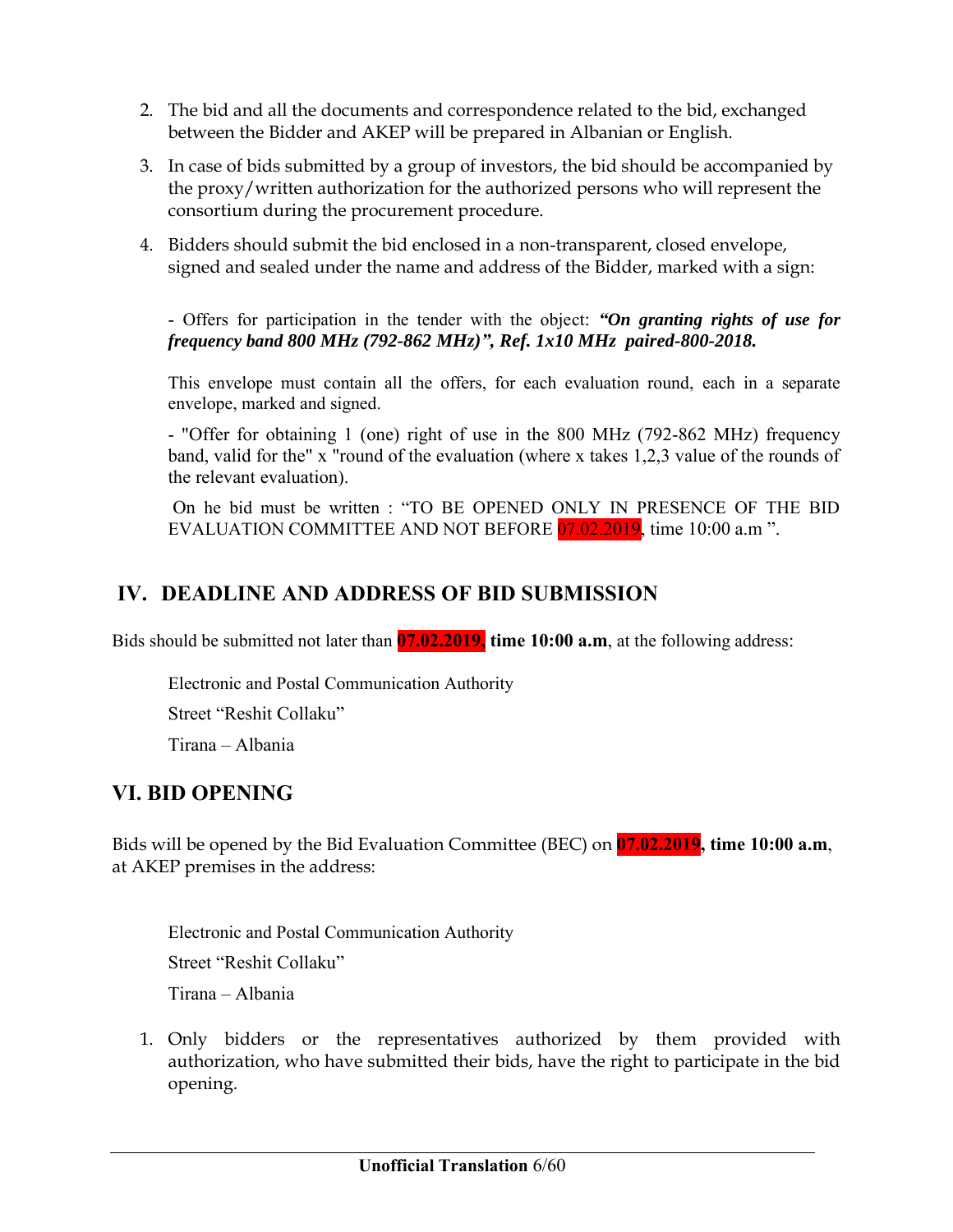- 2. The bid and all the documents and correspondence related to the bid, exchanged between the Bidder and AKEP will be prepared in Albanian or English.
- 3. In case of bids submitted by a group of investors, the bid should be accompanied by the proxy/written authorization for the authorized persons who will represent the consortium during the procurement procedure.
- 4. Bidders should submit the bid enclosed in a non-transparent, closed envelope, signed and sealed under the name and address of the Bidder, marked with a sign:

- Offers for participation in the tender with the object: *"On granting rights of use for frequency band 800 MHz (792-862 MHz)", Ref. 1x10 MHz paired-800-2018.*

This envelope must contain all the offers, for each evaluation round, each in a separate envelope, marked and signed.

- "Offer for obtaining 1 (one) right of use in the 800 MHz (792-862 MHz) frequency band, valid for the" x "round of the evaluation (where x takes 1,2,3 value of the rounds of the relevant evaluation).

On he bid must be written : "TO BE OPENED ONLY IN PRESENCE OF THE BID EVALUATION COMMITTEE AND NOT BEFORE 07.02.2019, time 10:00 a.m ".

## **IV. DEADLINE AND ADDRESS OF BID SUBMISSION**

Bids should be submitted not later than **07.02.2019, time 10:00 a.m**, at the following address:

Electronic and Postal Communication Authority Street "Reshit Collaku" Tirana – Albania

## **VI. BID OPENING**

Bids will be opened by the Bid Evaluation Committee (BEC) on **07.02.2019, time 10:00 a.m**, at AKEP premises in the address:

Electronic and Postal Communication Authority Street "Reshit Collaku" Tirana – Albania

1. Only bidders or the representatives authorized by them provided with authorization, who have submitted their bids, have the right to participate in the bid opening.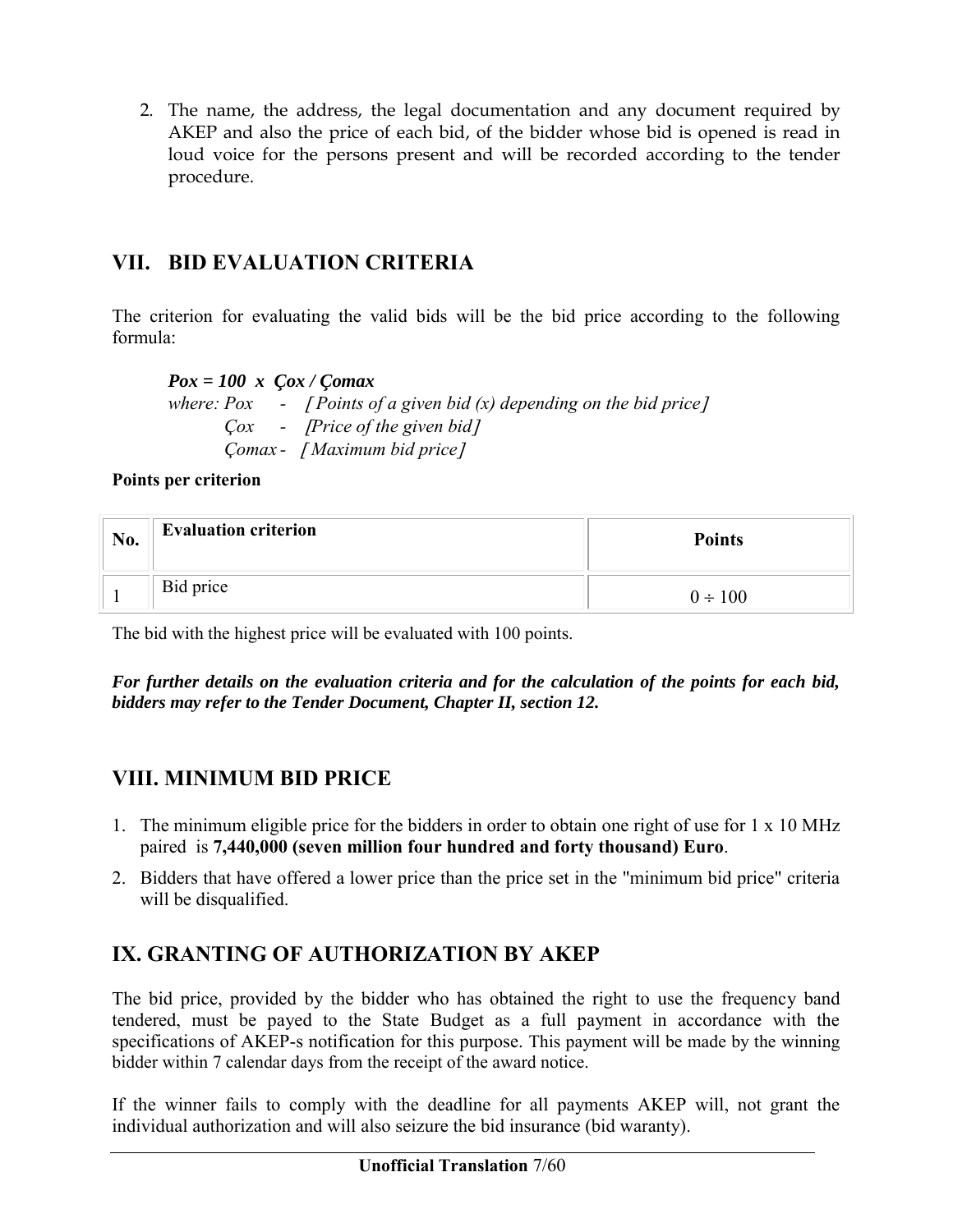2. The name, the address, the legal documentation and any document required by AKEP and also the price of each bid, of the bidder whose bid is opened is read in loud voice for the persons present and will be recorded according to the tender procedure.

## **VII. BID EVALUATION CRITERIA**

The criterion for evaluating the valid bids will be the bid price according to the following formula:

*Pox = 100 x Çox / Çomax where: Pox - Points of a given bid (x) depending on the bid price Çox - Price of the given bid Çomax - Maximum bid price*

**Points per criterion**

| No. | <b>Evaluation criterion</b> | <b>Points</b> |
|-----|-----------------------------|---------------|
|     | Bid price                   | $0 \div 100$  |

The bid with the highest price will be evaluated with 100 points.

*For further details on the evaluation criteria and for the calculation of the points for each bid, bidders may refer to the Tender Document, Chapter II, section 12.*

## **VIII. MINIMUM BID PRICE**

- 1. The minimum eligible price for the bidders in order to obtain one right of use for 1 x 10 MHz paired is **7,440,000 (seven million four hundred and forty thousand) Euro**.
- 2. Bidders that have offered a lower price than the price set in the "minimum bid price" criteria will be disqualified.

## **IX. GRANTING OF AUTHORIZATION BY AKEP**

The bid price, provided by the bidder who has obtained the right to use the frequency band tendered, must be payed to the State Budget as a full payment in accordance with the specifications of AKEP-s notification for this purpose. This payment will be made by the winning bidder within 7 calendar days from the receipt of the award notice.

If the winner fails to comply with the deadline for all payments AKEP will, not grant the individual authorization and will also seizure the bid insurance (bid waranty).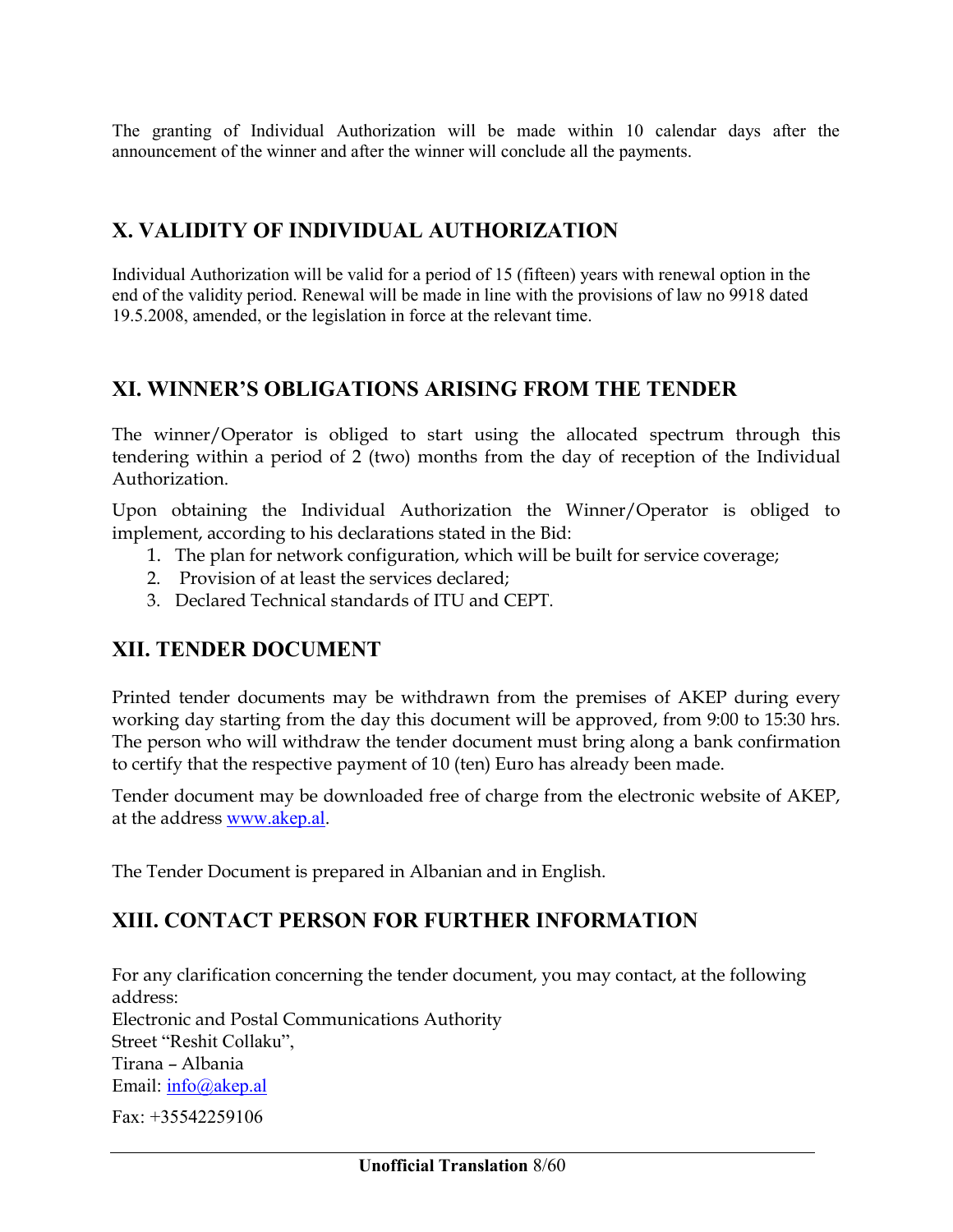The granting of Individual Authorization will be made within 10 calendar days after the announcement of the winner and after the winner will conclude all the payments.

## **X. VALIDITY OF INDIVIDUAL AUTHORIZATION**

Individual Authorization will be valid for a period of 15 (fifteen) years with renewal option in the end of the validity period. Renewal will be made in line with the provisions of law no 9918 dated 19.5.2008, amended, or the legislation in force at the relevant time.

### **XI. WINNER'S OBLIGATIONS ARISING FROM THE TENDER**

The winner/Operator is obliged to start using the allocated spectrum through this tendering within a period of 2 (two) months from the day of reception of the Individual Authorization.

Upon obtaining the Individual Authorization the Winner/Operator is obliged to implement, according to his declarations stated in the Bid:

- 1. The plan for network configuration, which will be built for service coverage;
- 2. Provision of at least the services declared;
- 3. Declared Technical standards of ITU and CEPT.

## **XII. TENDER DOCUMENT**

Printed tender documents may be withdrawn from the premises of AKEP during every working day starting from the day this document will be approved, from 9:00 to 15:30 hrs. The person who will withdraw the tender document must bring along a bank confirmation to certify that the respective payment of 10 (ten) Euro has already been made.

Tender document may be downloaded free of charge from the electronic website of AKEP, at the address [www.akep.al.](http://www.akep.al/)

The Tender Document is prepared in Albanian and in English.

### **XIII. CONTACT PERSON FOR FURTHER INFORMATION**

For any clarification concerning the tender document, you may contact, at the following address: Electronic and Postal Communications Authority Street "Reshit Collaku", Tirana – Albania Email: [info@akep.al](mailto:info@akep.al)

 $Fax + 35542259106$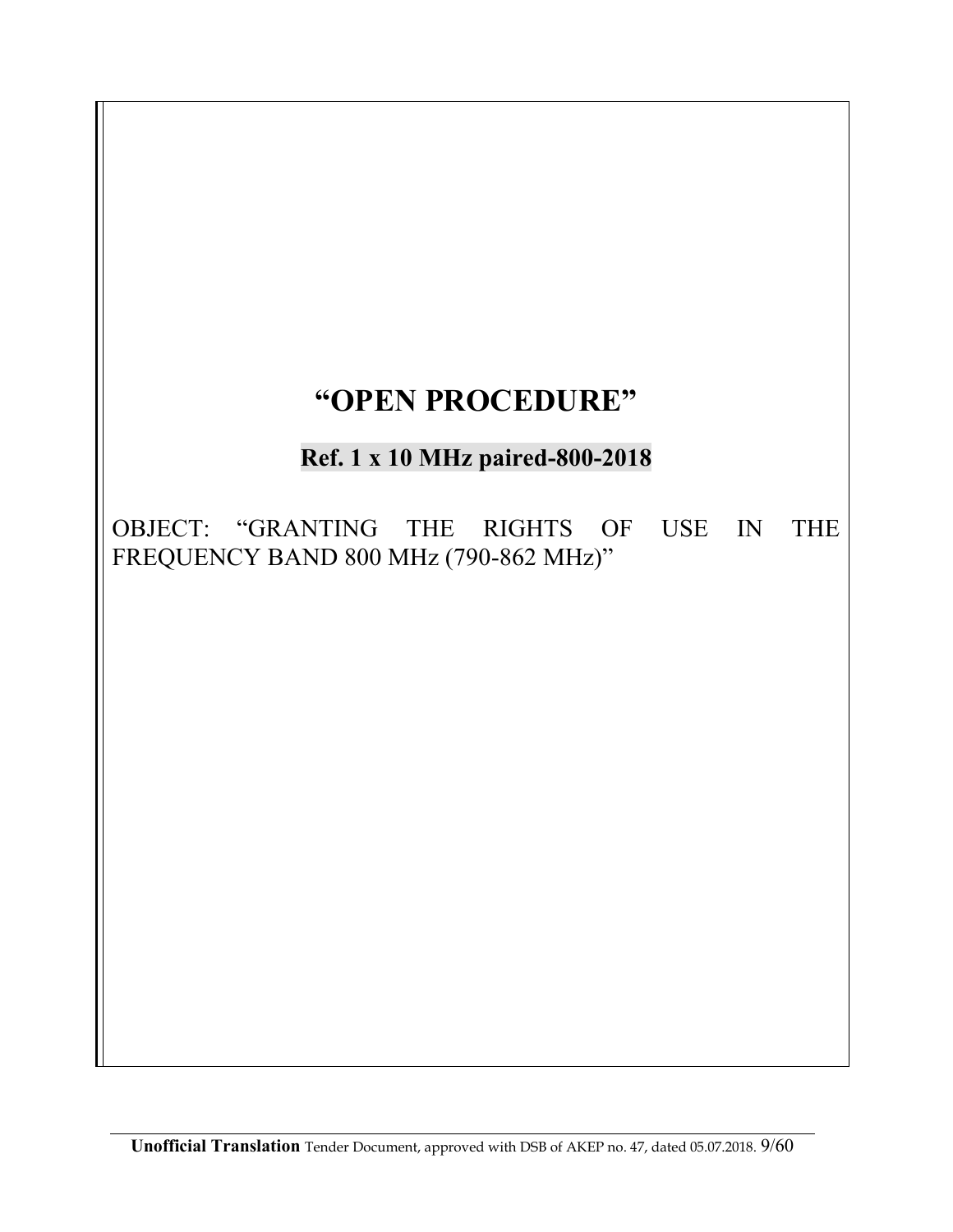# **"OPEN PROCEDURE"**

# **Ref. 1 x 10 MHz paired-800-2018**

OBJECT: "GRANTING THE RIGHTS OF USE IN THE FREQUENCY BAND 800 MHz (790-862 MHz)"

**Unofficial Translation** Tender Document, approved with DSB of AKEP no. 47, dated 05.07.2018. 9/60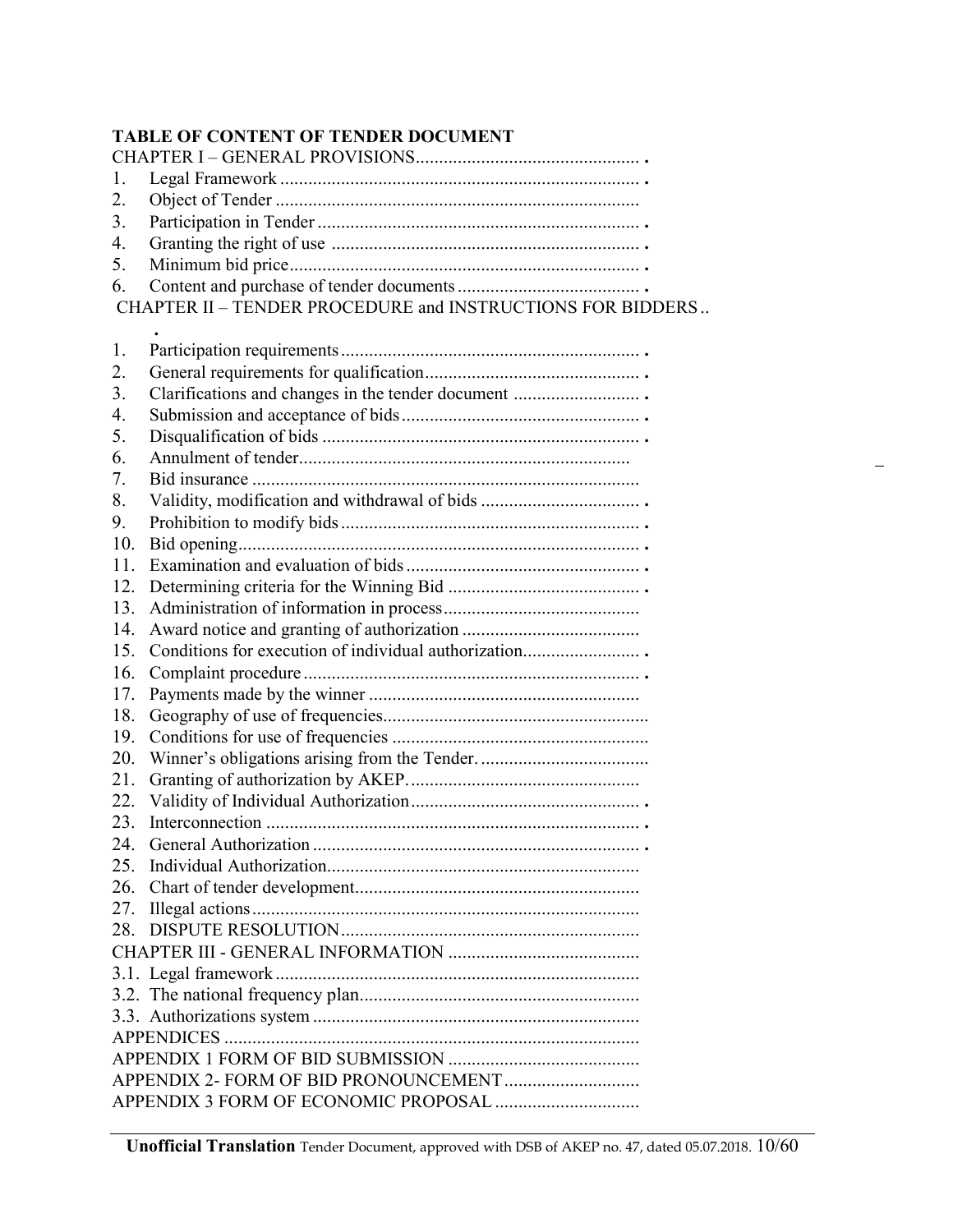### **TABLE OF CONTENT OF TENDER DOCUMENT**

| 1.  |                                                                   |  |  |  |  |  |
|-----|-------------------------------------------------------------------|--|--|--|--|--|
| 2.  |                                                                   |  |  |  |  |  |
| 3.  |                                                                   |  |  |  |  |  |
| 4.  |                                                                   |  |  |  |  |  |
| 5.  |                                                                   |  |  |  |  |  |
| 6.  |                                                                   |  |  |  |  |  |
|     | <b>CHAPTER II - TENDER PROCEDURE and INSTRUCTIONS FOR BIDDERS</b> |  |  |  |  |  |
|     |                                                                   |  |  |  |  |  |
| 1.  |                                                                   |  |  |  |  |  |
| 2.  |                                                                   |  |  |  |  |  |
| 3.  | Clarifications and changes in the tender document                 |  |  |  |  |  |
| 4.  |                                                                   |  |  |  |  |  |
| 5.  |                                                                   |  |  |  |  |  |
| 6.  |                                                                   |  |  |  |  |  |
| 7.  |                                                                   |  |  |  |  |  |
| 8.  |                                                                   |  |  |  |  |  |
| 9.  |                                                                   |  |  |  |  |  |
| 10. |                                                                   |  |  |  |  |  |
| 11. |                                                                   |  |  |  |  |  |
| 12. |                                                                   |  |  |  |  |  |
| 13. |                                                                   |  |  |  |  |  |
| 14. |                                                                   |  |  |  |  |  |
| 15. | Conditions for execution of individual authorization              |  |  |  |  |  |
| 16. |                                                                   |  |  |  |  |  |
| 17. |                                                                   |  |  |  |  |  |
| 18. |                                                                   |  |  |  |  |  |
| 19. |                                                                   |  |  |  |  |  |
| 20. |                                                                   |  |  |  |  |  |
| 21. |                                                                   |  |  |  |  |  |
| 22. |                                                                   |  |  |  |  |  |
| 23. |                                                                   |  |  |  |  |  |
| 24  | General Authorization                                             |  |  |  |  |  |
|     |                                                                   |  |  |  |  |  |
| 26. |                                                                   |  |  |  |  |  |
| 27. |                                                                   |  |  |  |  |  |
| 28. |                                                                   |  |  |  |  |  |
|     |                                                                   |  |  |  |  |  |
|     |                                                                   |  |  |  |  |  |
|     |                                                                   |  |  |  |  |  |
|     |                                                                   |  |  |  |  |  |
|     |                                                                   |  |  |  |  |  |
|     |                                                                   |  |  |  |  |  |
|     |                                                                   |  |  |  |  |  |
|     |                                                                   |  |  |  |  |  |
|     |                                                                   |  |  |  |  |  |

**Unofficial Translation** Tender Document, approved with DSB of AKEP no. 47, dated 05.07.2018. 10/60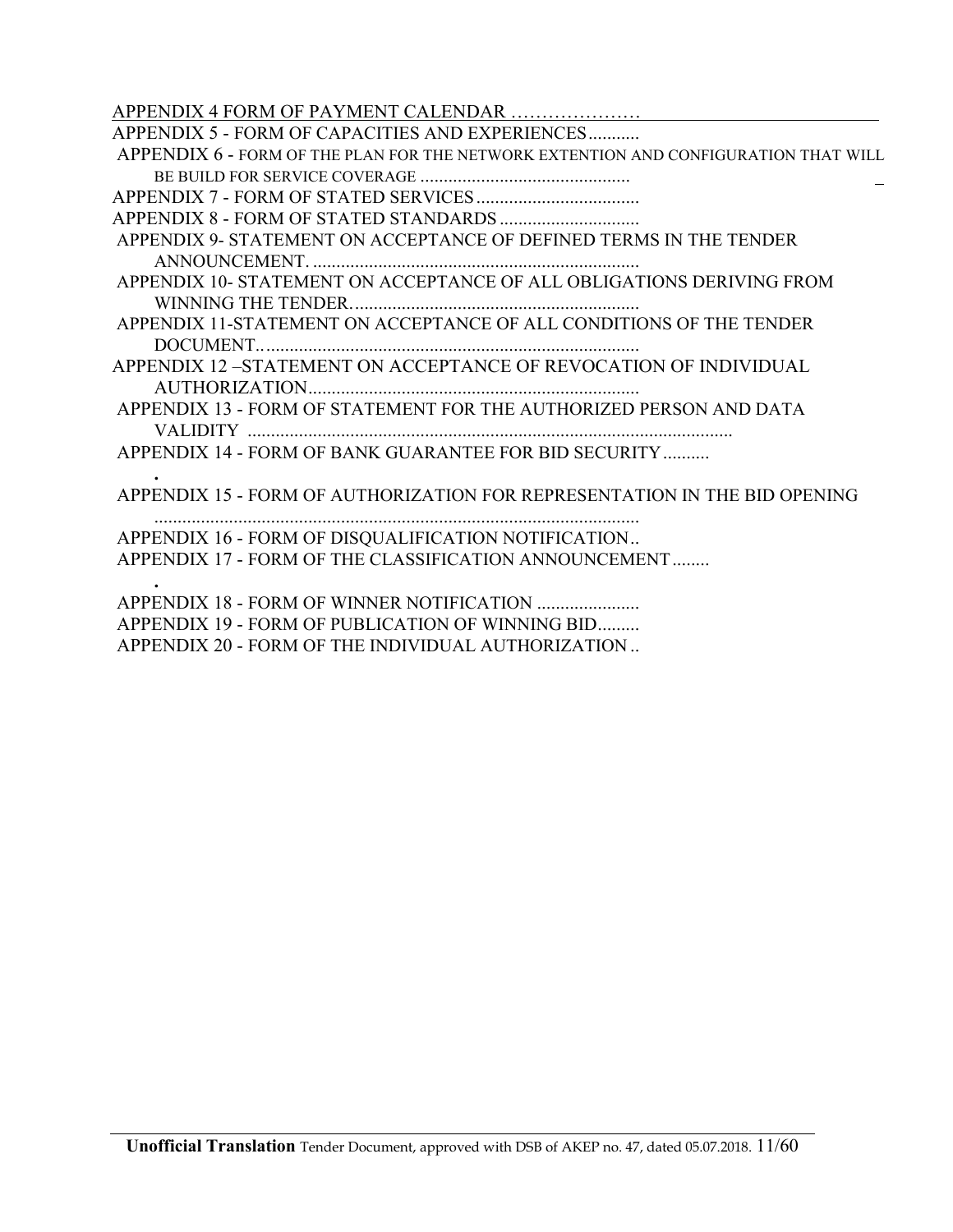APPENDIX 4 FORM OF PAYMENT CALENDAR …………………

| APPENDIX 5 - FORM OF CAPACITIES AND EXPERIENCES                                     |
|-------------------------------------------------------------------------------------|
| APPENDIX 6 - FORM OF THE PLAN FOR THE NETWORK EXTENTION AND CONFIGURATION THAT WILL |
|                                                                                     |
|                                                                                     |
|                                                                                     |
| APPENDIX 9- STATEMENT ON ACCEPTANCE OF DEFINED TERMS IN THE TENDER                  |
|                                                                                     |
| APPENDIX 10- STATEMENT ON ACCEPTANCE OF ALL OBLIGATIONS DERIVING FROM               |
|                                                                                     |
| APPENDIX 11-STATEMENT ON ACCEPTANCE OF ALL CONDITIONS OF THE TENDER                 |
|                                                                                     |
| APPENDIX 12-STATEMENT ON ACCEPTANCE OF REVOCATION OF INDIVIDUAL                     |
|                                                                                     |
| APPENDIX 13 - FORM OF STATEMENT FOR THE AUTHORIZED PERSON AND DATA                  |
|                                                                                     |
| APPENDIX 14 - FORM OF BANK GUARANTEE FOR BID SECURITY                               |
|                                                                                     |
| APPENDIX 15 - FORM OF AUTHORIZATION FOR REPRESENTATION IN THE BID OPENING           |
|                                                                                     |
| APPENDIX 16 - FORM OF DISQUALIFICATION NOTIFICATION                                 |
| APPENDIX 17 - FORM OF THE CLASSIFICATION ANNOUNCEMENT                               |
|                                                                                     |
|                                                                                     |
| APPENDIX 19 - FORM OF PUBLICATION OF WINNING BID                                    |
| APPENDIX 20 - FORM OF THE INDIVIDUAL AUTHORIZATION                                  |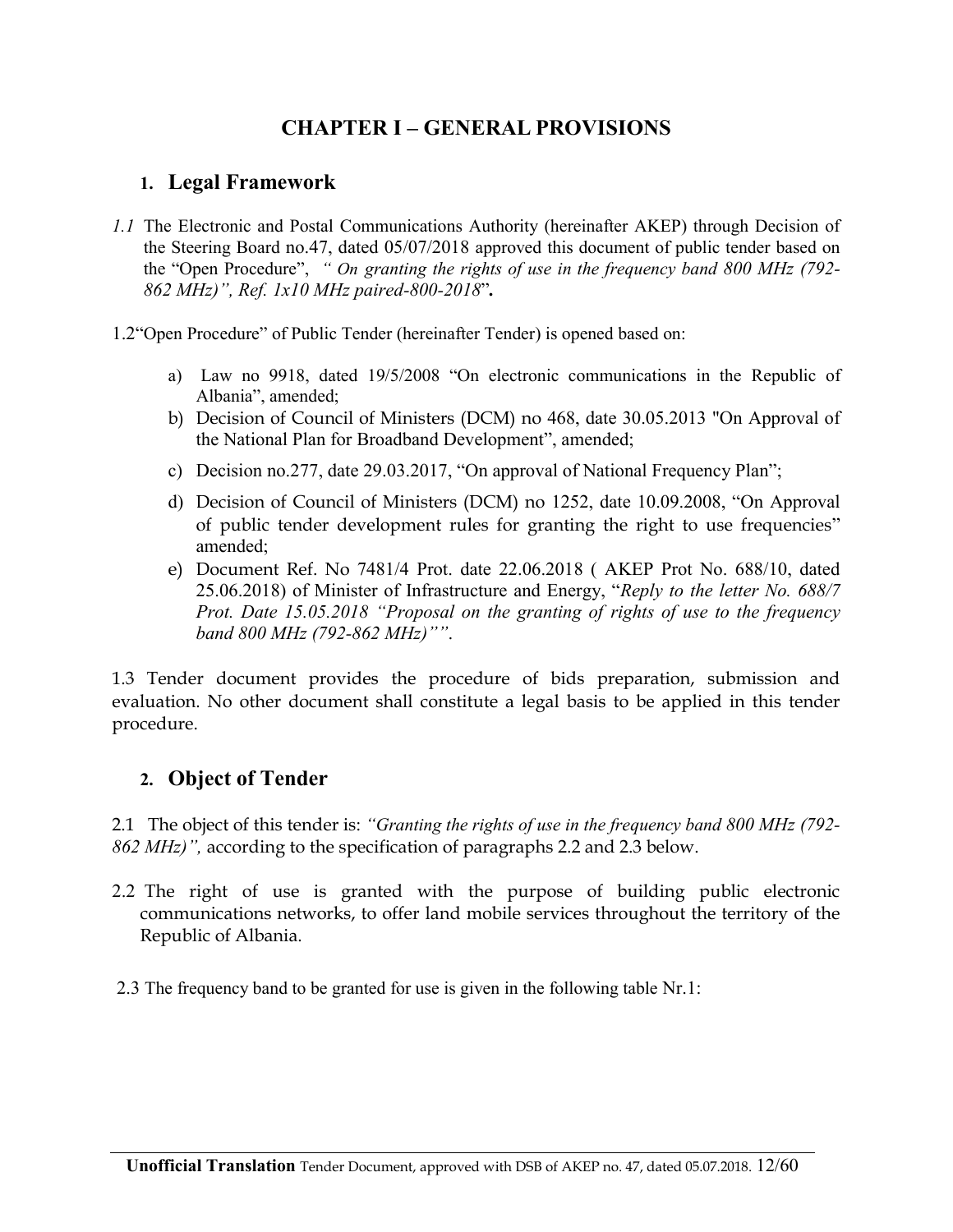## **CHAPTER I – GENERAL PROVISIONS**

### **1. Legal Framework**

*1.1* The Electronic and Postal Communications Authority (hereinafter AKEP) through Decision of the Steering Board no.47, dated 05/07/2018 approved this document of public tender based on the "Open Procedure", *" On granting the rights of use in the frequency band 800 MHz (792- 862 MHz)", Ref. 1x10 MHz paired-800-2018*"*.* 

1.2"Open Procedure" of Public Tender (hereinafter Tender) is opened based on:

- a) Law no 9918, dated 19/5/2008 "On electronic communications in the Republic of Albania", amended;
- b) Decision of Council of Ministers (DCM) no 468, date 30.05.2013 "On Approval of the National Plan for Broadband Development", amended;
- c) Decision no.277, date 29.03.2017, "On approval of National Frequency Plan";
- d) Decision of Council of Ministers (DCM) no 1252, date 10.09.2008, "On Approval of public tender development rules for granting the right to use frequencies" amended;
- e) Document Ref. No 7481/4 Prot. date 22.06.2018 ( AKEP Prot No. 688/10, dated 25.06.2018) of Minister of Infrastructure and Energy, "*Reply to the letter No. 688/7 Prot. Date 15.05.2018 "Proposal on the granting of rights of use to the frequency band 800 MHz (792-862 MHz)""*.

1.3 Tender document provides the procedure of bids preparation, submission and evaluation. No other document shall constitute a legal basis to be applied in this tender procedure.

### **2. Object of Tender**

2.1 The object of this tender is: *"Granting the rights of use in the frequency band 800 MHz (792- 862 MHz)",* according to the specification of paragraphs 2.2 and 2.3 below.

- 2.2 The right of use is granted with the purpose of building public electronic communications networks, to offer land mobile services throughout the territory of the Republic of Albania.
- 2.3 The frequency band to be granted for use is given in the following table Nr.1: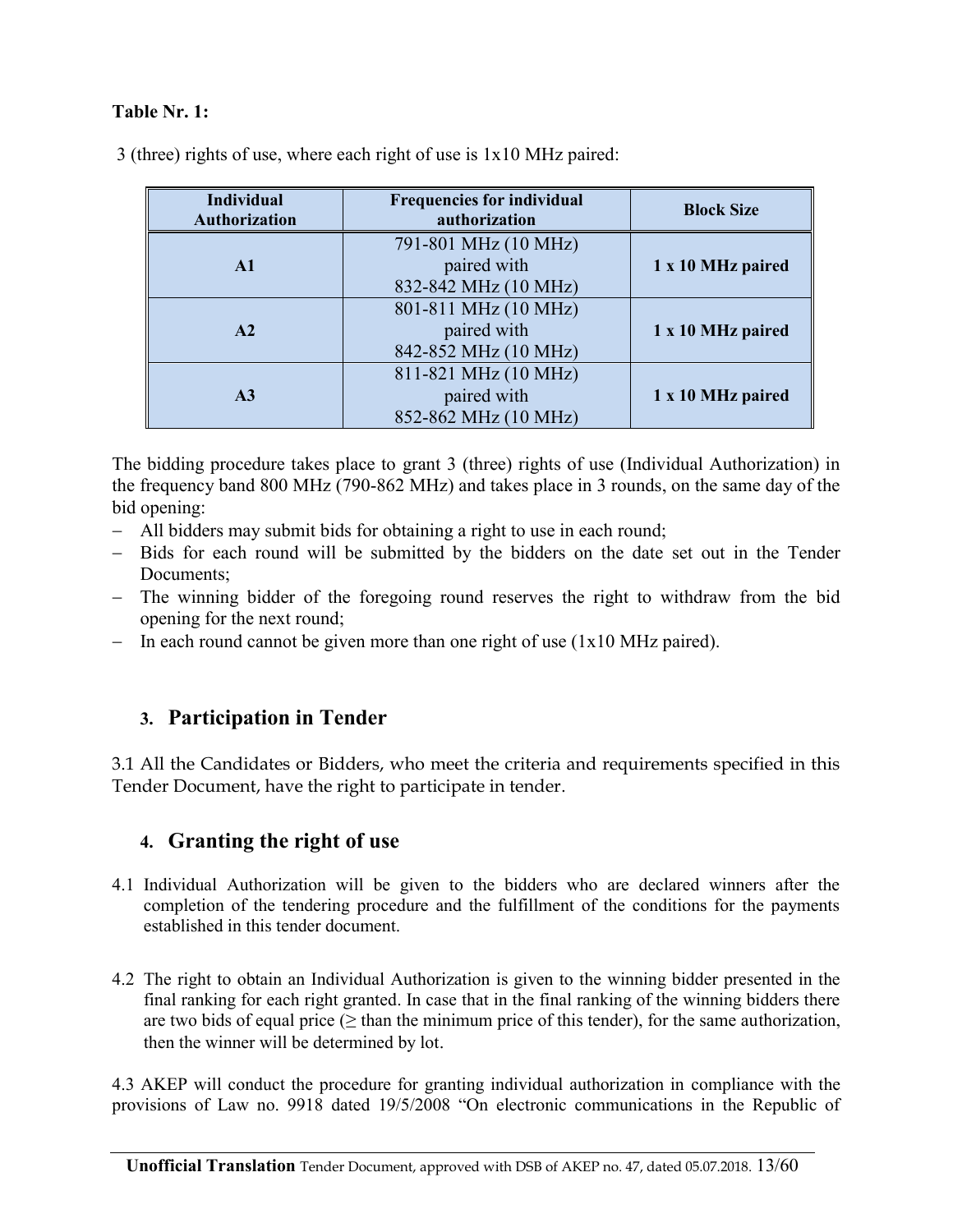#### **Table Nr. 1:**

| <b>Individual</b><br><b>Authorization</b> | <b>Frequencies for individual</b><br>authorization          | <b>Block Size</b> |
|-------------------------------------------|-------------------------------------------------------------|-------------------|
| $\mathbf{A}1$                             | 791-801 MHz (10 MHz)<br>paired with<br>832-842 MHz (10 MHz) | 1 x 10 MHz paired |
| A2                                        | 801-811 MHz (10 MHz)<br>paired with<br>842-852 MHz (10 MHz) | 1 x 10 MHz paired |
| A <sub>3</sub>                            | 811-821 MHz (10 MHz)<br>paired with<br>852-862 MHz (10 MHz) | 1 x 10 MHz paired |

3 (three) rights of use, where each right of use is 1x10 MHz paired:

The bidding procedure takes place to grant 3 (three) rights of use (Individual Authorization) in the frequency band 800 MHz (790-862 MHz) and takes place in 3 rounds, on the same day of the bid opening:

- All bidders may submit bids for obtaining a right to use in each round;
- Bids for each round will be submitted by the bidders on the date set out in the Tender Documents;
- The winning bidder of the foregoing round reserves the right to withdraw from the bid opening for the next round;
- In each round cannot be given more than one right of use  $(1x10 \text{ MHz paired})$ .

### **3. Participation in Tender**

3.1 All the Candidates or Bidders, who meet the criteria and requirements specified in this Tender Document, have the right to participate in tender.

### **4. Granting the right of use**

- 4.1 Individual Authorization will be given to the bidders who are declared winners after the completion of the tendering procedure and the fulfillment of the conditions for the payments established in this tender document.
- 4.2 The right to obtain an Individual Authorization is given to the winning bidder presented in the final ranking for each right granted. In case that in the final ranking of the winning bidders there are two bids of equal price ( $\geq$  than the minimum price of this tender), for the same authorization, then the winner will be determined by lot.

4.3 AKEP will conduct the procedure for granting individual authorization in compliance with the provisions of Law no. 9918 dated 19/5/2008 "On electronic communications in the Republic of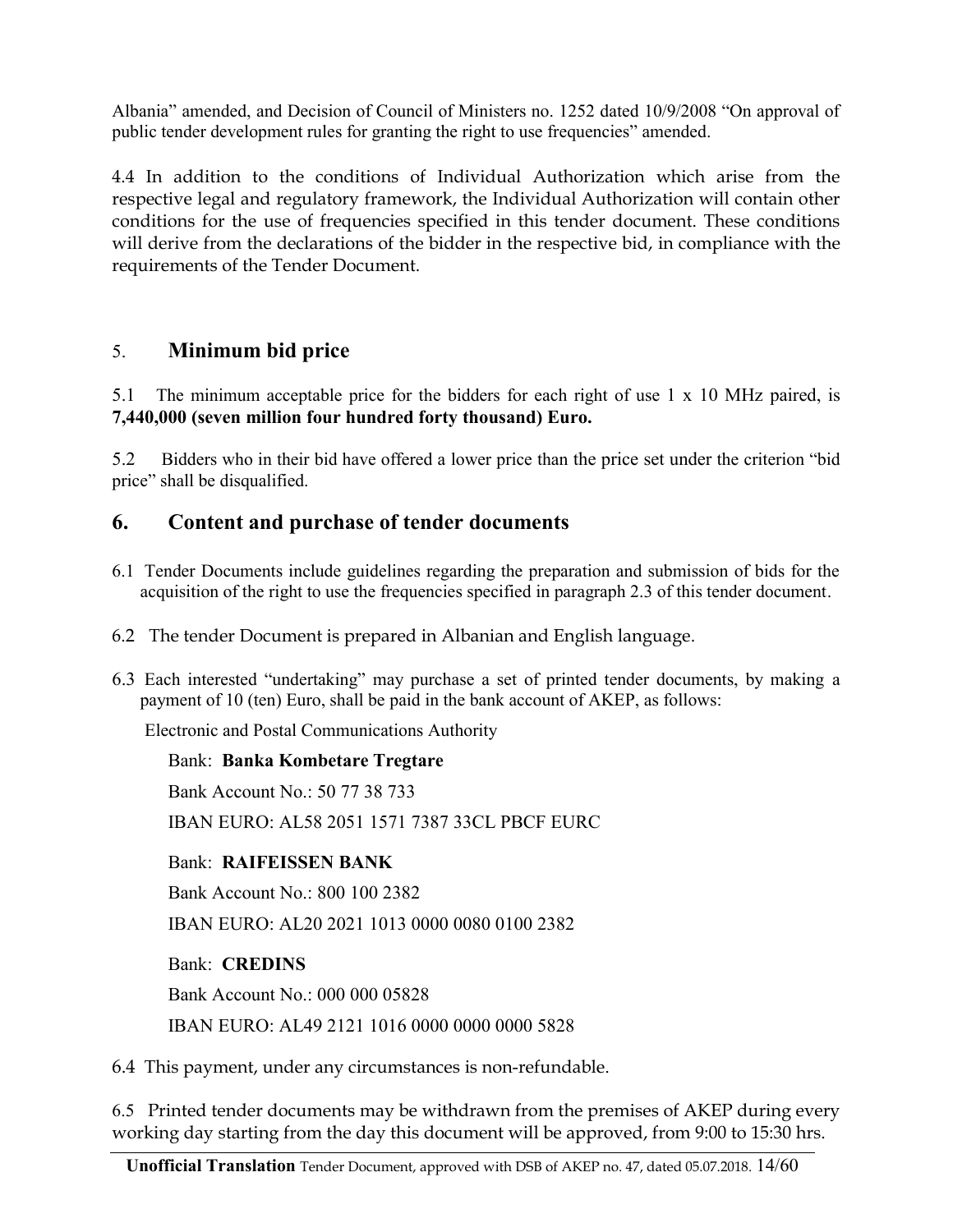Albania" amended, and Decision of Council of Ministers no. 1252 dated 10/9/2008 "On approval of public tender development rules for granting the right to use frequencies" amended.

4.4 In addition to the conditions of Individual Authorization which arise from the respective legal and regulatory framework, the Individual Authorization will contain other conditions for the use of frequencies specified in this tender document. These conditions will derive from the declarations of the bidder in the respective bid, in compliance with the requirements of the Tender Document.

## 5. **Minimum bid price**

5.1 The minimum acceptable price for the bidders for each right of use 1 x 10 MHz paired, is **7,440,000 (seven million four hundred forty thousand) Euro.**

5.2 Bidders who in their bid have offered a lower price than the price set under the criterion "bid price" shall be disqualified.

### **6. Content and purchase of tender documents**

- 6.1 Tender Documents include guidelines regarding the preparation and submission of bids for the acquisition of the right to use the frequencies specified in paragraph 2.3 of this tender document.
- 6.2 The tender Document is prepared in Albanian and English language.
- 6.3 Each interested "undertaking" may purchase a set of printed tender documents, by making a payment of 10 (ten) Euro, shall be paid in the bank account of AKEP, as follows:

Electronic and Postal Communications Authority

#### Bank: **Banka Kombetare Tregtare**

Bank Account No.: 50 77 38 733 IBAN EURO: AL58 2051 1571 7387 33CL PBCF EURC

#### Bank: **RAIFEISSEN BANK**

Bank Account No.: 800 100 2382 IBAN EURO: AL20 2021 1013 0000 0080 0100 2382

Bank: **CREDINS** 

Bank Account No.: 000 000 05828

IBAN EURO: AL49 2121 1016 0000 0000 0000 5828

6.4 This payment, under any circumstances is non-refundable.

6.5 Printed tender documents may be withdrawn from the premises of AKEP during every working day starting from the day this document will be approved, from 9:00 to 15:30 hrs.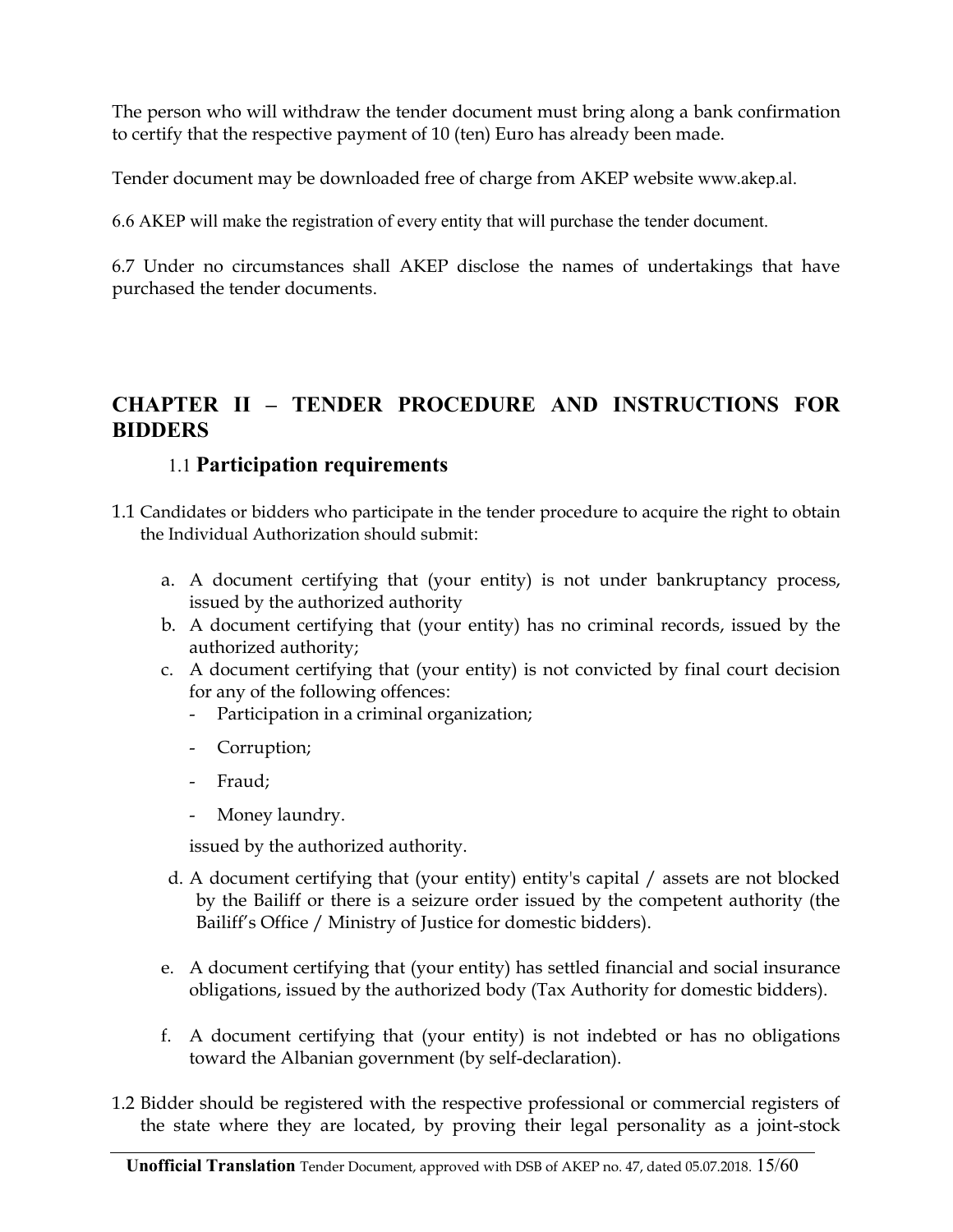The person who will withdraw the tender document must bring along a bank confirmation to certify that the respective payment of 10 (ten) Euro has already been made.

Tender document may be downloaded free of charge from AKEP website www.akep.al.

6.6 AKEP will make the registration of every entity that will purchase the tender document.

6.7 Under no circumstances shall AKEP disclose the names of undertakings that have purchased the tender documents.

## **CHAPTER II – TENDER PROCEDURE AND INSTRUCTIONS FOR BIDDERS**

### 1.1 **Participation requirements**

- 1.1 Candidates or bidders who participate in the tender procedure to acquire the right to obtain the Individual Authorization should submit:
	- a. A document certifying that (your entity) is not under bankruptancy process, issued by the authorized authority
	- b. A document certifying that (your entity) has no criminal records, issued by the authorized authority;
	- c. A document certifying that (your entity) is not convicted by final court decision for any of the following offences:
		- Participation in a criminal organization;
		- Corruption;
		- Fraud;
		- Money laundry.

issued by the authorized authority.

- d. A document certifying that (your entity) entity's capital / assets are not blocked by the Bailiff or there is a seizure order issued by the competent authority (the Bailiff's Office / Ministry of Justice for domestic bidders).
- e. A document certifying that (your entity) has settled financial and social insurance obligations, issued by the authorized body (Tax Authority for domestic bidders).
- f. A document certifying that (your entity) is not indebted or has no obligations toward the Albanian government (by self-declaration).
- 1.2 Bidder should be registered with the respective professional or commercial registers of the state where they are located, by proving their legal personality as a joint-stock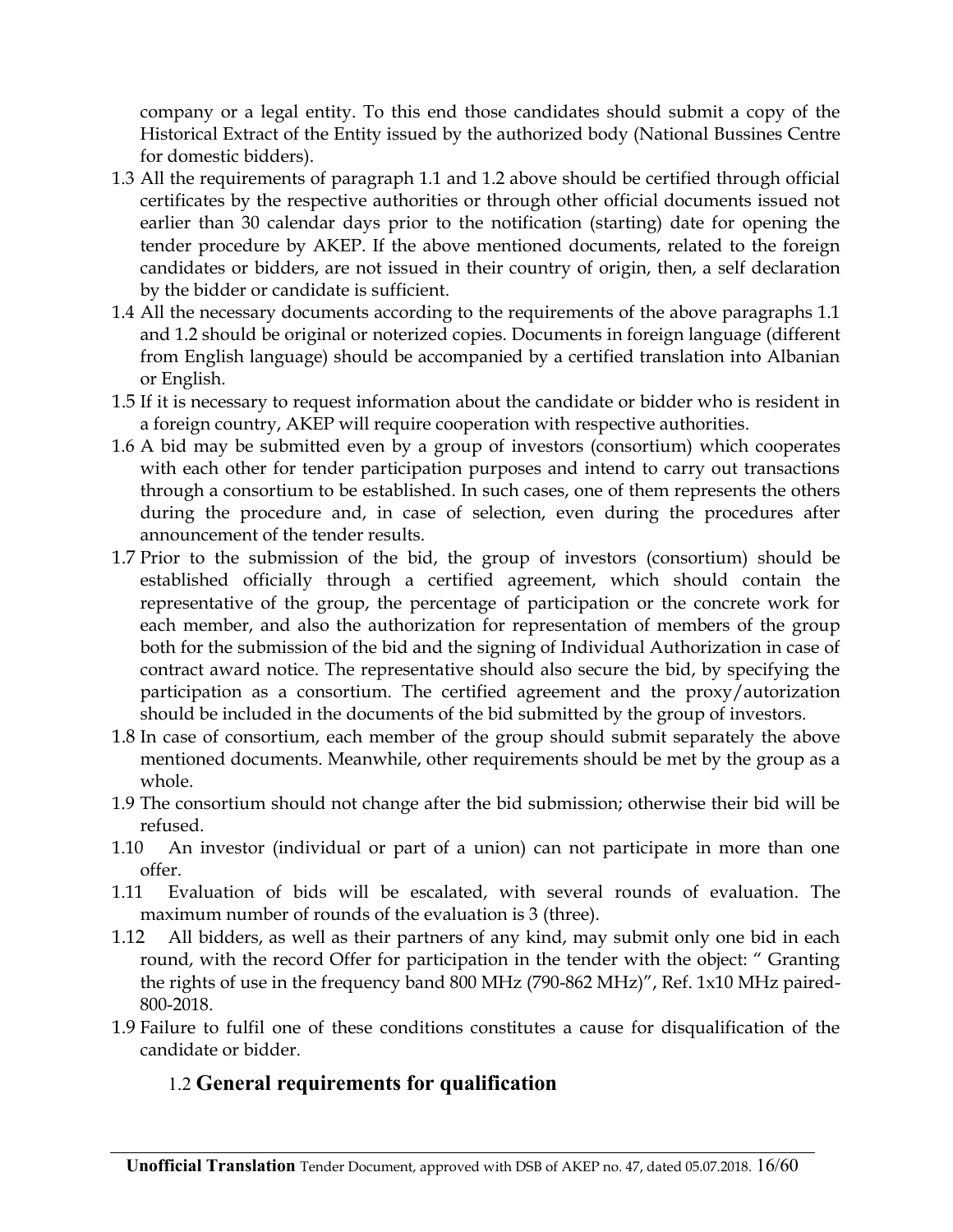company or a legal entity. To this end those candidates should submit a copy of the Historical Extract of the Entity issued by the authorized body (National Bussines Centre for domestic bidders).

- 1.3 All the requirements of paragraph 1.1 and 1.2 above should be certified through official certificates by the respective authorities or through other official documents issued not earlier than 30 calendar days prior to the notification (starting) date for opening the tender procedure by AKEP. If the above mentioned documents, related to the foreign candidates or bidders, are not issued in their country of origin, then, a self declaration by the bidder or candidate is sufficient.
- 1.4 All the necessary documents according to the requirements of the above paragraphs 1.1 and 1.2 should be original or noterized copies. Documents in foreign language (different from English language) should be accompanied by a certified translation into Albanian or English.
- 1.5 If it is necessary to request information about the candidate or bidder who is resident in a foreign country, AKEP will require cooperation with respective authorities.
- 1.6 A bid may be submitted even by a group of investors (consortium) which cooperates with each other for tender participation purposes and intend to carry out transactions through a consortium to be established. In such cases, one of them represents the others during the procedure and, in case of selection, even during the procedures after announcement of the tender results.
- 1.7 Prior to the submission of the bid, the group of investors (consortium) should be established officially through a certified agreement, which should contain the representative of the group, the percentage of participation or the concrete work for each member, and also the authorization for representation of members of the group both for the submission of the bid and the signing of Individual Authorization in case of contract award notice. The representative should also secure the bid, by specifying the participation as a consortium. The certified agreement and the proxy/autorization should be included in the documents of the bid submitted by the group of investors.
- 1.8 In case of consortium, each member of the group should submit separately the above mentioned documents. Meanwhile, other requirements should be met by the group as a whole.
- 1.9 The consortium should not change after the bid submission; otherwise their bid will be refused.
- 1.10 An investor (individual or part of a union) can not participate in more than one offer.
- 1.11 Evaluation of bids will be escalated, with several rounds of evaluation. The maximum number of rounds of the evaluation is 3 (three).
- 1.12 All bidders, as well as their partners of any kind, may submit only one bid in each round, with the record Offer for participation in the tender with the object: " Granting the rights of use in the frequency band 800 MHz (790-862 MHz)", Ref. 1x10 MHz paired-800-2018.
- 1.9 Failure to fulfil one of these conditions constitutes a cause for disqualification of the candidate or bidder.

## 1.2 **General requirements for qualification**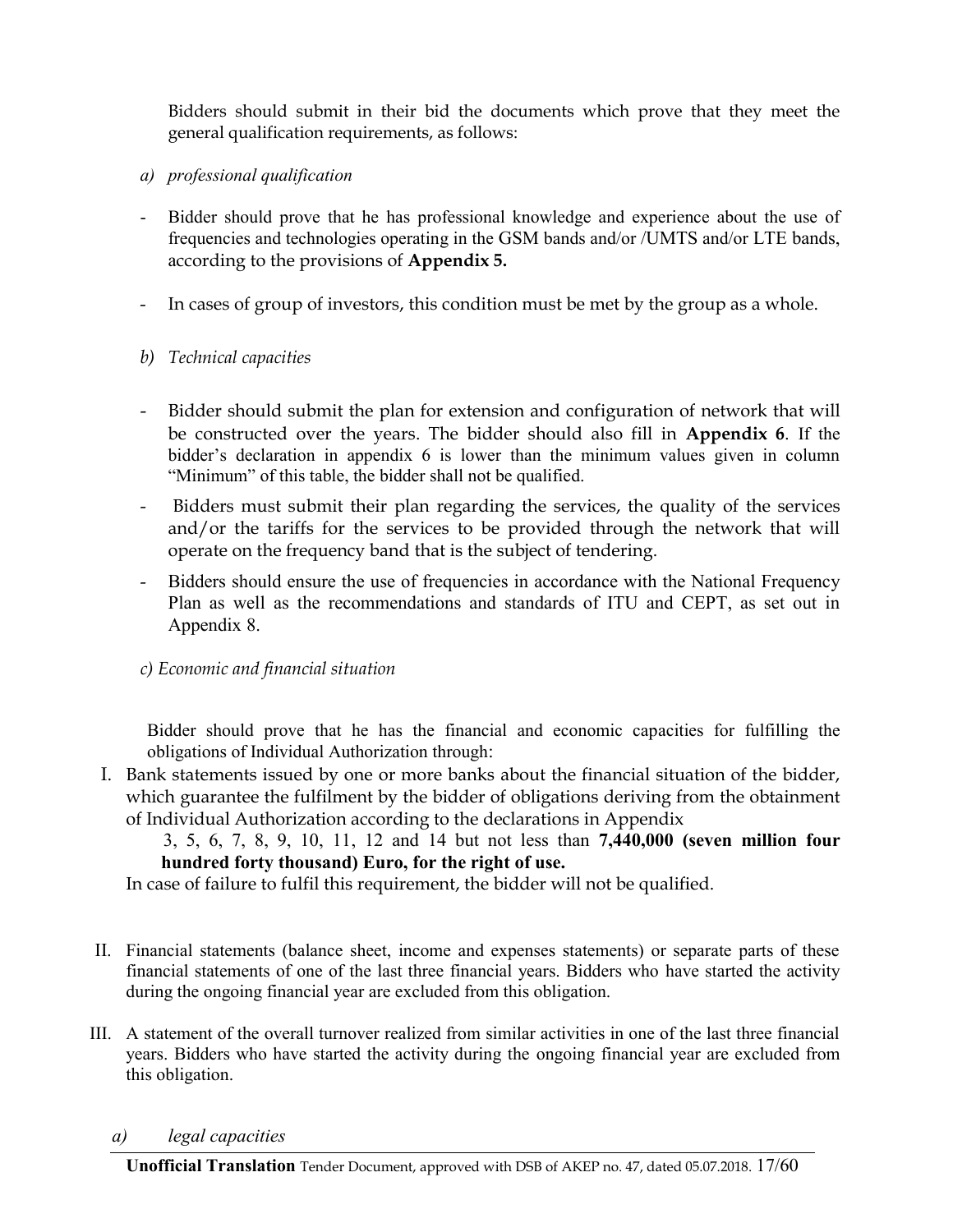Bidders should submit in their bid the documents which prove that they meet the general qualification requirements, as follows:

- *a) professional qualification*
- Bidder should prove that he has professional knowledge and experience about the use of frequencies and technologies operating in the GSM bands and/or /UMTS and/or LTE bands, according to the provisions of **Appendix 5.**
- In cases of group of investors, this condition must be met by the group as a whole.
- *b) Technical capacities*
- Bidder should submit the plan for extension and configuration of network that will be constructed over the years. The bidder should also fill in **Appendix 6**. If the bidder's declaration in appendix 6 is lower than the minimum values given in column "Minimum" of this table, the bidder shall not be qualified.
- Bidders must submit their plan regarding the services, the quality of the services and/or the tariffs for the services to be provided through the network that will operate on the frequency band that is the subject of tendering.
- Bidders should ensure the use of frequencies in accordance with the National Frequency Plan as well as the recommendations and standards of ITU and CEPT, as set out in Appendix 8.
- *c) Economic and financial situation*

Bidder should prove that he has the financial and economic capacities for fulfilling the obligations of Individual Authorization through:

- I. Bank statements issued by one or more banks about the financial situation of the bidder, which guarantee the fulfilment by the bidder of obligations deriving from the obtainment of Individual Authorization according to the declarations in Appendix
	- 3, 5, 6, 7, 8, 9, 10, 11, 12 and 14 but not less than **7,440,000 (seven million four hundred forty thousand) Euro, for the right of use.**

In case of failure to fulfil this requirement, the bidder will not be qualified.

- II. Financial statements (balance sheet, income and expenses statements) or separate parts of these financial statements of one of the last three financial years. Bidders who have started the activity during the ongoing financial year are excluded from this obligation.
- III. A statement of the overall turnover realized from similar activities in one of the last three financial years. Bidders who have started the activity during the ongoing financial year are excluded from this obligation.
	- *a) legal capacities*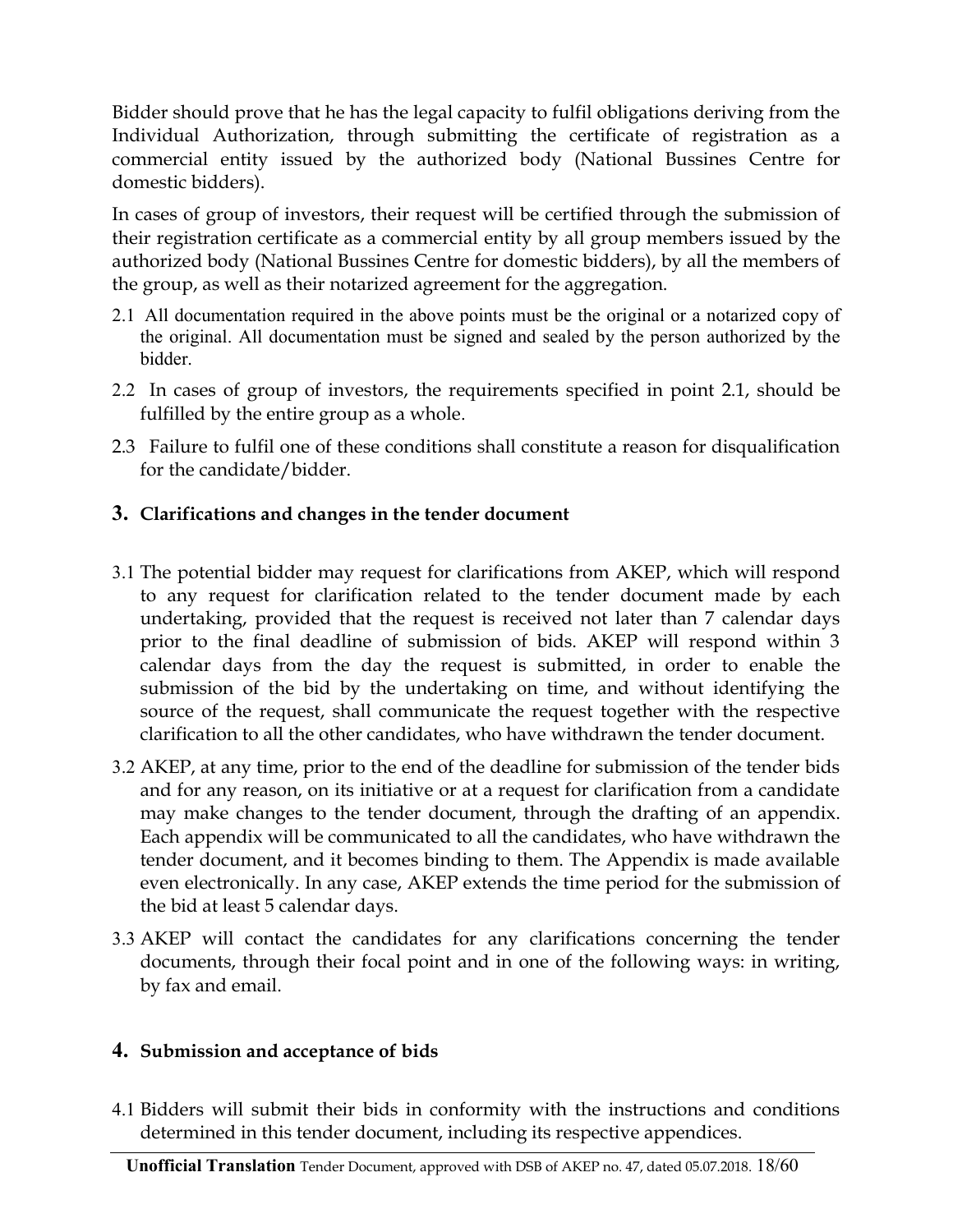Bidder should prove that he has the legal capacity to fulfil obligations deriving from the Individual Authorization, through submitting the certificate of registration as a commercial entity issued by the authorized body (National Bussines Centre for domestic bidders).

In cases of group of investors, their request will be certified through the submission of their registration certificate as a commercial entity by all group members issued by the authorized body (National Bussines Centre for domestic bidders), by all the members of the group, as well as their notarized agreement for the aggregation.

- 2.1 All documentation required in the above points must be the original or a notarized copy of the original. All documentation must be signed and sealed by the person authorized by the bidder.
- 2.2 In cases of group of investors, the requirements specified in point 2.1, should be fulfilled by the entire group as a whole.
- 2.3 Failure to fulfil one of these conditions shall constitute a reason for disqualification for the candidate/bidder.

### **3. Clarifications and changes in the tender document**

- 3.1 The potential bidder may request for clarifications from AKEP, which will respond to any request for clarification related to the tender document made by each undertaking, provided that the request is received not later than 7 calendar days prior to the final deadline of submission of bids. AKEP will respond within 3 calendar days from the day the request is submitted, in order to enable the submission of the bid by the undertaking on time, and without identifying the source of the request, shall communicate the request together with the respective clarification to all the other candidates, who have withdrawn the tender document.
- 3.2 AKEP, at any time, prior to the end of the deadline for submission of the tender bids and for any reason, on its initiative or at a request for clarification from a candidate may make changes to the tender document, through the drafting of an appendix. Each appendix will be communicated to all the candidates, who have withdrawn the tender document, and it becomes binding to them. The Appendix is made available even electronically. In any case, AKEP extends the time period for the submission of the bid at least 5 calendar days.
- 3.3 AKEP will contact the candidates for any clarifications concerning the tender documents, through their focal point and in one of the following ways: in writing, by fax and email.

### **4. Submission and acceptance of bids**

4.1 Bidders will submit their bids in conformity with the instructions and conditions determined in this tender document, including its respective appendices.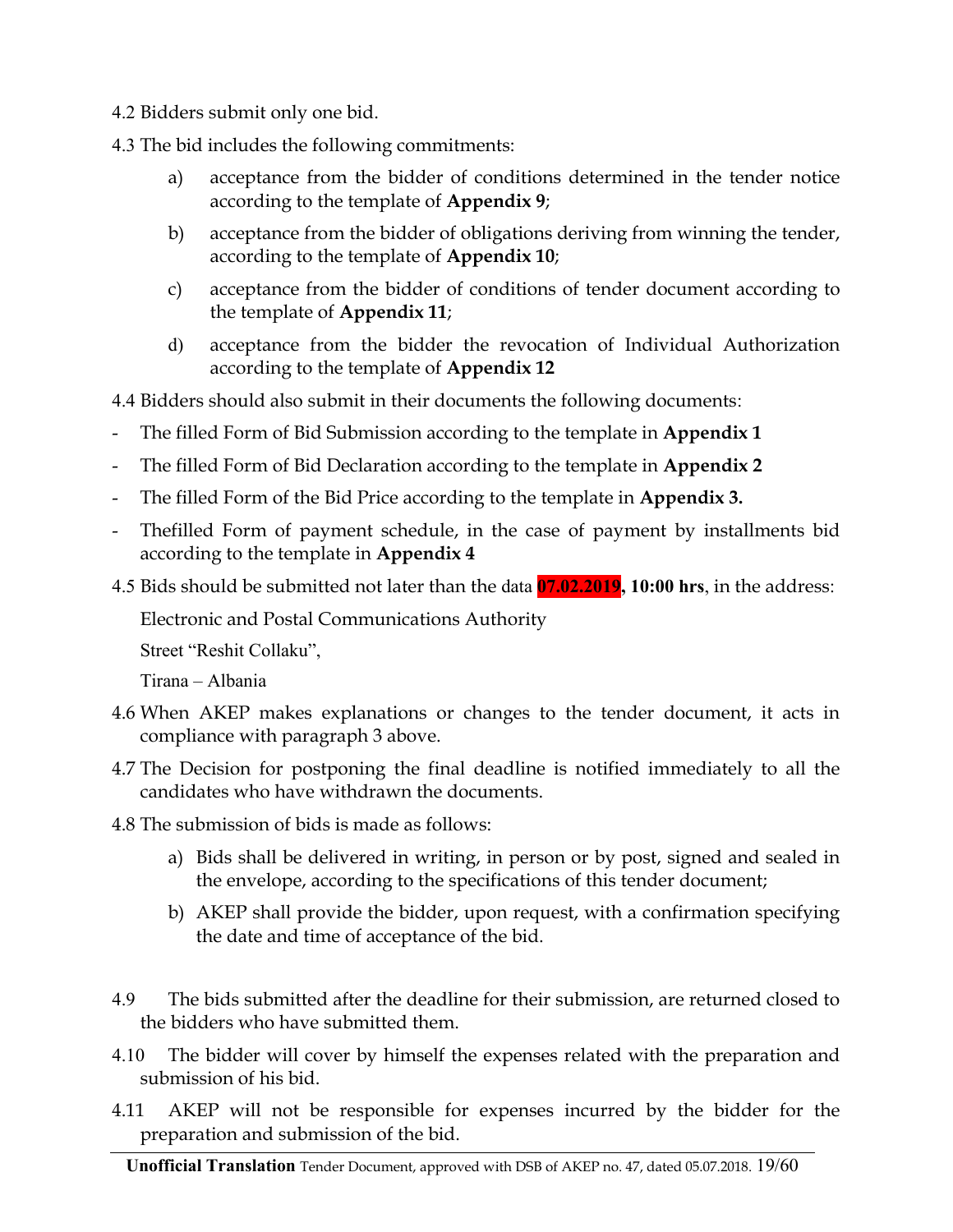- 4.2 Bidders submit only one bid.
- 4.3 The bid includes the following commitments:
	- a) acceptance from the bidder of conditions determined in the tender notice according to the template of **Appendix 9**;
	- b) acceptance from the bidder of obligations deriving from winning the tender, according to the template of **Appendix 10**;
	- c) acceptance from the bidder of conditions of tender document according to the template of **Appendix 11**;
	- d) acceptance from the bidder the revocation of Individual Authorization according to the template of **Appendix 12**

4.4 Bidders should also submit in their documents the following documents:

- The filled Form of Bid Submission according to the template in **Appendix 1**
- The filled Form of Bid Declaration according to the template in **Appendix 2**
- The filled Form of the Bid Price according to the template in **Appendix 3.**
- Thefilled Form of payment schedule, in the case of payment by installments bid according to the template in **Appendix 4**
- 4.5 Bids should be submitted not later than the data **07.02.2019, 10:00 hrs**, in the address:

Electronic and Postal Communications Authority

Street "Reshit Collaku",

Tirana – Albania

- 4.6 When AKEP makes explanations or changes to the tender document, it acts in compliance with paragraph 3 above.
- 4.7 The Decision for postponing the final deadline is notified immediately to all the candidates who have withdrawn the documents.
- 4.8 The submission of bids is made as follows:
	- a) Bids shall be delivered in writing, in person or by post, signed and sealed in the envelope, according to the specifications of this tender document;
	- b) AKEP shall provide the bidder, upon request, with a confirmation specifying the date and time of acceptance of the bid.
- 4.9 The bids submitted after the deadline for their submission, are returned closed to the bidders who have submitted them.
- 4.10 The bidder will cover by himself the expenses related with the preparation and submission of his bid.
- 4.11 AKEP will not be responsible for expenses incurred by the bidder for the preparation and submission of the bid.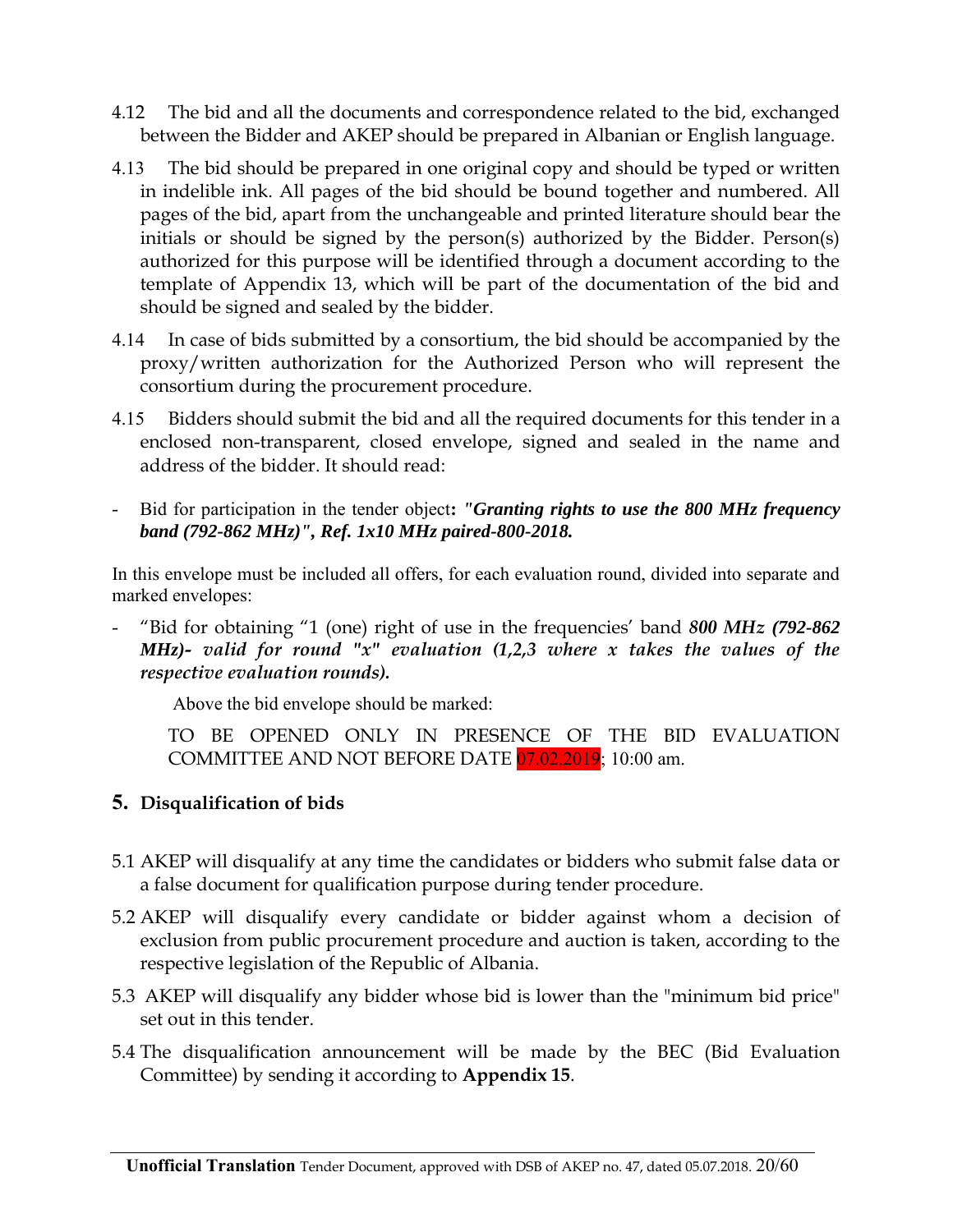- 4.12 The bid and all the documents and correspondence related to the bid, exchanged between the Bidder and AKEP should be prepared in Albanian or English language.
- 4.13 The bid should be prepared in one original copy and should be typed or written in indelible ink. All pages of the bid should be bound together and numbered. All pages of the bid, apart from the unchangeable and printed literature should bear the initials or should be signed by the person(s) authorized by the Bidder. Person(s) authorized for this purpose will be identified through a document according to the template of Appendix 13, which will be part of the documentation of the bid and should be signed and sealed by the bidder.
- 4.14 In case of bids submitted by a consortium, the bid should be accompanied by the proxy/written authorization for the Authorized Person who will represent the consortium during the procurement procedure.
- 4.15 Bidders should submit the bid and all the required documents for this tender in a enclosed non-transparent, closed envelope, signed and sealed in the name and address of the bidder. It should read:
- Bid for participation in the tender object**:** *"Granting rights to use the 800 MHz frequency band (792-862 MHz)", Ref. 1x10 MHz paired-800-2018.*

In this envelope must be included all offers, for each evaluation round, divided into separate and marked envelopes:

- "Bid for obtaining "1 (one) right of use in the frequencies' band *800 MHz (792-862 MHz)- valid for round "x" evaluation (1,2,3 where x takes the values of the respective evaluation rounds).*

Above the bid envelope should be marked:

TO BE OPENED ONLY IN PRESENCE OF THE BID EVALUATION COMMITTEE AND NOT BEFORE DATE 07.02.2019; 10:00 am.

### **5. Disqualification of bids**

- 5.1 AKEP will disqualify at any time the candidates or bidders who submit false data or a false document for qualification purpose during tender procedure.
- 5.2 AKEP will disqualify every candidate or bidder against whom a decision of exclusion from public procurement procedure and auction is taken, according to the respective legislation of the Republic of Albania.
- 5.3 AKEP will disqualify any bidder whose bid is lower than the "minimum bid price" set out in this tender.
- 5.4 The disqualification announcement will be made by the BEC (Bid Evaluation Committee) by sending it according to **Appendix 15**.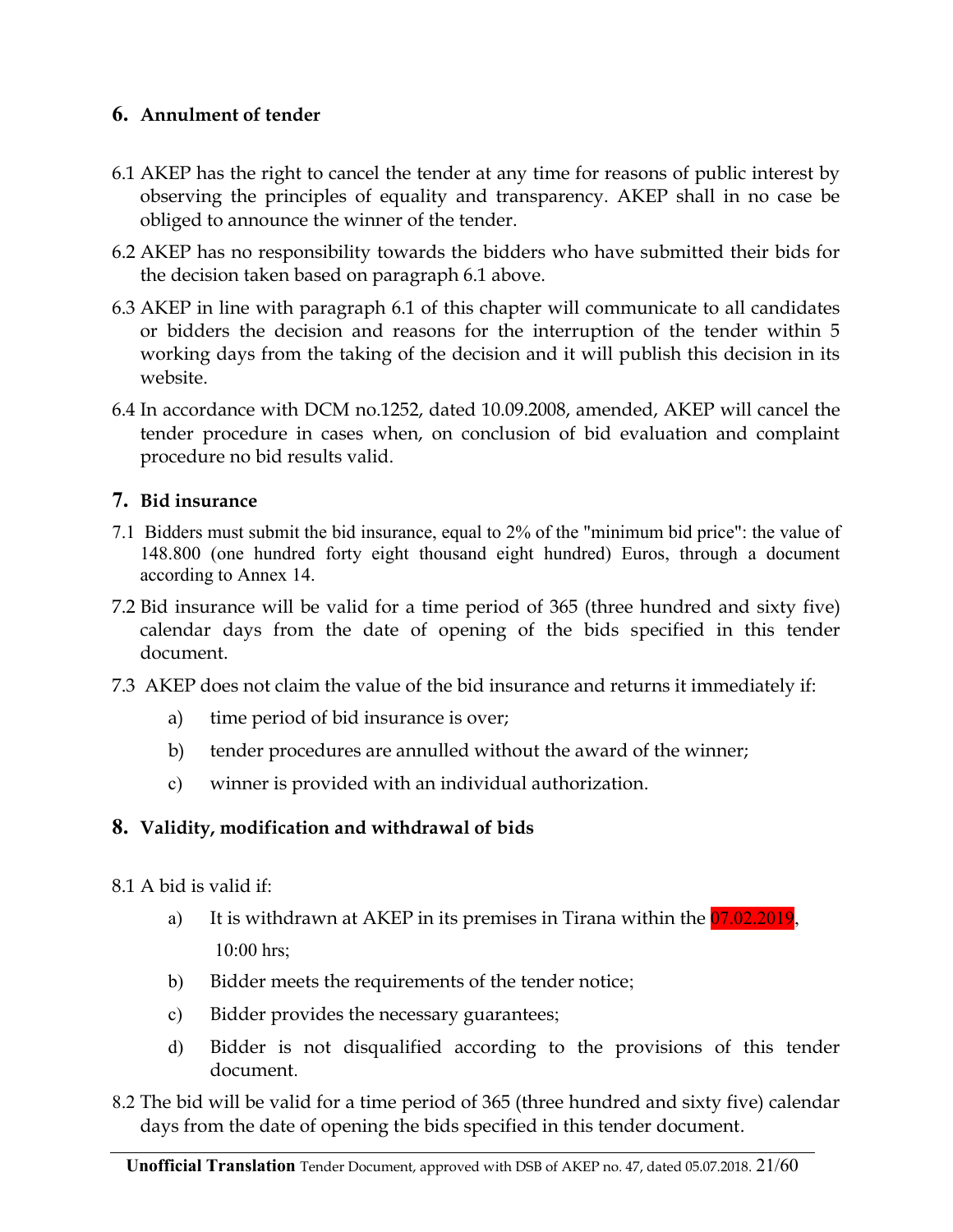### **6. Annulment of tender**

- 6.1 AKEP has the right to cancel the tender at any time for reasons of public interest by observing the principles of equality and transparency. AKEP shall in no case be obliged to announce the winner of the tender.
- 6.2 AKEP has no responsibility towards the bidders who have submitted their bids for the decision taken based on paragraph 6.1 above.
- 6.3 AKEP in line with paragraph 6.1 of this chapter will communicate to all candidates or bidders the decision and reasons for the interruption of the tender within 5 working days from the taking of the decision and it will publish this decision in its website.
- 6.4 In accordance with DCM no.1252, dated 10.09.2008, amended, AKEP will cancel the tender procedure in cases when, on conclusion of bid evaluation and complaint procedure no bid results valid.

### **7. Bid insurance**

- 7.1 Bidders must submit the bid insurance, equal to 2% of the "minimum bid price": the value of 148.800 (one hundred forty eight thousand eight hundred) Euros, through a document according to Annex 14.
- 7.2 Bid insurance will be valid for a time period of 365 (three hundred and sixty five) calendar days from the date of opening of the bids specified in this tender document.
- 7.3 AKEP does not claim the value of the bid insurance and returns it immediately if:
	- a) time period of bid insurance is over;
	- b) tender procedures are annulled without the award of the winner;
	- c) winner is provided with an individual authorization.

### **8. Validity, modification and withdrawal of bids**

- 8.1 A bid is valid if:
	- a) It is withdrawn at AKEP in its premises in Tirana within the 07.02.2019, 10:00 hrs;
	- b) Bidder meets the requirements of the tender notice;
	- c) Bidder provides the necessary guarantees;
	- d) Bidder is not disqualified according to the provisions of this tender document.
- 8.2 The bid will be valid for a time period of 365 (three hundred and sixty five) calendar days from the date of opening the bids specified in this tender document.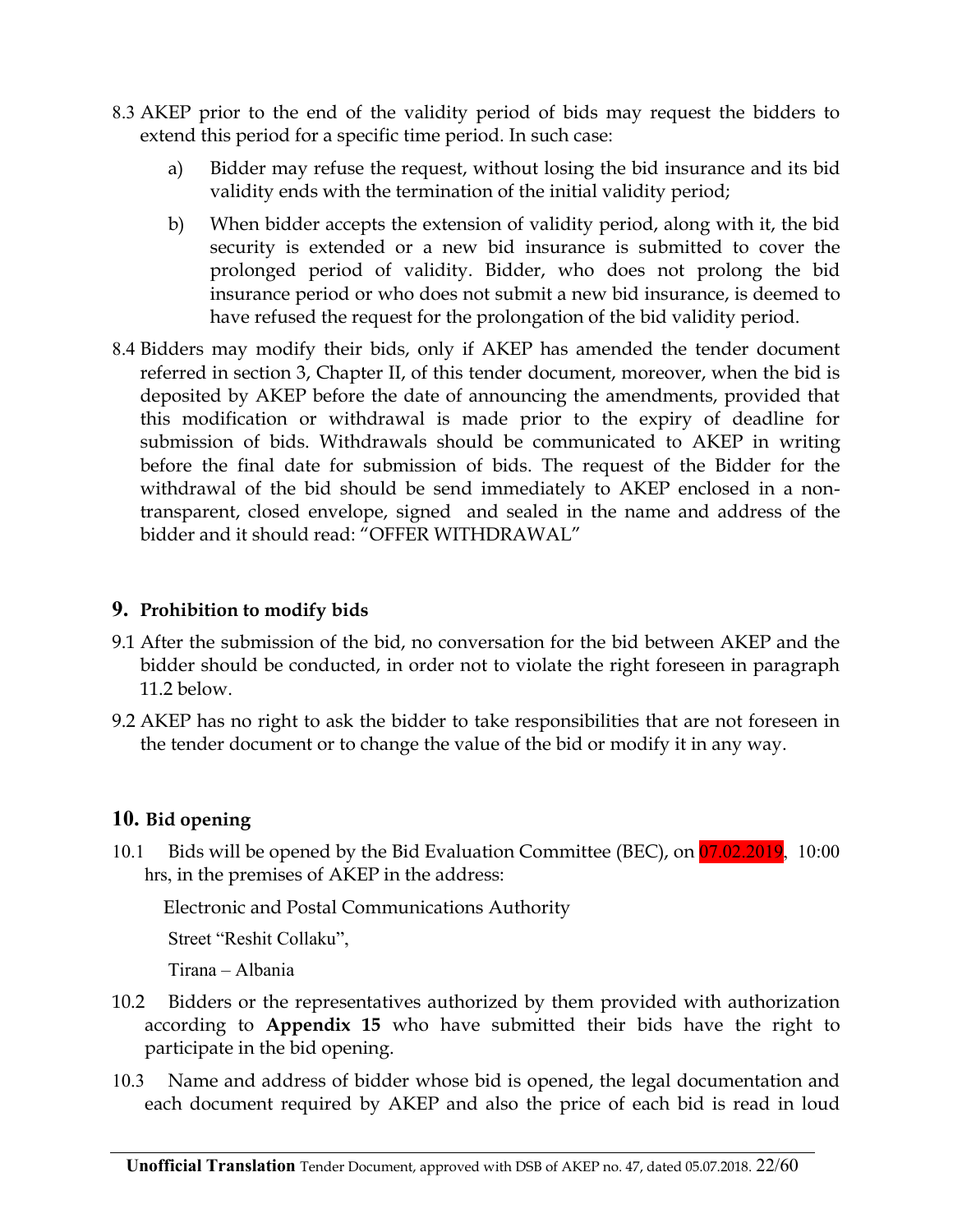- 8.3 AKEP prior to the end of the validity period of bids may request the bidders to extend this period for a specific time period. In such case:
	- a) Bidder may refuse the request, without losing the bid insurance and its bid validity ends with the termination of the initial validity period;
	- b) When bidder accepts the extension of validity period, along with it, the bid security is extended or a new bid insurance is submitted to cover the prolonged period of validity. Bidder, who does not prolong the bid insurance period or who does not submit a new bid insurance, is deemed to have refused the request for the prolongation of the bid validity period.
- 8.4 Bidders may modify their bids, only if AKEP has amended the tender document referred in section 3, Chapter II, of this tender document, moreover, when the bid is deposited by AKEP before the date of announcing the amendments, provided that this modification or withdrawal is made prior to the expiry of deadline for submission of bids. Withdrawals should be communicated to AKEP in writing before the final date for submission of bids. The request of the Bidder for the withdrawal of the bid should be send immediately to AKEP enclosed in a nontransparent, closed envelope, signed and sealed in the name and address of the bidder and it should read: "OFFER WITHDRAWAL"

#### **9. Prohibition to modify bids**

- 9.1 After the submission of the bid, no conversation for the bid between AKEP and the bidder should be conducted, in order not to violate the right foreseen in paragraph 11.2 below.
- 9.2 AKEP has no right to ask the bidder to take responsibilities that are not foreseen in the tender document or to change the value of the bid or modify it in any way.

### **10. Bid opening**

10.1 Bids will be opened by the Bid Evaluation Committee (BEC), on 07.02.2019, 10:00 hrs, in the premises of AKEP in the address:

Electronic and Postal Communications Authority

Street "Reshit Collaku",

Tirana – Albania

- 10.2 Bidders or the representatives authorized by them provided with authorization according to **Appendix 15** who have submitted their bids have the right to participate in the bid opening.
- 10.3 Name and address of bidder whose bid is opened, the legal documentation and each document required by AKEP and also the price of each bid is read in loud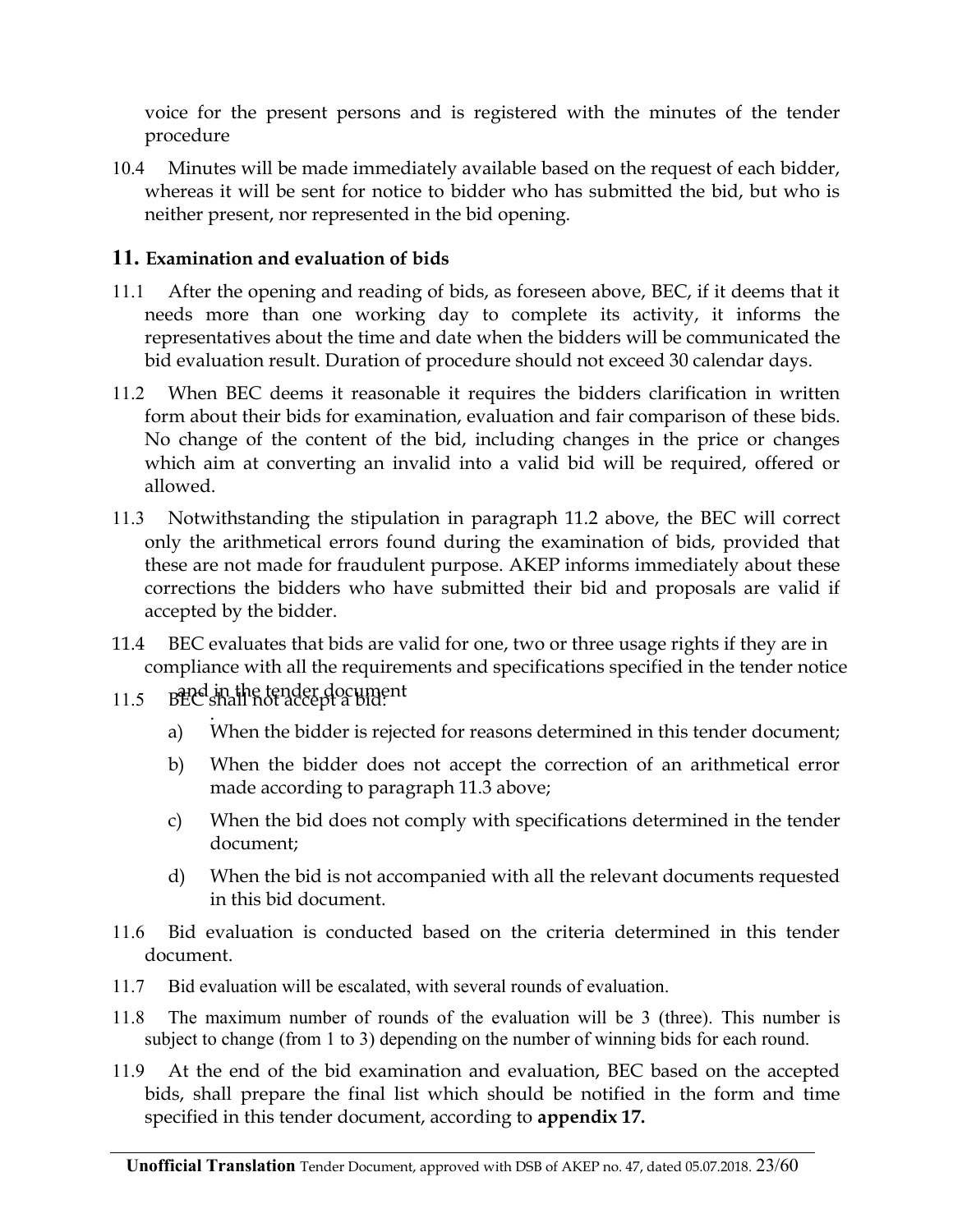voice for the present persons and is registered with the minutes of the tender procedure

10.4 Minutes will be made immediately available based on the request of each bidder, whereas it will be sent for notice to bidder who has submitted the bid, but who is neither present, nor represented in the bid opening.

### **11. Examination and evaluation of bids**

- 11.1 After the opening and reading of bids, as foreseen above, BEC, if it deems that it needs more than one working day to complete its activity, it informs the representatives about the time and date when the bidders will be communicated the bid evaluation result. Duration of procedure should not exceed 30 calendar days.
- 11.2 When BEC deems it reasonable it requires the bidders clarification in written form about their bids for examination, evaluation and fair comparison of these bids. No change of the content of the bid, including changes in the price or changes which aim at converting an invalid into a valid bid will be required, offered or allowed.
- 11.3 Notwithstanding the stipulation in paragraph 11.2 above, the BEC will correct only the arithmetical errors found during the examination of bids, provided that these are not made for fraudulent purpose. AKEP informs immediately about these corrections the bidders who have submitted their bid and proposals are valid if accepted by the bidder.
- 11.4 BEC evaluates that bids are valid for one, two or three usage rights if they are in compliance with all the requirements and specifications specified in the tender notice
- and in the tender document 11.5 BEC shall not accept a bid:
	- . a) When the bidder is rejected for reasons determined in this tender document;
	- b) When the bidder does not accept the correction of an arithmetical error made according to paragraph 11.3 above;
	- c) When the bid does not comply with specifications determined in the tender document;
	- d) When the bid is not accompanied with all the relevant documents requested in this bid document.
- 11.6 Bid evaluation is conducted based on the criteria determined in this tender document.
- 11.7 Bid evaluation will be escalated, with several rounds of evaluation.
- 11.8 The maximum number of rounds of the evaluation will be 3 (three). This number is subject to change (from 1 to 3) depending on the number of winning bids for each round.
- 11.9 At the end of the bid examination and evaluation, BEC based on the accepted bids, shall prepare the final list which should be notified in the form and time specified in this tender document, according to **appendix 17.**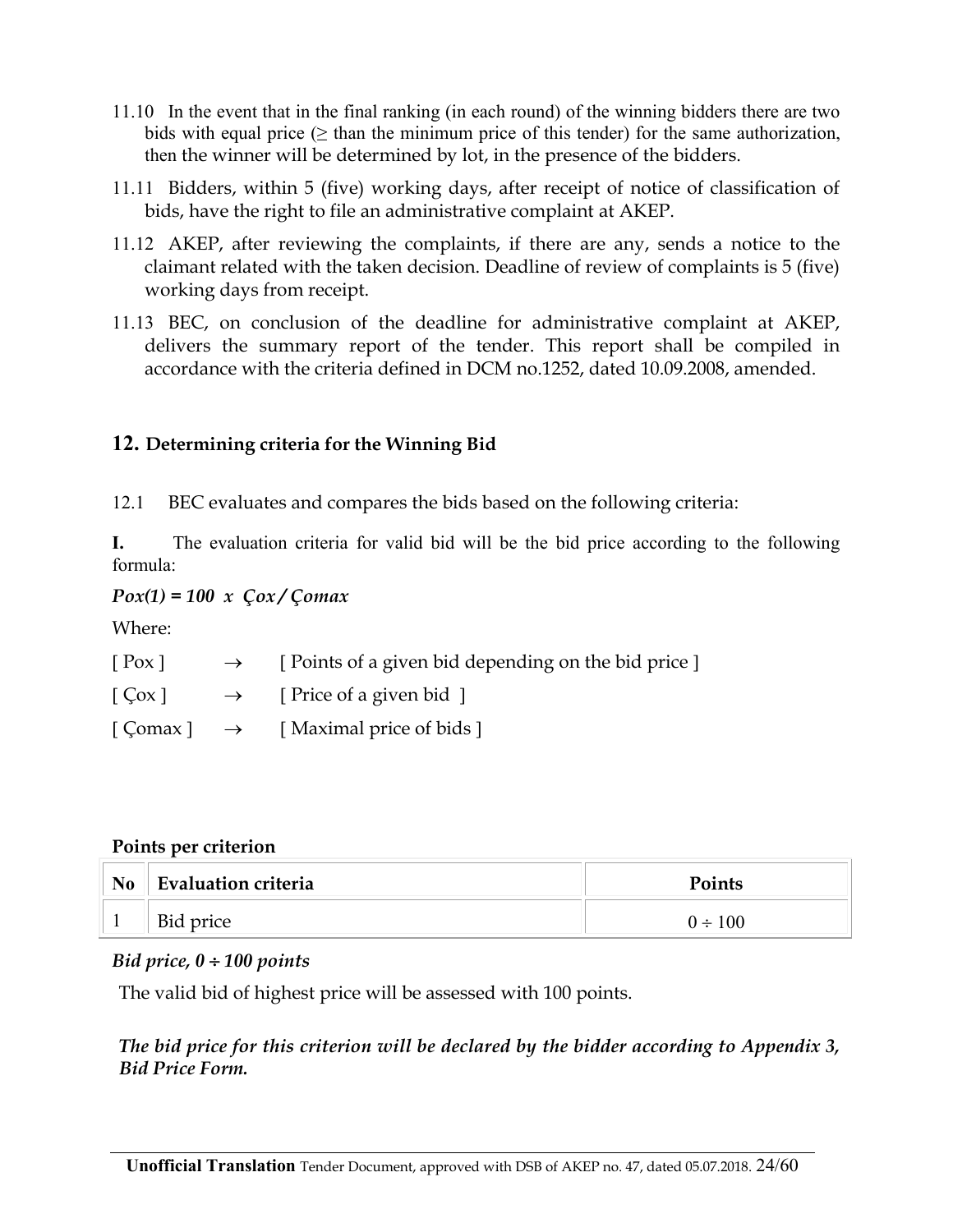- 11.10 In the event that in the final ranking (in each round) of the winning bidders there are two bids with equal price  $(\geq$  than the minimum price of this tender) for the same authorization, then the winner will be determined by lot, in the presence of the bidders.
- 11.11 Bidders, within 5 (five) working days, after receipt of notice of classification of bids, have the right to file an administrative complaint at AKEP.
- 11.12 AKEP, after reviewing the complaints, if there are any, sends a notice to the claimant related with the taken decision. Deadline of review of complaints is 5 (five) working days from receipt.
- 11.13 BEC, on conclusion of the deadline for administrative complaint at AKEP, delivers the summary report of the tender. This report shall be compiled in accordance with the criteria defined in DCM no.1252, dated 10.09.2008, amended.

### **12. Determining criteria for the Winning Bid**

12.1 BEC evaluates and compares the bids based on the following criteria:

**I.** The evaluation criteria for valid bid will be the bid price according to the following formula:

### *Pox(1) = 100 x Çox / Çomax*

Where:

| $[$ Pox $]$ | $\rightarrow$ [ Points of a given bid depending on the bid price ]          |
|-------------|-----------------------------------------------------------------------------|
|             | $\lceil \cos \rceil \rightarrow \lceil \text{Price of a given bid } \rceil$ |
|             | $\lceil$ Comax $\rceil \rightarrow \lceil$ Maximal price of bids $\rceil$   |

#### **Points per criterion**

| N <sub>0</sub> | <b>Evaluation criteria</b> | <b>Points</b> |
|----------------|----------------------------|---------------|
|                | Bid price                  | $0 \div 100$  |

#### *Bid price, 0 100 points*

The valid bid of highest price will be assessed with 100 points.

### *The bid price for this criterion will be declared by the bidder according to Appendix 3, Bid Price Form.*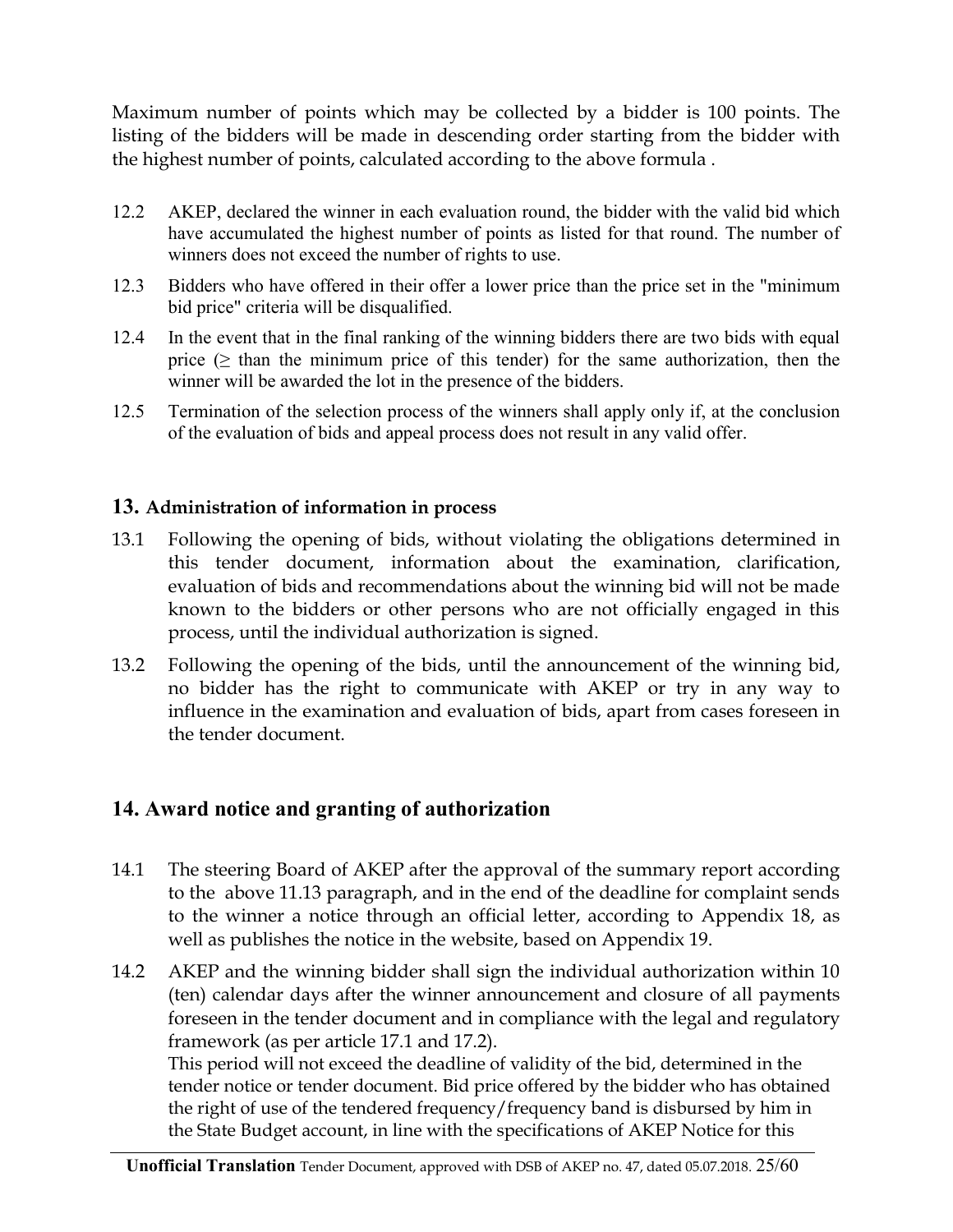Maximum number of points which may be collected by a bidder is 100 points. The listing of the bidders will be made in descending order starting from the bidder with the highest number of points, calculated according to the above formula .

- 12.2 AKEP, declared the winner in each evaluation round, the bidder with the valid bid which have accumulated the highest number of points as listed for that round. The number of winners does not exceed the number of rights to use.
- 12.3 Bidders who have offered in their offer a lower price than the price set in the "minimum bid price" criteria will be disqualified.
- 12.4 In the event that in the final ranking of the winning bidders there are two bids with equal price  $(\geq)$  than the minimum price of this tender) for the same authorization, then the winner will be awarded the lot in the presence of the bidders.
- 12.5 Termination of the selection process of the winners shall apply only if, at the conclusion of the evaluation of bids and appeal process does not result in any valid offer.

### **13. Administration of information in process**

- 13.1 Following the opening of bids, without violating the obligations determined in this tender document, information about the examination, clarification, evaluation of bids and recommendations about the winning bid will not be made known to the bidders or other persons who are not officially engaged in this process, until the individual authorization is signed.
- 13.2 Following the opening of the bids, until the announcement of the winning bid, no bidder has the right to communicate with AKEP or try in any way to influence in the examination and evaluation of bids, apart from cases foreseen in the tender document.

## **14. Award notice and granting of authorization**

- 14.1 The steering Board of AKEP after the approval of the summary report according to the above 11.13 paragraph, and in the end of the deadline for complaint sends to the winner a notice through an official letter, according to Appendix 18, as well as publishes the notice in the website, based on Appendix 19.
- 14.2 AKEP and the winning bidder shall sign the individual authorization within 10 (ten) calendar days after the winner announcement and closure of all payments foreseen in the tender document and in compliance with the legal and regulatory framework (as per article 17.1 and 17.2). This period will not exceed the deadline of validity of the bid, determined in the tender notice or tender document. Bid price offered by the bidder who has obtained the right of use of the tendered frequency/frequency band is disbursed by him in the State Budget account, in line with the specifications of AKEP Notice for this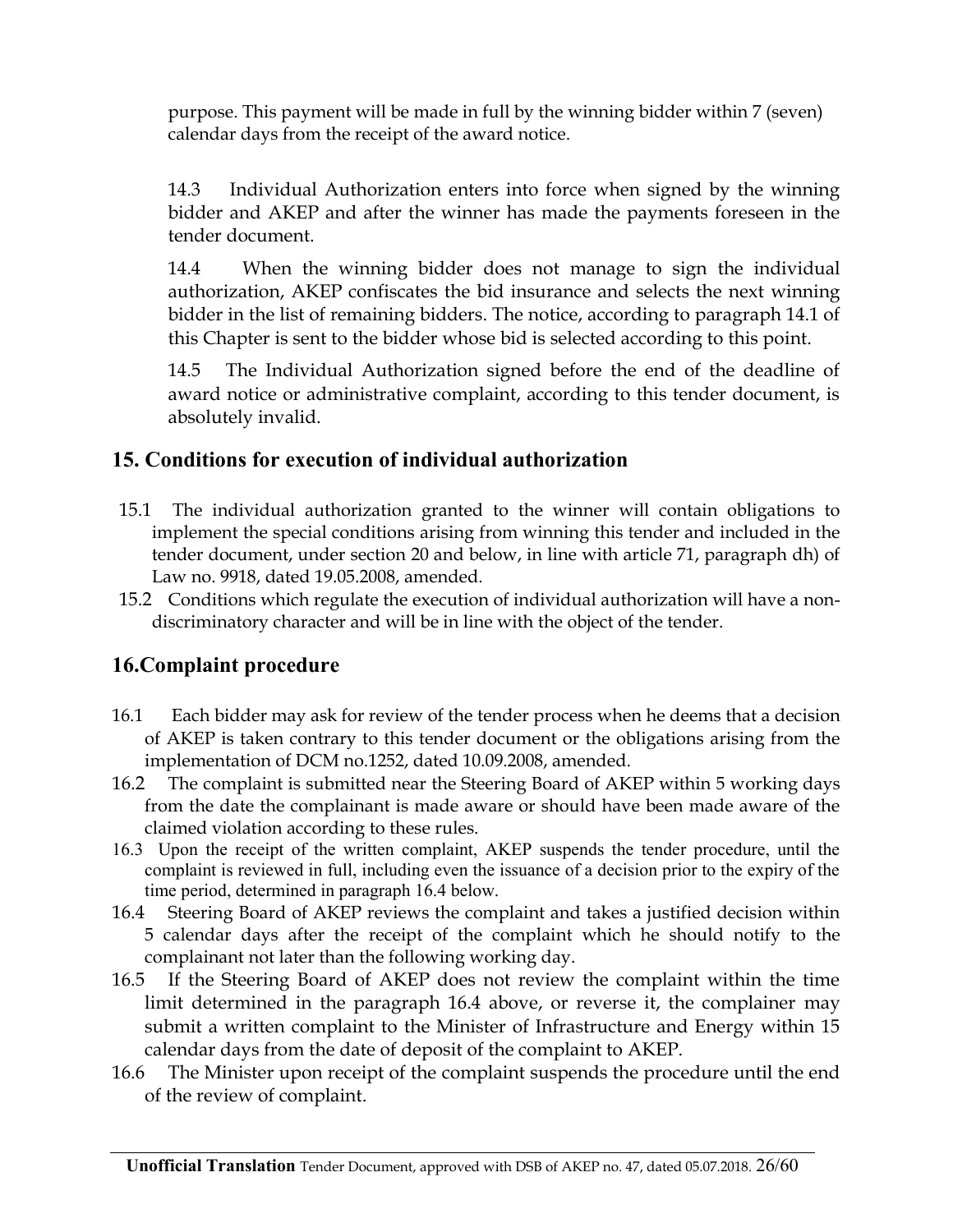purpose. This payment will be made in full by the winning bidder within 7 (seven) calendar days from the receipt of the award notice.

14.3 Individual Authorization enters into force when signed by the winning bidder and AKEP and after the winner has made the payments foreseen in the tender document.

14.4 When the winning bidder does not manage to sign the individual authorization, AKEP confiscates the bid insurance and selects the next winning bidder in the list of remaining bidders. The notice, according to paragraph 14.1 of this Chapter is sent to the bidder whose bid is selected according to this point.

14.5 The Individual Authorization signed before the end of the deadline of award notice or administrative complaint, according to this tender document, is absolutely invalid.

## **15. Conditions for execution of individual authorization**

- 15.1 The individual authorization granted to the winner will contain obligations to implement the special conditions arising from winning this tender and included in the tender document, under section 20 and below, in line with article 71, paragraph dh) of Law no. 9918, dated 19.05.2008, amended.
- 15.2 Conditions which regulate the execution of individual authorization will have a nondiscriminatory character and will be in line with the object of the tender.

## **16.Complaint procedure**

- 16.1 Each bidder may ask for review of the tender process when he deems that a decision of AKEP is taken contrary to this tender document or the obligations arising from the implementation of DCM no.1252, dated 10.09.2008, amended.
- 16.2 The complaint is submitted near the Steering Board of AKEP within 5 working days from the date the complainant is made aware or should have been made aware of the claimed violation according to these rules.
- 16.3 Upon the receipt of the written complaint, AKEP suspends the tender procedure, until the complaint is reviewed in full, including even the issuance of a decision prior to the expiry of the time period, determined in paragraph 16.4 below.
- 16.4 Steering Board of AKEP reviews the complaint and takes a justified decision within 5 calendar days after the receipt of the complaint which he should notify to the complainant not later than the following working day.
- 16.5 If the Steering Board of AKEP does not review the complaint within the time limit determined in the paragraph 16.4 above, or reverse it, the complainer may submit a written complaint to the Minister of Infrastructure and Energy within 15 calendar days from the date of deposit of the complaint to AKEP.
- 16.6 The Minister upon receipt of the complaint suspends the procedure until the end of the review of complaint.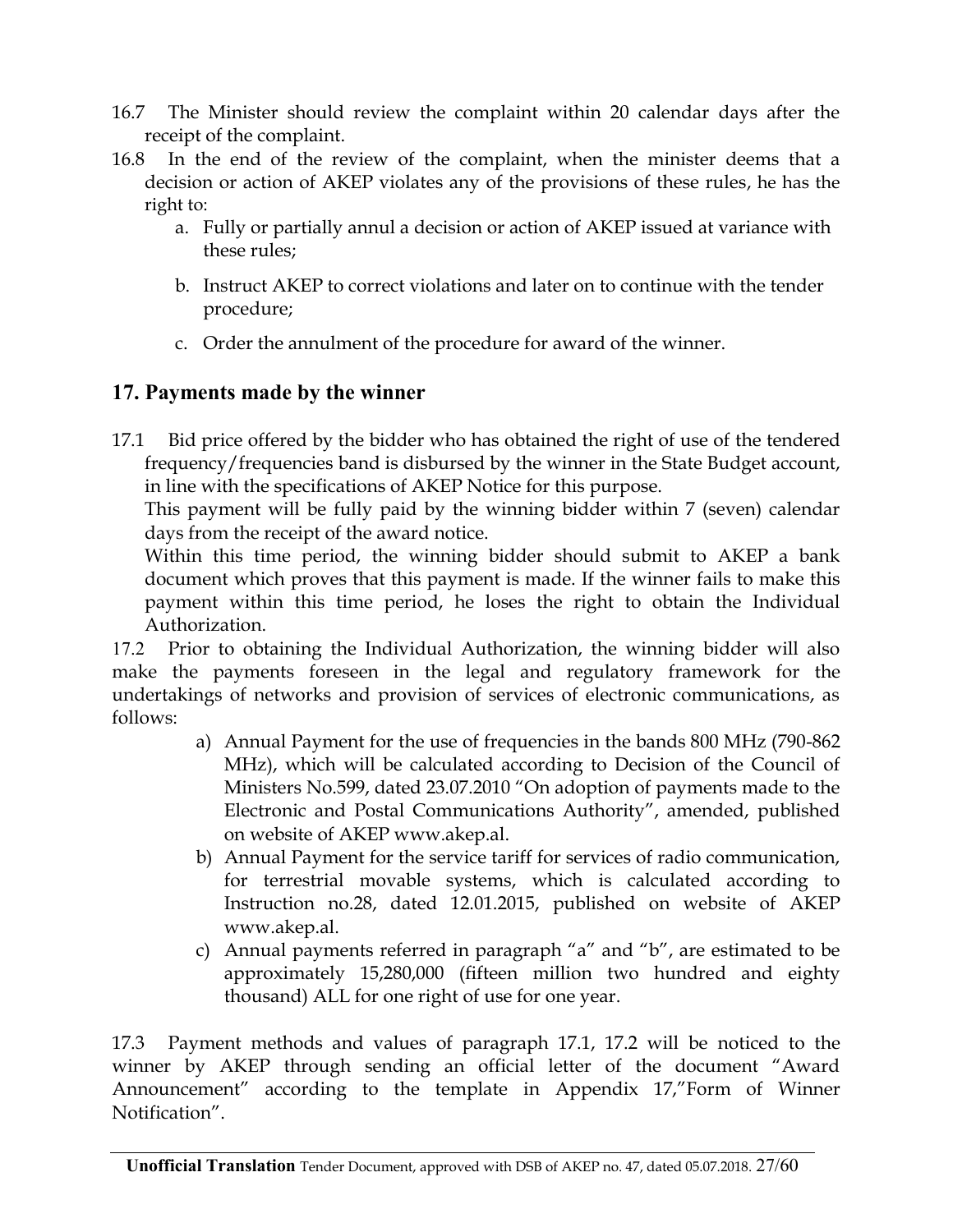- 16.7 The Minister should review the complaint within 20 calendar days after the receipt of the complaint.
- 16.8 In the end of the review of the complaint, when the minister deems that a decision or action of AKEP violates any of the provisions of these rules, he has the right to:
	- a. Fully or partially annul a decision or action of AKEP issued at variance with these rules;
	- b. Instruct AKEP to correct violations and later on to continue with the tender procedure;
	- c. Order the annulment of the procedure for award of the winner.

## **17. Payments made by the winner**

17.1 Bid price offered by the bidder who has obtained the right of use of the tendered frequency/frequencies band is disbursed by the winner in the State Budget account, in line with the specifications of AKEP Notice for this purpose.

This payment will be fully paid by the winning bidder within 7 (seven) calendar days from the receipt of the award notice.

Within this time period, the winning bidder should submit to AKEP a bank document which proves that this payment is made. If the winner fails to make this payment within this time period, he loses the right to obtain the Individual Authorization.

17.2 Prior to obtaining the Individual Authorization, the winning bidder will also make the payments foreseen in the legal and regulatory framework for the undertakings of networks and provision of services of electronic communications, as follows:

- a) Annual Payment for the use of frequencies in the bands 800 MHz (790-862 MHz), which will be calculated according to Decision of the Council of Ministers No.599, dated 23.07.2010 "On adoption of payments made to the Electronic and Postal Communications Authority", amended, published on website of AKEP www.akep.al.
- b) Annual Payment for the service tariff for services of radio communication, for terrestrial movable systems, which is calculated according to Instruction no.28, dated 12.01.2015, published on website of AKEP www.akep.al.
- c) Annual payments referred in paragraph "a" and "b", are estimated to be approximately 15,280,000 (fifteen million two hundred and eighty thousand) ALL for one right of use for one year.

17.3 Payment methods and values of paragraph 17.1, 17.2 will be noticed to the winner by AKEP through sending an official letter of the document "Award Announcement" according to the template in Appendix 17,"Form of Winner Notification".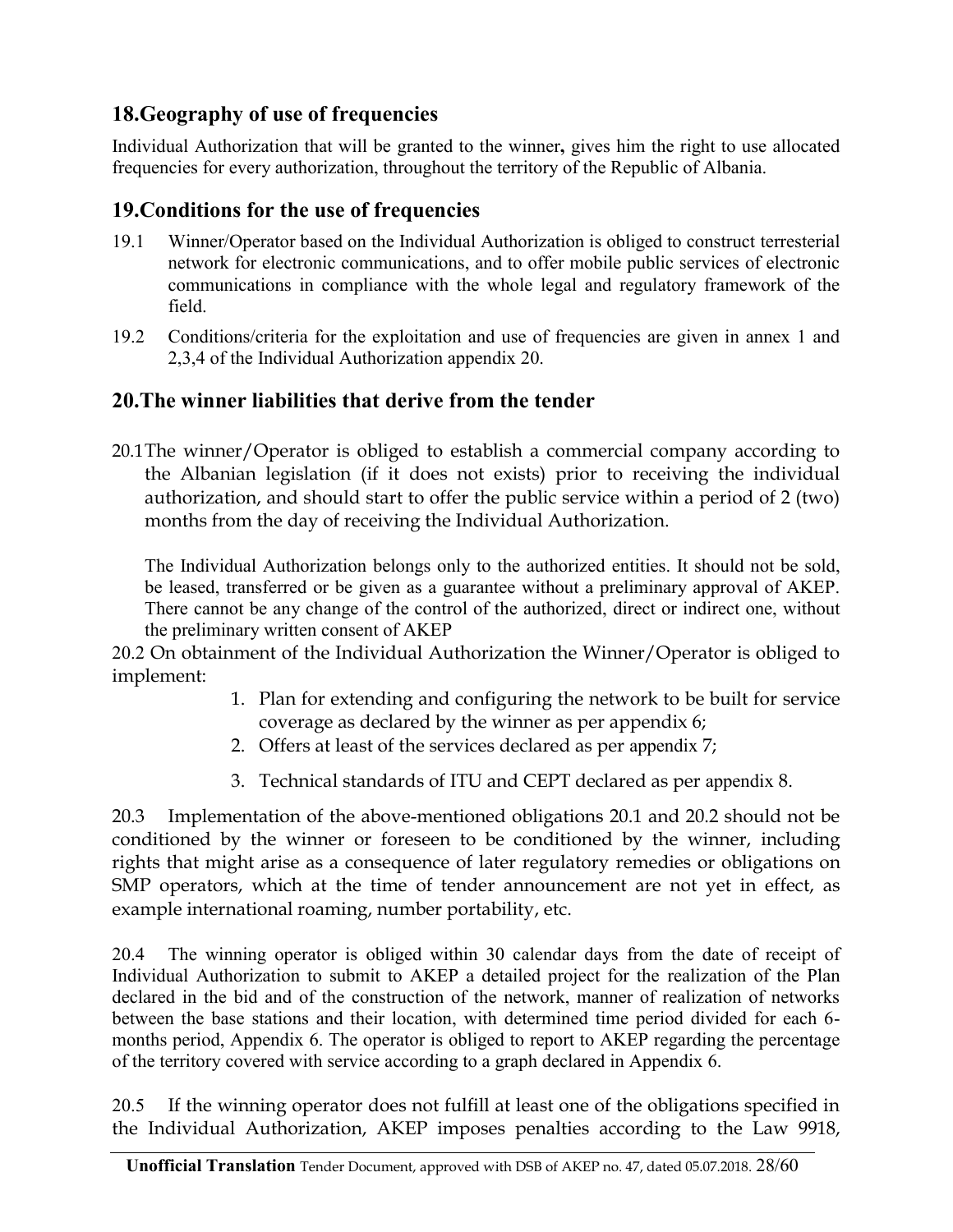## **18.Geography of use of frequencies**

Individual Authorization that will be granted to the winner**,** gives him the right to use allocated frequencies for every authorization, throughout the territory of the Republic of Albania.

### **19.Conditions for the use of frequencies**

- 19.1 Winner/Operator based on the Individual Authorization is obliged to construct terresterial network for electronic communications, and to offer mobile public services of electronic communications in compliance with the whole legal and regulatory framework of the field.
- 19.2 Conditions/criteria for the exploitation and use of frequencies are given in annex 1 and 2,3,4 of the Individual Authorization appendix 20.

## <span id="page-27-0"></span>**20.The winner liabilities that derive from the tender**

20.1The winner/Operator is obliged to establish a commercial company according to the Albanian legislation (if it does not exists) prior to receiving the individual authorization, and should start to offer the public service within a period of 2 (two) months from the day of receiving the Individual Authorization.

The Individual Authorization belongs only to the authorized entities. It should not be sold, be leased, transferred or be given as a guarantee without a preliminary approval of AKEP. There cannot be any change of the control of the authorized, direct or indirect one, without the preliminary written consent of AKEP

20.2 On obtainment of the Individual Authorization the Winner/Operator is obliged to implement:

- 1. Plan for extending and configuring the network to be built for service coverage as declared by the winner as per appendix 6;
- 2. Offers at least of the services declared as per appendix 7;
- 3. Technical standards of ITU and CEPT declared as per appendix 8.

20.3 Implementation of the above-mentioned obligations 20.1 and 20.2 should not be conditioned by the winner or foreseen to be conditioned by the winner, including rights that might arise as a consequence of later regulatory remedies or obligations on SMP operators, which at the time of tender announcement are not yet in effect, as example international roaming, number portability, etc.

20.4 The winning operator is obliged within 30 calendar days from the date of receipt of Individual Authorization to submit to AKEP a detailed project for the realization of the Plan declared in the bid and of the construction of the network, manner of realization of networks between the base stations and their location, with determined time period divided for each 6 months period, Appendix 6. The operator is obliged to report to AKEP regarding the percentage of the territory covered with service according to a graph declared in Appendix 6.

20.5 If the winning operator does not fulfill at least one of the obligations specified in the Individual Authorization, AKEP imposes penalties according to the Law 9918,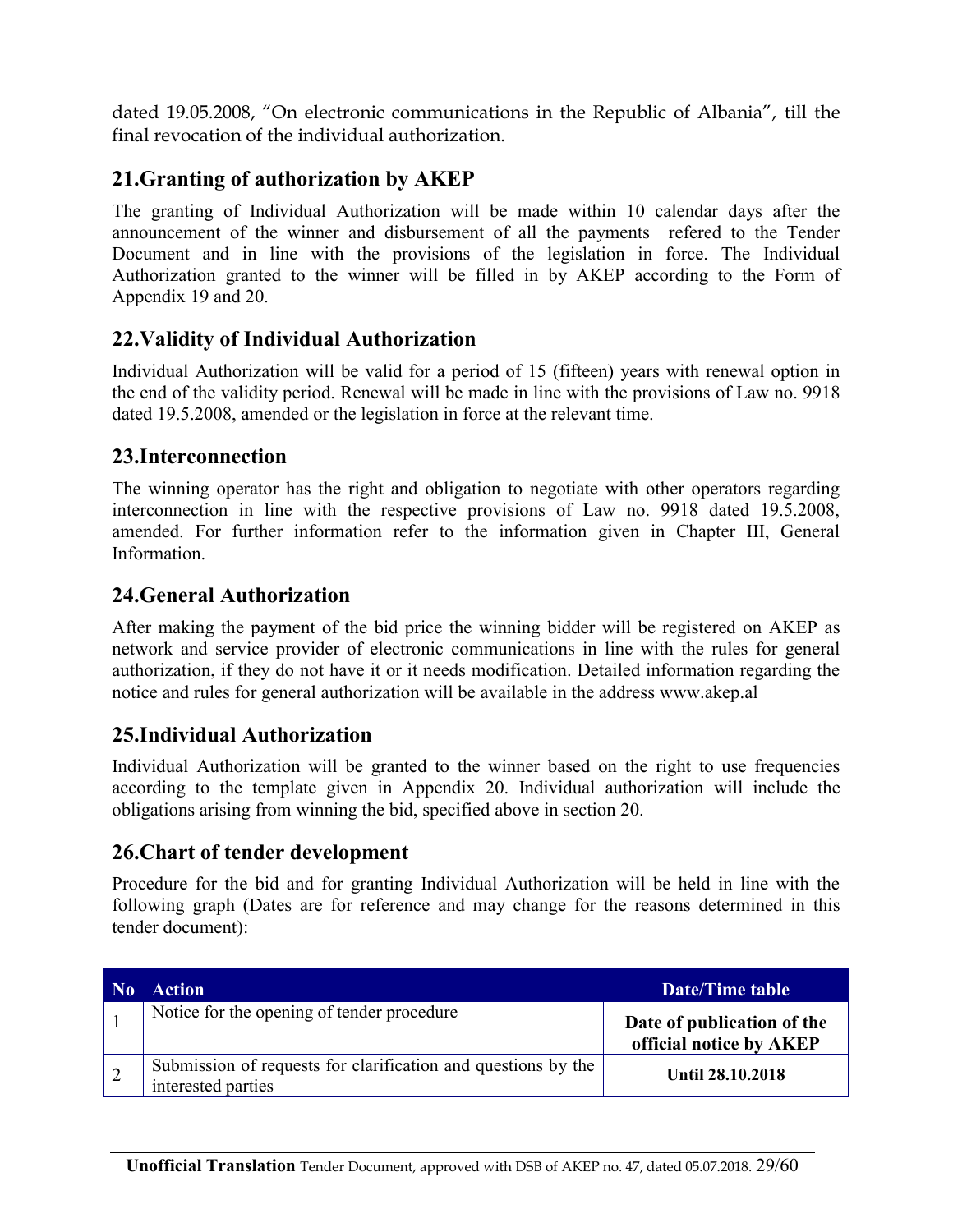dated 19.05.2008, "On electronic communications in the Republic of Albania", till the final revocation of the individual authorization.

### **21.Granting of authorization by AKEP**

The granting of Individual Authorization will be made within 10 calendar days after the announcement of the winner and disbursement of all the payments refered to the Tender Document and in line with the provisions of the legislation in force. The Individual Authorization granted to the winner will be filled in by AKEP according to the Form of Appendix 19 and 20.

### **22.Validity of Individual Authorization**

Individual Authorization will be valid for a period of 15 (fifteen) years with renewal option in the end of the validity period. Renewal will be made in line with the provisions of Law no. 9918 dated 19.5.2008, amended or the legislation in force at the relevant time.

### **23.Interconnection**

The winning operator has the right and obligation to negotiate with other operators regarding interconnection in line with the respective provisions of Law no. 9918 dated 19.5.2008, amended. For further information refer to the information given in Chapter III, General Information.

### **24.General Authorization**

After making the payment of the bid price the winning bidder will be registered on AKEP as network and service provider of electronic communications in line with the rules for general authorization, if they do not have it or it needs modification. Detailed information regarding the notice and rules for general authorization will be available in the address www.akep.al

### **25.Individual Authorization**

Individual Authorization will be granted to the winner based on the right to use frequencies according to the template given in Appendix 20. Individual authorization will include the obligations arising from winning the bid, specified above in section 20.

#### **26.Chart of tender development**

Procedure for the bid and for granting Individual Authorization will be held in line with the following graph (Dates are for reference and may change for the reasons determined in this tender document):

| No. | <b>Action</b>                                                                       | Date/Time table                                       |
|-----|-------------------------------------------------------------------------------------|-------------------------------------------------------|
|     | Notice for the opening of tender procedure                                          | Date of publication of the<br>official notice by AKEP |
|     | Submission of requests for clarification and questions by the<br>interested parties | <b>Until 28.10.2018</b>                               |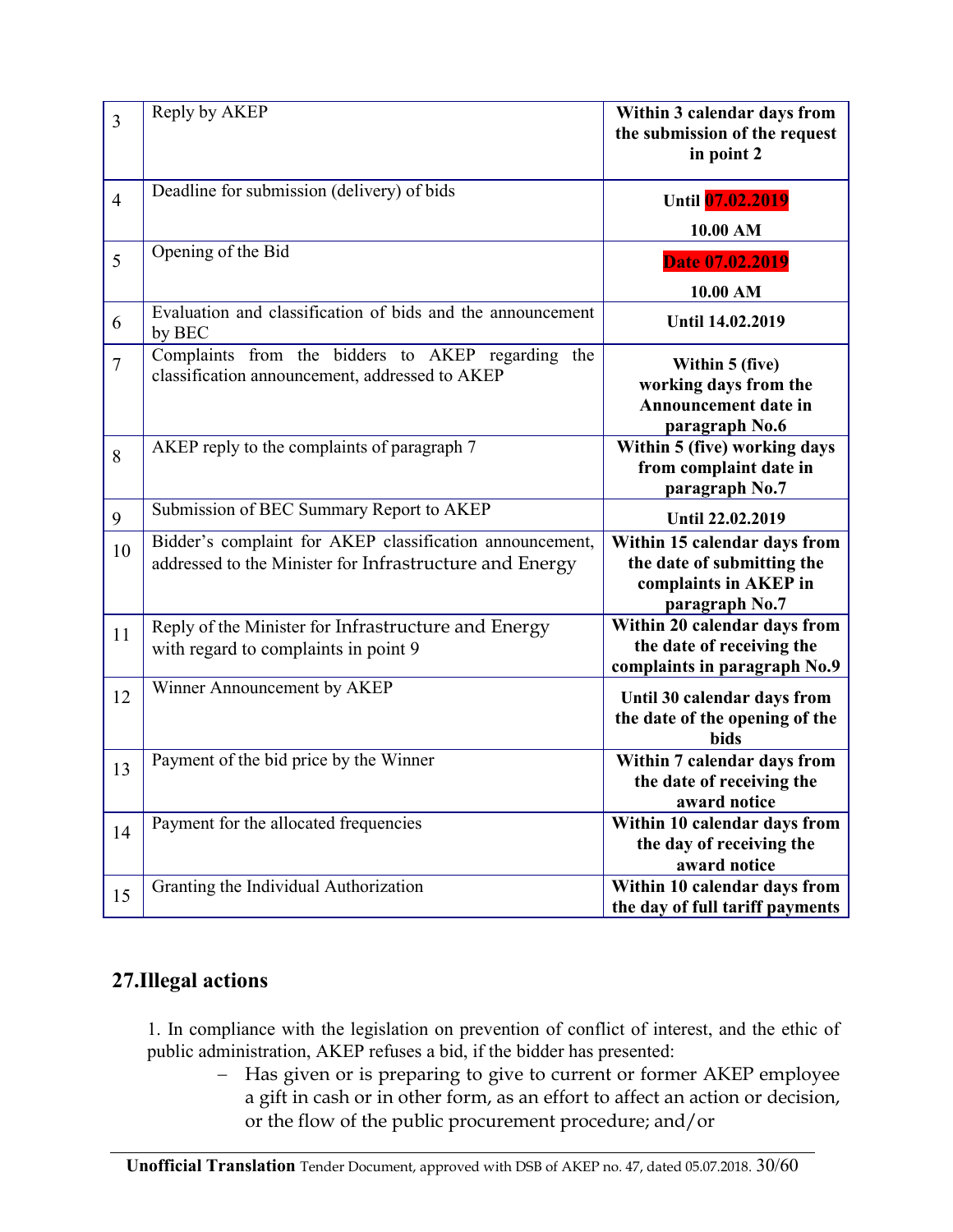| $\overline{3}$ | Reply by AKEP                                                                                                       | Within 3 calendar days from<br>the submission of the request<br>in point 2                            |
|----------------|---------------------------------------------------------------------------------------------------------------------|-------------------------------------------------------------------------------------------------------|
| $\overline{4}$ | Deadline for submission (delivery) of bids                                                                          | Until 07.02.2019<br>10.00 AM                                                                          |
| 5              | Opening of the Bid                                                                                                  | Date 07.02.2019<br>10.00 AM                                                                           |
| 6              | Evaluation and classification of bids and the announcement<br>by BEC                                                | Until 14.02.2019                                                                                      |
| $\overline{7}$ | Complaints from the bidders to AKEP regarding the<br>classification announcement, addressed to AKEP                 | Within 5 (five)<br>working days from the<br><b>Announcement date in</b><br>paragraph No.6             |
| 8              | AKEP reply to the complaints of paragraph 7                                                                         | Within 5 (five) working days<br>from complaint date in<br>paragraph No.7                              |
| 9              | Submission of BEC Summary Report to AKEP                                                                            | Until 22.02.2019                                                                                      |
| 10             | Bidder's complaint for AKEP classification announcement,<br>addressed to the Minister for Infrastructure and Energy | Within 15 calendar days from<br>the date of submitting the<br>complaints in AKEP in<br>paragraph No.7 |
| 11             | Reply of the Minister for Infrastructure and Energy<br>with regard to complaints in point 9                         | Within 20 calendar days from<br>the date of receiving the<br>complaints in paragraph No.9             |
| 12             | Winner Announcement by AKEP                                                                                         | Until 30 calendar days from<br>the date of the opening of the<br><b>bids</b>                          |
| 13             | Payment of the bid price by the Winner                                                                              | Within 7 calendar days from<br>the date of receiving the<br>award notice                              |
| 14             | Payment for the allocated frequencies                                                                               | Within 10 calendar days from<br>the day of receiving the<br>award notice                              |
| 15             | Granting the Individual Authorization                                                                               | Within 10 calendar days from<br>the day of full tariff payments                                       |

## **27.Illegal actions**

 1. In compliance with the legislation on prevention of conflict of interest, and the ethic of public administration, AKEP refuses a bid, if the bidder has presented:

- Has given or is preparing to give to current or former AKEP employee a gift in cash or in other form, as an effort to affect an action or decision, or the flow of the public procurement procedure; and/or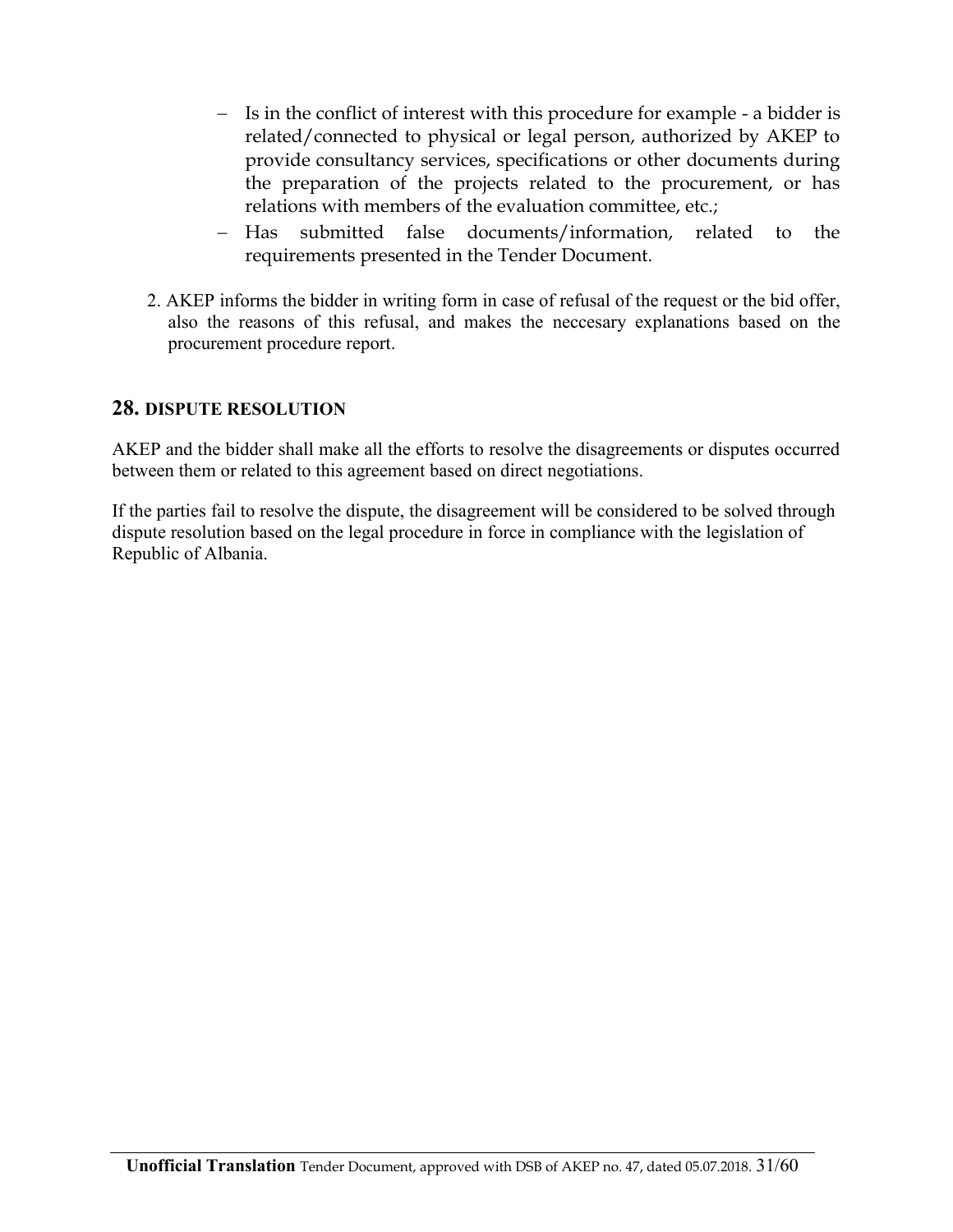- Is in the conflict of interest with this procedure for example a bidder is related/connected to physical or legal person, authorized by AKEP to provide consultancy services, specifications or other documents during the preparation of the projects related to the procurement, or has relations with members of the evaluation committee, etc.;
- Has submitted false documents/information, related to the requirements presented in the Tender Document.
- 2. AKEP informs the bidder in writing form in case of refusal of the request or the bid offer, also the reasons of this refusal, and makes the neccesary explanations based on the procurement procedure report.

#### **28. DISPUTE RESOLUTION**

AKEP and the bidder shall make all the efforts to resolve the disagreements or disputes occurred between them or related to this agreement based on direct negotiations.

If the parties fail to resolve the dispute, the disagreement will be considered to be solved through dispute resolution based on the legal procedure in force in compliance with the legislation of Republic of Albania.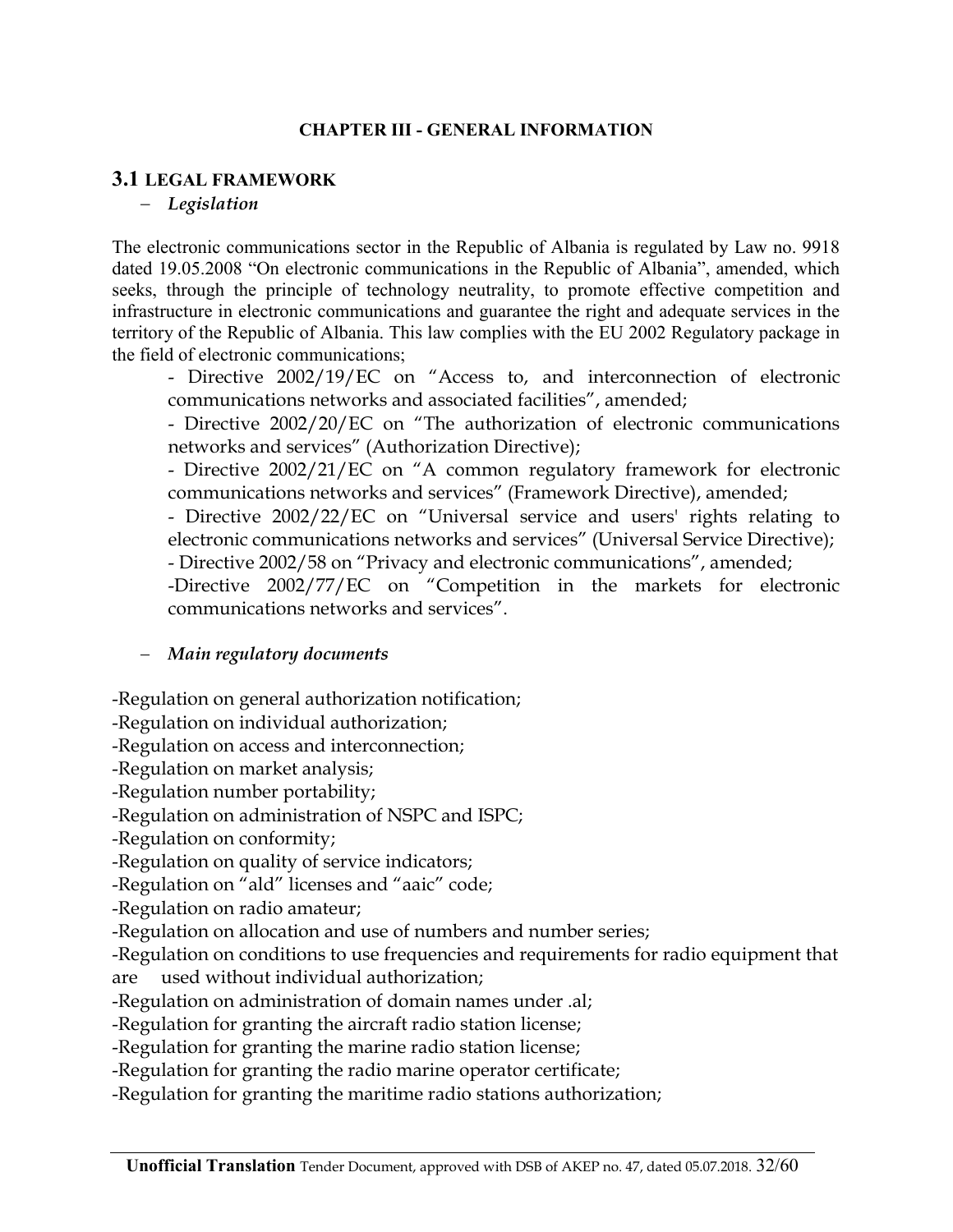#### **CHAPTER III - GENERAL INFORMATION**

#### **3.1 LEGAL FRAMEWORK**

#### *Legislation*

The electronic communications sector in the Republic of Albania is regulated by Law no. 9918 dated 19.05.2008 "On electronic communications in the Republic of Albania", amended, which seeks, through the principle of technology neutrality, to promote effective competition and infrastructure in electronic communications and guarantee the right and adequate services in the territory of the Republic of Albania. This law complies with the EU 2002 Regulatory package in the field of electronic communications;

- Directive 2002/19/EC on "Access to, and interconnection of electronic communications networks and associated facilities", amended;

- Directive 2002/20/EC on "The authorization of electronic communications networks and services" (Authorization Directive);

- Directive 2002/21/EC on "A common regulatory framework for electronic communications networks and services" (Framework Directive), amended;

- Directive 2002/22/EC on "Universal service and users' rights relating to electronic communications networks and services" (Universal Service Directive);

- Directive 2002/58 on "Privacy and electronic communications", amended;

-Directive 2002/77/EC on "Competition in the markets for electronic communications networks and services".

#### *Main regulatory documents*

-Regulation on general authorization notification;

-Regulation on individual authorization;

-Regulation on access and interconnection;

-Regulation on market analysis;

-Regulation number portability;

-Regulation on administration of NSPC and ISPC;

-Regulation on conformity;

-Regulation on quality of service indicators;

-Regulation on "ald" licenses and "aaic" code;

-Regulation on radio amateur;

-Regulation on allocation and use of numbers and number series;

-Regulation on conditions to use frequencies and requirements for radio equipment that are used without individual authorization;

-Regulation on administration of domain names under .al;

-Regulation for granting the aircraft radio station license;

-Regulation for granting the marine radio station license;

-Regulation for granting the radio marine operator certificate;

-Regulation for granting the maritime radio stations authorization;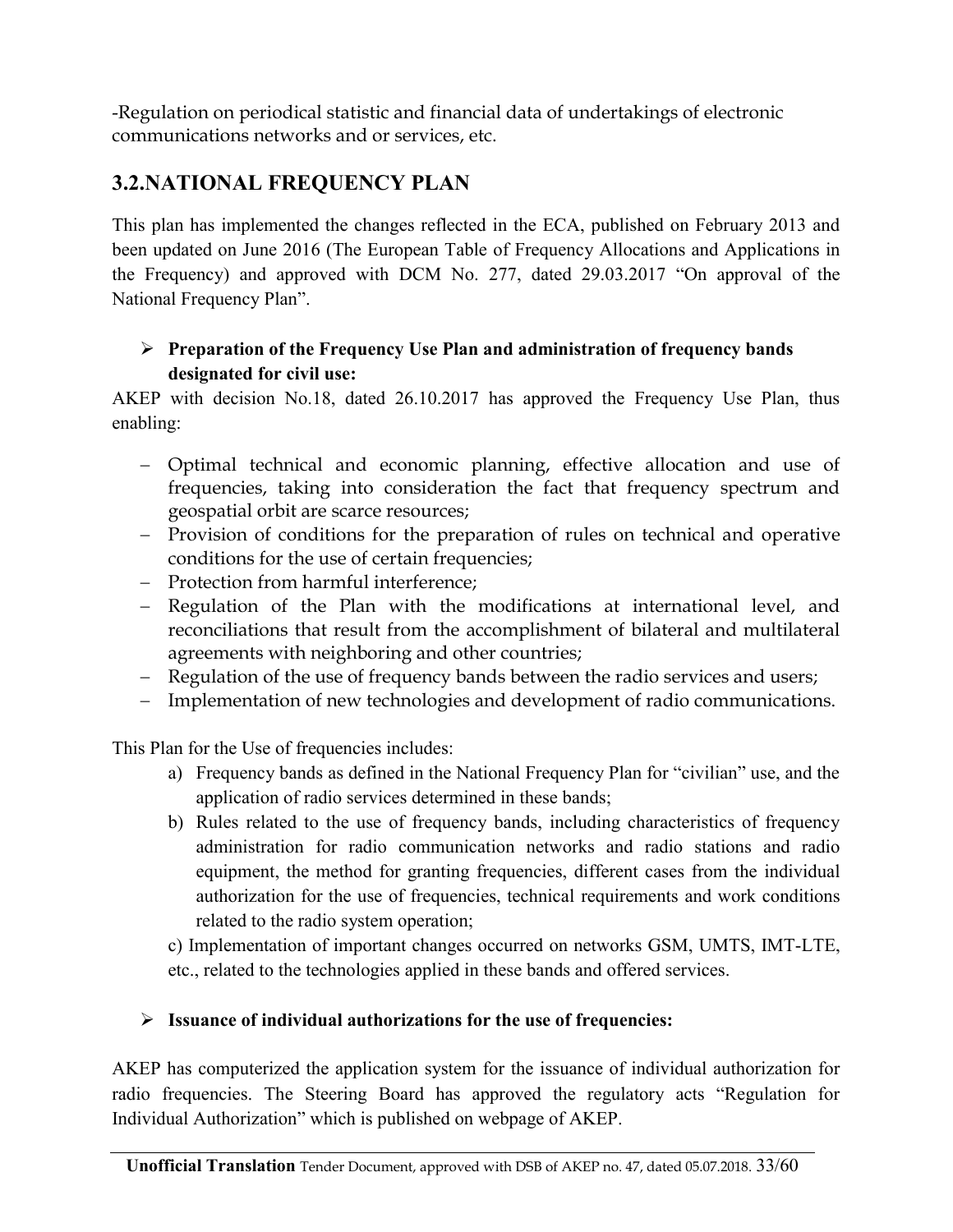-Regulation on periodical statistic and financial data of undertakings of electronic communications networks and or services, etc.

## **3.2.NATIONAL FREQUENCY PLAN**

This plan has implemented the changes reflected in the ECA, published on February 2013 and been updated on June 2016 (The European Table of Frequency Allocations and Applications in the Frequency) and approved with DCM No. 277, dated 29.03.2017 "On approval of the National Frequency Plan".

### **Preparation of the Frequency Use Plan and administration of frequency bands designated for civil use:**

AKEP with decision No.18, dated 26.10.2017 has approved the Frequency Use Plan, thus enabling:

- Optimal technical and economic planning, effective allocation and use of frequencies, taking into consideration the fact that frequency spectrum and geospatial orbit are scarce resources;
- Provision of conditions for the preparation of rules on technical and operative conditions for the use of certain frequencies;
- Protection from harmful interference;
- Regulation of the Plan with the modifications at international level, and reconciliations that result from the accomplishment of bilateral and multilateral agreements with neighboring and other countries;
- Regulation of the use of frequency bands between the radio services and users;
- Implementation of new technologies and development of radio communications.

This Plan for the Use of frequencies includes:

- a) Frequency bands as defined in the National Frequency Plan for "civilian" use, and the application of radio services determined in these bands;
- b) Rules related to the use of frequency bands, including characteristics of frequency administration for radio communication networks and radio stations and radio equipment, the method for granting frequencies, different cases from the individual authorization for the use of frequencies, technical requirements and work conditions related to the radio system operation;

c) Implementation of important changes occurred on networks GSM, UMTS, IMT-LTE, etc., related to the technologies applied in these bands and offered services.

#### **Issuance of individual authorizations for the use of frequencies:**

AKEP has computerized the application system for the issuance of individual authorization for radio frequencies. The Steering Board has approved the regulatory acts "Regulation for Individual Authorization" which is published on webpage of AKEP.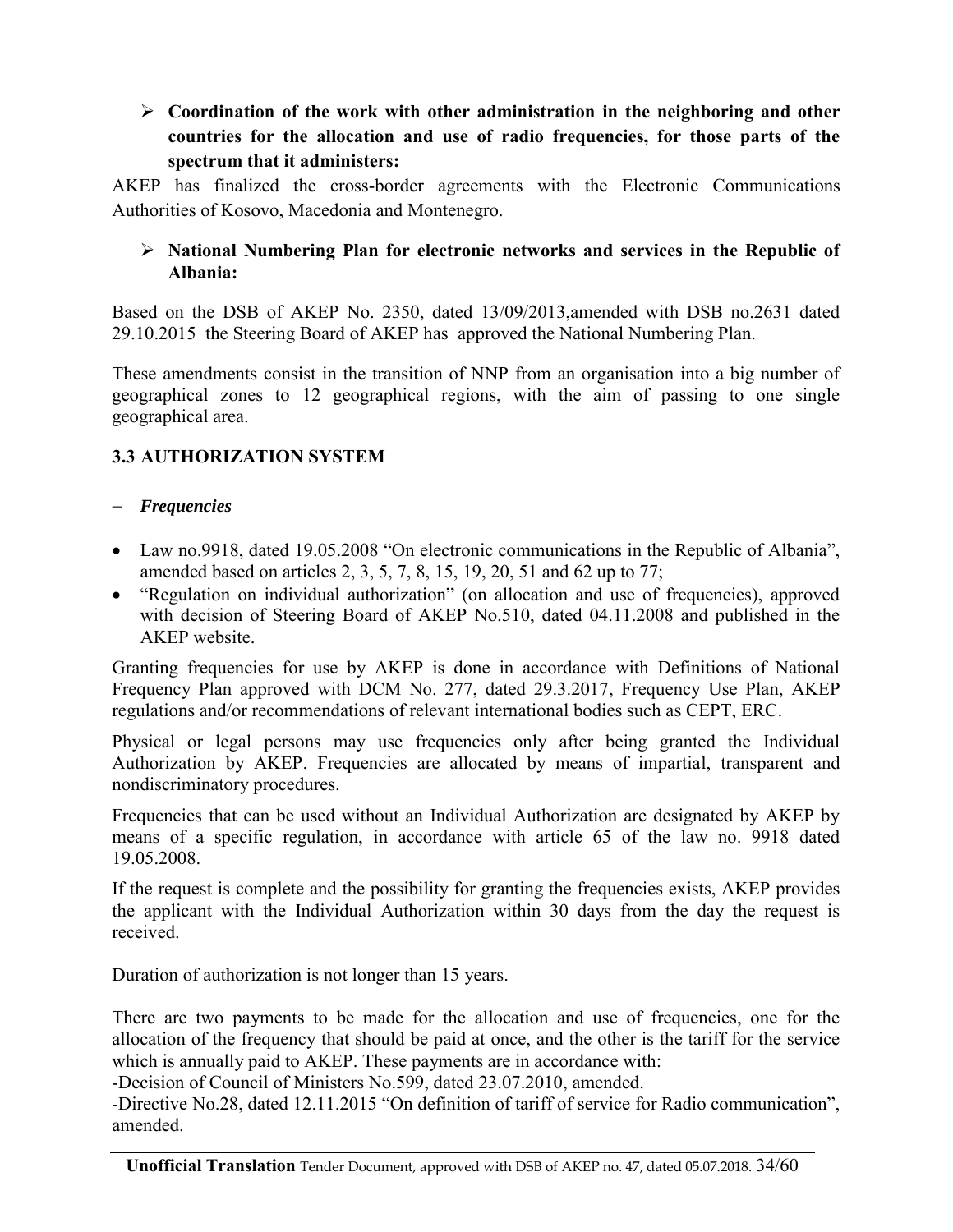### **Coordination of the work with other administration in the neighboring and other countries for the allocation and use of radio frequencies, for those parts of the spectrum that it administers:**

AKEP has finalized the cross-border agreements with the Electronic Communications Authorities of Kosovo, Macedonia and Montenegro.

#### **National Numbering Plan for electronic networks and services in the Republic of Albania:**

<span id="page-33-0"></span>Based on the DSB of AKEP No. 2350, dated 13/09/2013,amended with DSB no.2631 dated 29.10.2015 the Steering Board of AKEP has approved the National Numbering Plan.

These amendments consist in the transition of NNP from an organisation into a big number of geographical zones to 12 geographical regions, with the aim of passing to one single geographical area.

### **3.3 AUTHORIZATION SYSTEM**

#### *Frequencies*

- Law no.9918, dated 19.05.2008 "On electronic communications in the Republic of Albania", amended based on articles 2, 3, 5, 7, 8, 15, 19, 20, 51 and 62 up to 77;
- "Regulation on individual authorization" (on allocation and use of frequencies), approved with decision of Steering Board of AKEP No.510, dated 04.11.2008 and published in the AKEP website.

Granting frequencies for use by AKEP is done in accordance with Definitions of National Frequency Plan approved with DCM No. 277, dated 29.3.2017, Frequency Use Plan, AKEP regulations and/or recommendations of relevant international bodies such as CEPT, ERC.

Physical or legal persons may use frequencies only after being granted the Individual Authorization by AKEP. Frequencies are allocated by means of impartial, transparent and nondiscriminatory procedures.

Frequencies that can be used without an Individual Authorization are designated by AKEP by means of a specific regulation, in accordance with article 65 of the law no. 9918 dated 19.05.2008.

If the request is complete and the possibility for granting the frequencies exists, AKEP provides the applicant with the Individual Authorization within 30 days from the day the request is received.

Duration of authorization is not longer than 15 years.

There are two payments to be made for the allocation and use of frequencies, one for the allocation of the frequency that should be paid at once, and the other is the tariff for the service which is annually paid to AKEP. These payments are in accordance with:

-Decision of Council of Ministers No.599, dated 23.07.2010, amended.

-Directive No.28, dated 12.11.2015 "On definition of tariff of service for Radio communication", amended.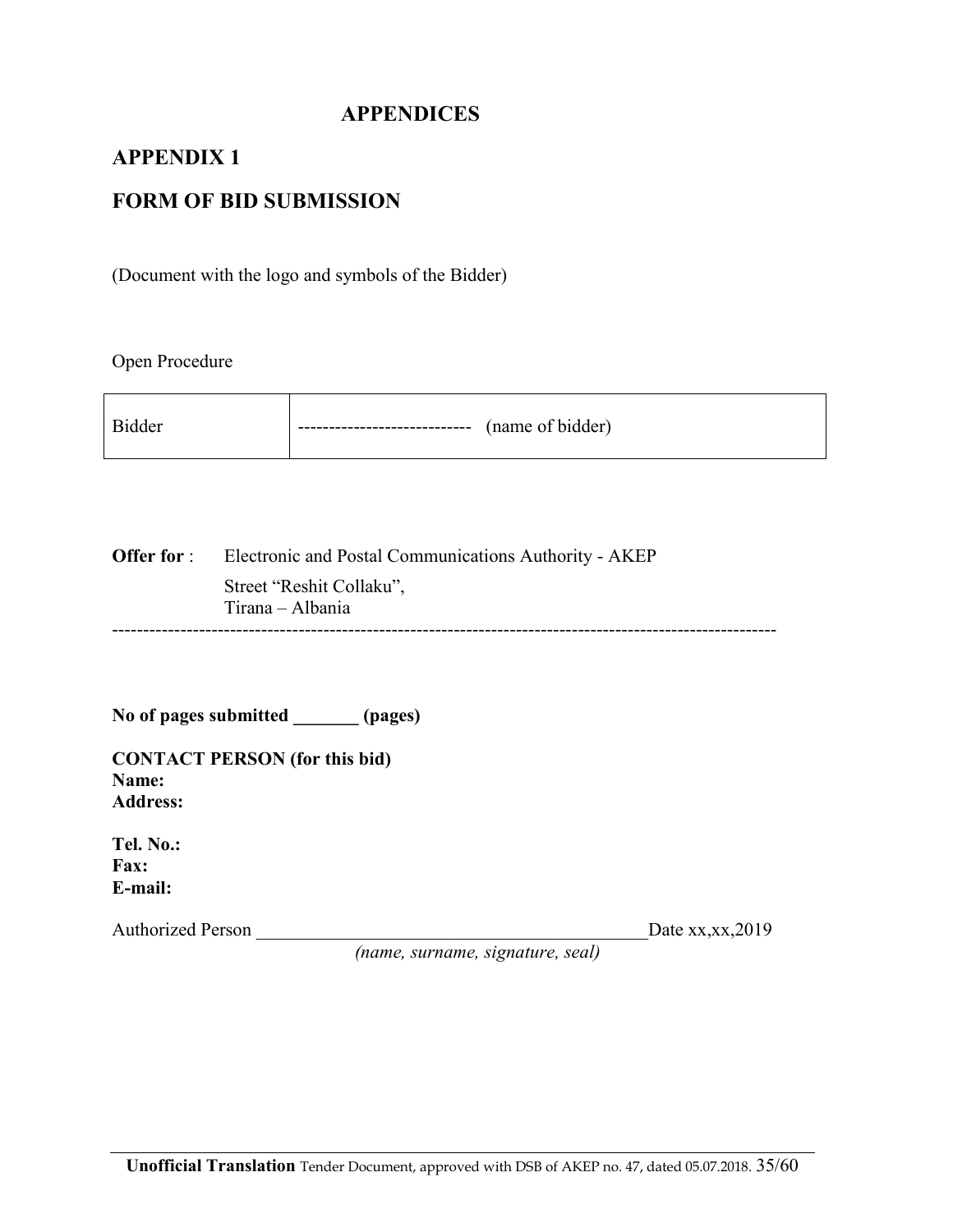### **APPENDICES**

#### **APPENDIX 1**

### **FORM OF BID SUBMISSION**

(Document with the logo and symbols of the Bidder)

Open Procedure

| <b>Bidder</b> | ----------------------------- | (name of bidder) |
|---------------|-------------------------------|------------------|
|               |                               |                  |

**Offer for** : Electronic and Postal Communications Authority - AKEP Street "Reshit Collaku", Tirana – Albania -----------------------------------------------------------------------------------------------------------

**No of pages submitted \_\_\_\_\_\_\_ (pages)** 

**CONTACT PERSON (for this bid) Name: Address:** 

**Tel. No.: Fax: E-mail:** 

Authorized Person \_\_\_\_\_\_\_\_\_\_\_\_\_\_\_\_\_\_\_\_\_\_\_\_\_\_\_\_\_\_\_\_\_\_\_\_\_\_\_\_\_\_Date xx,xx,2019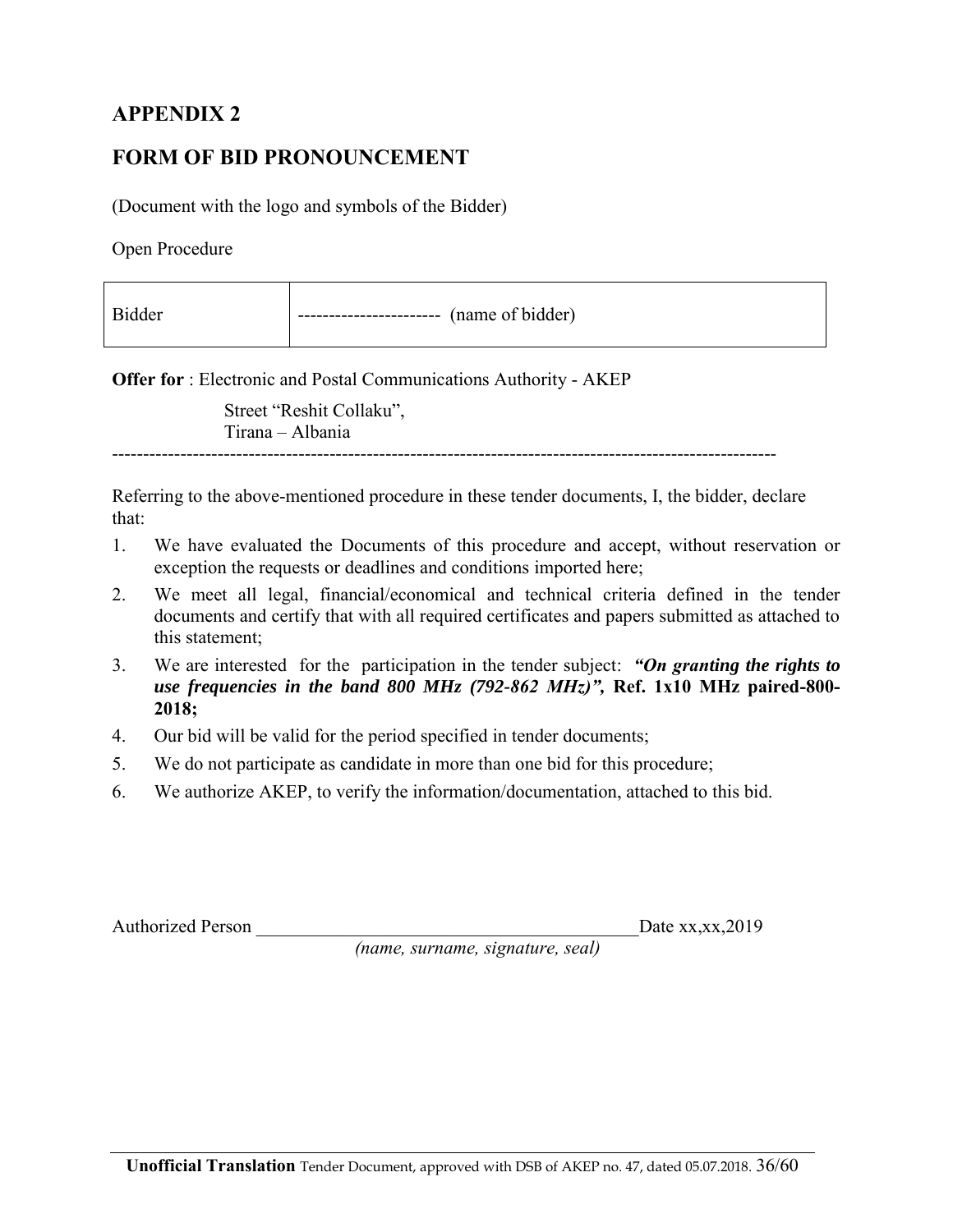## **FORM OF BID PRONOUNCEMENT**

(Document with the logo and symbols of the Bidder)

Open Procedure

| <b>Bidder</b> | (name of bidder)<br>------------------------ |  |
|---------------|----------------------------------------------|--|
|---------------|----------------------------------------------|--|

**Offer for** : Electronic and Postal Communications Authority - AKEP

Street "Reshit Collaku", Tirana – Albania

-----------------------------------------------------------------------------------------------------------

Referring to the above-mentioned procedure in these tender documents, I, the bidder, declare that:

- 1. We have evaluated the Documents of this procedure and accept, without reservation or exception the requests or deadlines and conditions imported here;
- 2. We meet all legal, financial/economical and technical criteria defined in the tender documents and certify that with all required certificates and papers submitted as attached to this statement;
- 3. We are interested for the participation in the tender subject: *"On granting the rights to use frequencies in the band 800 MHz (792-862 MHz)",* **Ref. 1x10 MHz paired-800- 2018;**
- 4. Our bid will be valid for the period specified in tender documents;
- 5. We do not participate as candidate in more than one bid for this procedure;
- 6. We authorize AKEP, to verify the information/documentation, attached to this bid.

Authorized Person Date xx,xx,2019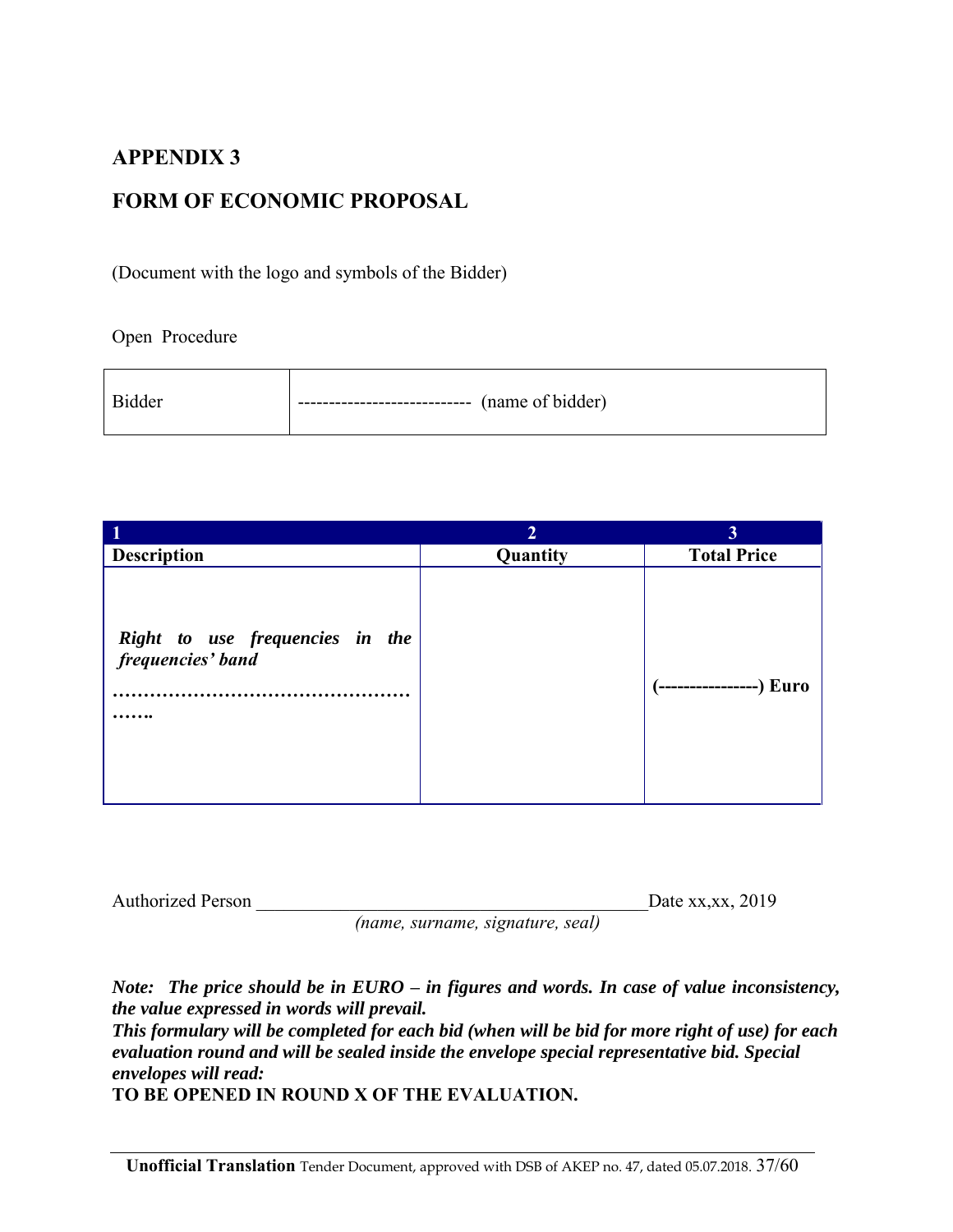## **FORM OF ECONOMIC PROPOSAL**

(Document with the logo and symbols of the Bidder)

Open Procedure

| Bidder | ----------------------------- | (name of bidder) |
|--------|-------------------------------|------------------|
|--------|-------------------------------|------------------|

|                                                      | $\overline{2}$ | 3                         |
|------------------------------------------------------|----------------|---------------------------|
| <b>Description</b>                                   | Quantity       | <b>Total Price</b>        |
| Right to use frequencies in the<br>frequencies' band |                | (------------------) Euro |

| <b>Authorized Person</b> |  |  | Date xx, xx, 2019 |
|--------------------------|--|--|-------------------|
|                          |  |  |                   |

*(name, surname, signature, seal)* 

*Note: The price should be in EURO – in figures and words. In case of value inconsistency, the value expressed in words will prevail.* 

*This formulary will be completed for each bid (when will be bid for more right of use) for each evaluation round and will be sealed inside the envelope special representative bid. Special envelopes will read:* 

**TO BE OPENED IN ROUND X OF THE EVALUATION.**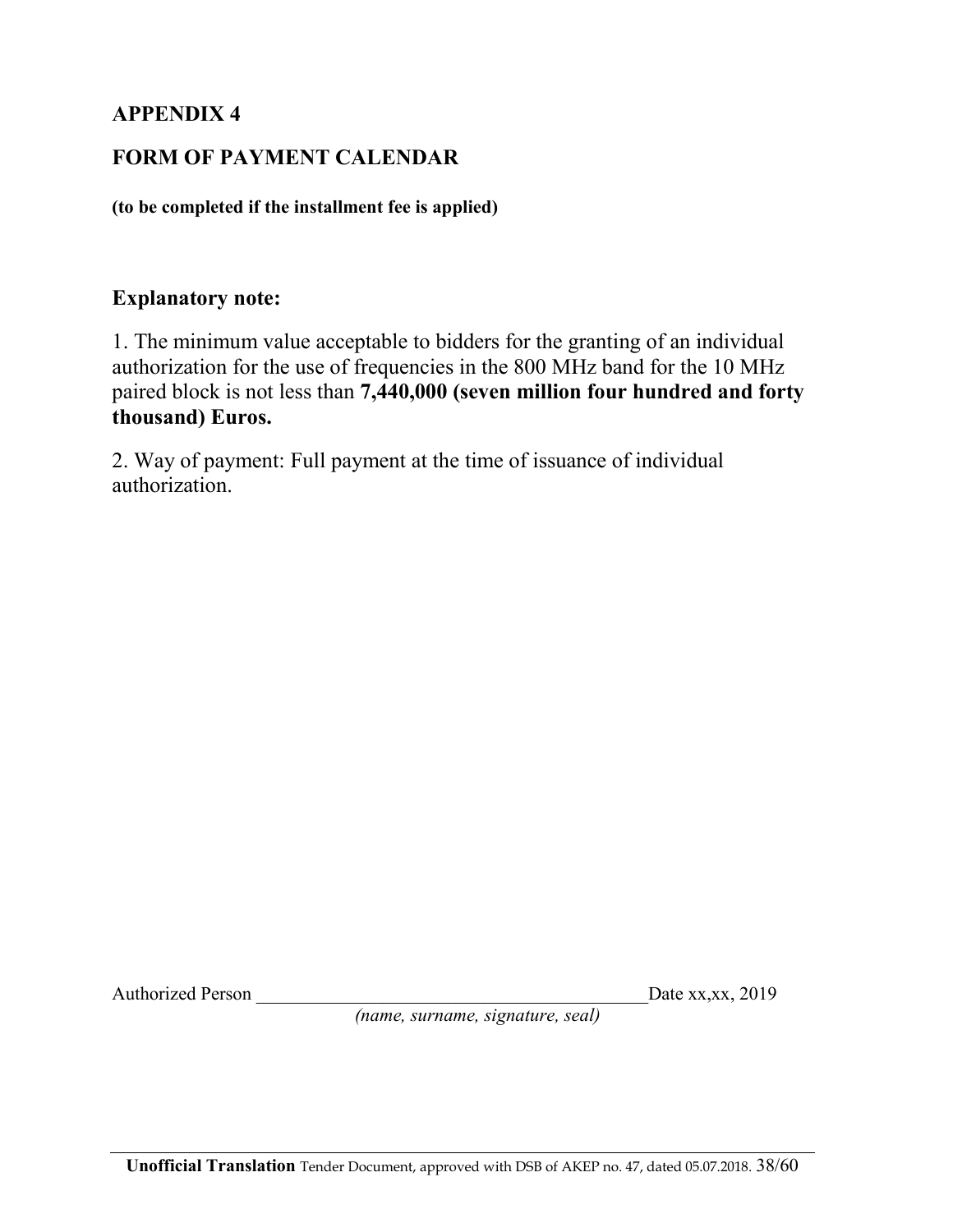## **FORM OF PAYMENT CALENDAR**

**(to be completed if the installment fee is applied)** 

### **Explanatory note:**

1. The minimum value acceptable to bidders for the granting of an individual authorization for the use of frequencies in the 800 MHz band for the 10 MHz paired block is not less than **7,440,000 (seven million four hundred and forty thousand) Euros.** 

2. Way of payment: Full payment at the time of issuance of individual authorization.

Authorized Person Date xx,xx, 2019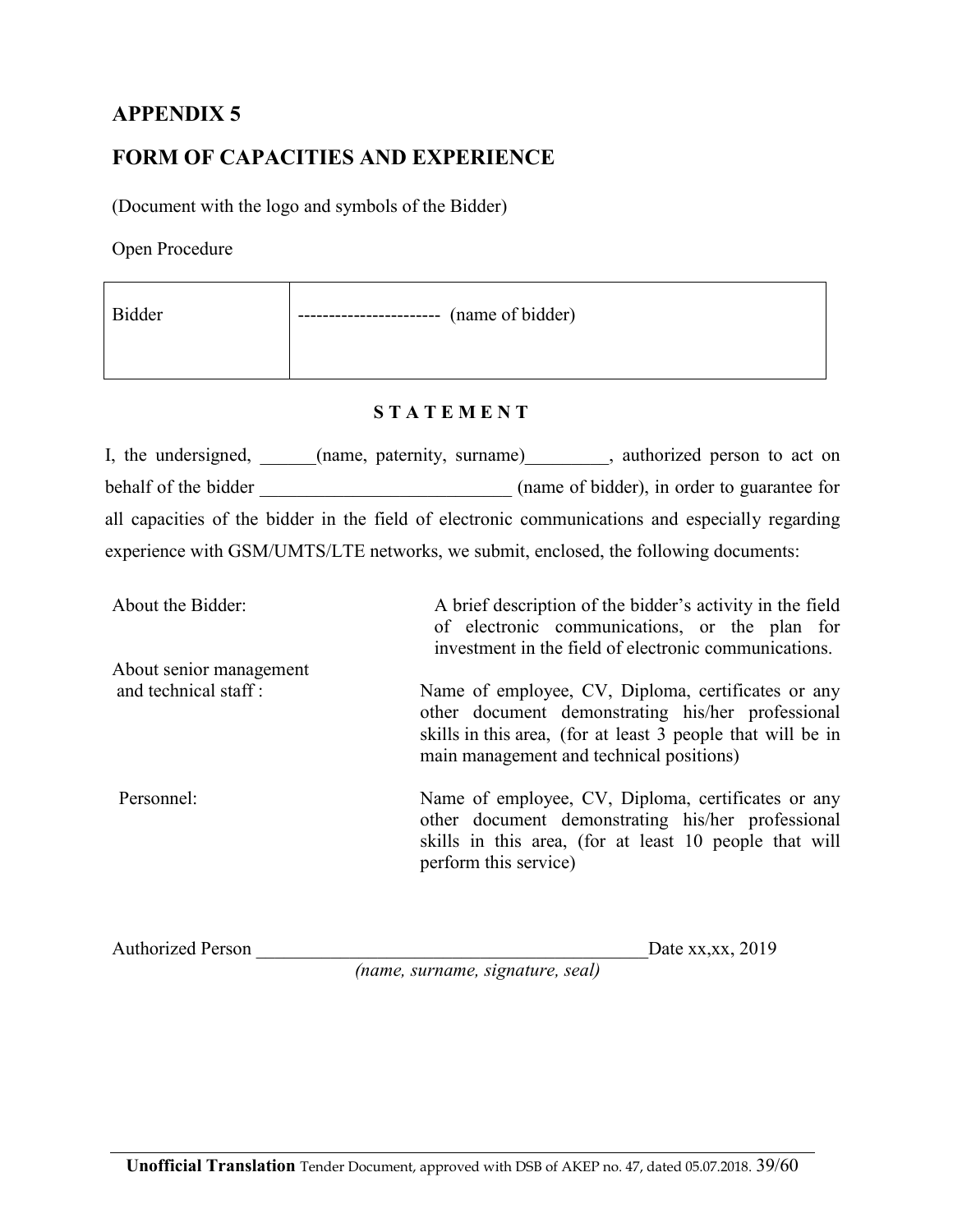## **FORM OF CAPACITIES AND EXPERIENCE**

(Document with the logo and symbols of the Bidder)

Open Procedure

| Bidder | (name of bidder)<br>$- -$ |
|--------|---------------------------|
|        |                           |

#### **S T A T E M E N T**

| I, the undersigned,  | (name, paternity, surname) | authorized person to act on                                                                     |
|----------------------|----------------------------|-------------------------------------------------------------------------------------------------|
| behalf of the bidder |                            | (name of bidder), in order to guarantee for                                                     |
|                      |                            | all capacities of the bidder in the field of electronic communications and especially regarding |
|                      |                            | experience with GSM/UMTS/LTE networks, we submit, enclosed, the following documents:            |

| About the Bidder:       | A brief description of the bidder's activity in the field<br>of electronic communications, or the plan for<br>investment in the field of electronic communications.                                                |
|-------------------------|--------------------------------------------------------------------------------------------------------------------------------------------------------------------------------------------------------------------|
| About senior management |                                                                                                                                                                                                                    |
| and technical staff:    | Name of employee, CV, Diploma, certificates or any<br>other document demonstrating his/her professional<br>skills in this area, (for at least 3 people that will be in<br>main management and technical positions) |
| Personnel:              | Name of employee, CV, Diploma, certificates or any<br>other document demonstrating his/her professional<br>skills in this area, (for at least 10 people that will<br>perform this service)                         |

Authorized Person \_\_\_\_\_\_\_\_\_\_\_\_\_\_\_\_\_\_\_\_\_\_\_\_\_\_\_\_\_\_\_\_\_\_\_\_\_\_\_\_\_\_Date xx,xx, 2019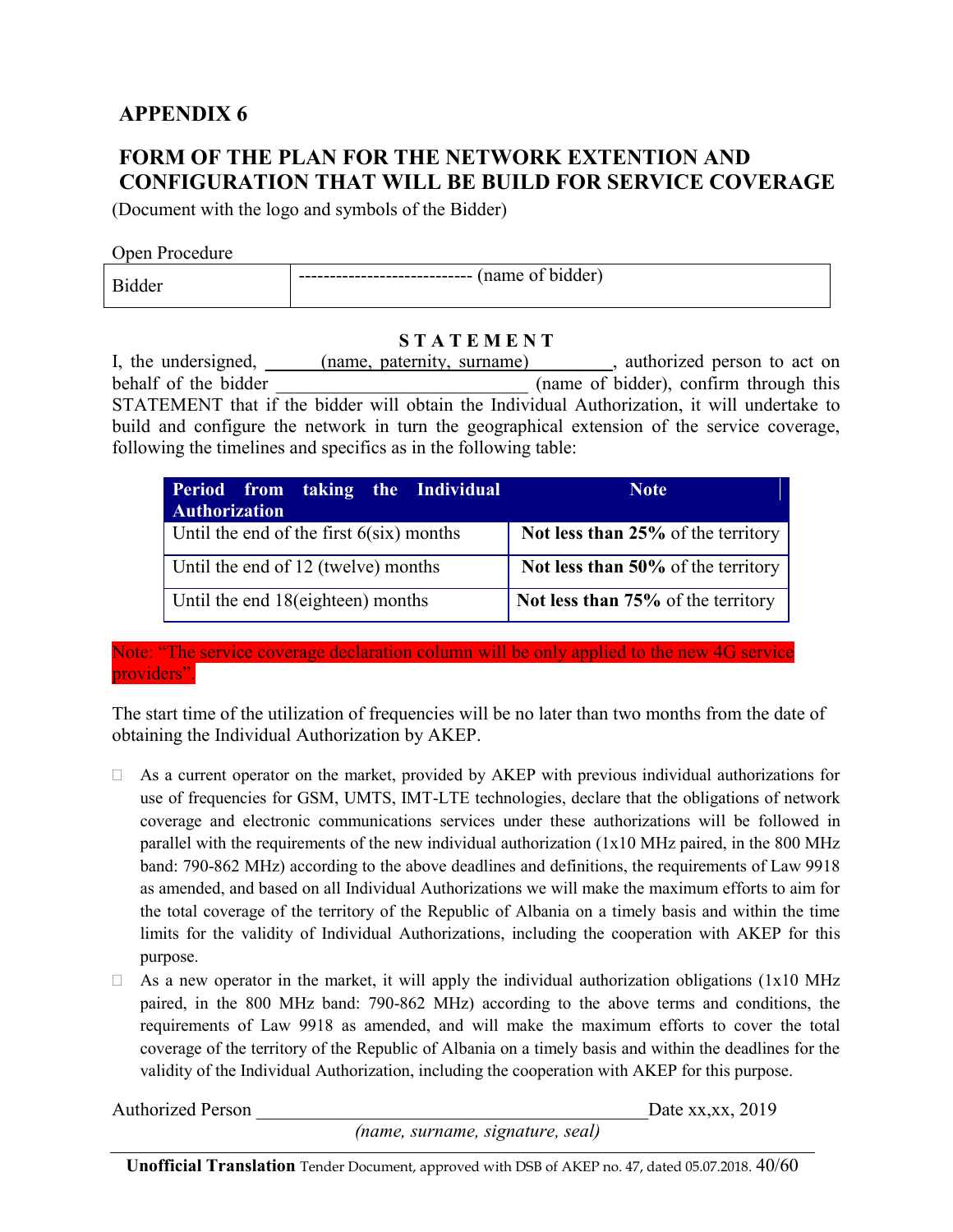## **FORM OF THE PLAN FOR THE NETWORK EXTENTION AND CONFIGURATION THAT WILL BE BUILD FOR SERVICE COVERAGE**

(Document with the logo and symbols of the Bidder)

#### Open Procedure

| ler<br>name<br>------------------------------<br>"<br>$\mathbf{D}$<br>.dde <sup>.</sup><br>$   -$ |  |  |
|---------------------------------------------------------------------------------------------------|--|--|
|---------------------------------------------------------------------------------------------------|--|--|

#### **S T A T E M E N T**

I, the undersigned, and  $(name, patternity, surname)$ , authorized person to act on behalf of the bidder (name of bidder), confirm through this STATEMENT that if the bidder will obtain the Individual Authorization, it will undertake to build and configure the network in turn the geographical extension of the service coverage, following the timelines and specifics as in the following table:

| Period from taking the Individual<br><b>Authorization</b> | <b>Note</b>                        |
|-----------------------------------------------------------|------------------------------------|
| Until the end of the first $6(six)$ months                | Not less than 25% of the territory |
| Until the end of 12 (twelve) months                       | Not less than 50% of the territory |
| Until the end 18 (eighteen) months                        | Not less than 75% of the territory |

Note: "The service coverage declaration column will be only applied to the new 4G service providers".

The start time of the utilization of frequencies will be no later than two months from the date of obtaining the Individual Authorization by AKEP.

- $\Box$  As a current operator on the market, provided by AKEP with previous individual authorizations for use of frequencies for GSM, UMTS, IMT-LTE technologies, declare that the obligations of network coverage and electronic communications services under these authorizations will be followed in parallel with the requirements of the new individual authorization (1x10 MHz paired, in the 800 MHz band: 790-862 MHz) according to the above deadlines and definitions, the requirements of Law 9918 as amended, and based on all Individual Authorizations we will make the maximum efforts to aim for the total coverage of the territory of the Republic of Albania on a timely basis and within the time limits for the validity of Individual Authorizations, including the cooperation with AKEP for this purpose.
- $\Box$  As a new operator in the market, it will apply the individual authorization obligations (1x10 MHz paired, in the 800 MHz band: 790-862 MHz) according to the above terms and conditions, the requirements of Law 9918 as amended, and will make the maximum efforts to cover the total coverage of the territory of the Republic of Albania on a timely basis and within the deadlines for the validity of the Individual Authorization, including the cooperation with AKEP for this purpose.

Authorized Person Date xx,xx, 2019

*(name, surname, signature, seal)* 

**Unofficial Translation** Tender Document, approved with DSB of AKEP no. 47, dated 05.07.2018. 40/60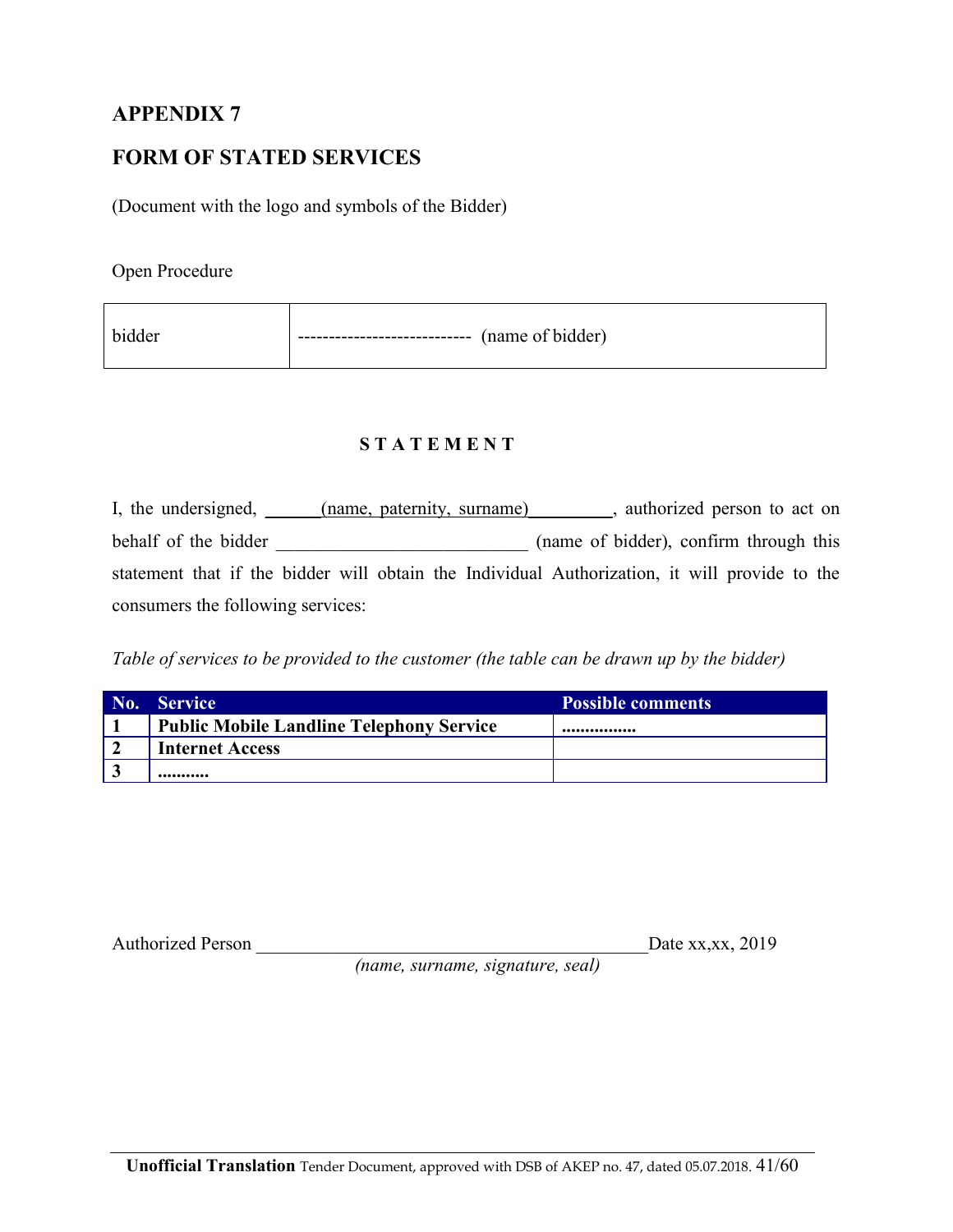## **FORM OF STATED SERVICES**

(Document with the logo and symbols of the Bidder)

Open Procedure

| bidder<br>---------------------------- | (name of bidder) |
|----------------------------------------|------------------|
|----------------------------------------|------------------|

#### **S T A T E M E N T**

I, the undersigned, \_\_\_\_\_(name, paternity, surname) \_\_\_\_\_, authorized person to act on behalf of the bidder \_\_\_\_\_\_\_\_\_\_\_\_\_\_\_\_\_\_\_\_\_\_\_\_\_\_\_ (name of bidder), confirm through this statement that if the bidder will obtain the Individual Authorization, it will provide to the consumers the following services:

*Table of services to be provided to the customer (the table can be drawn up by the bidder)* 

| No. | <b>Service</b>                                  | <b>Possible comments</b> |
|-----|-------------------------------------------------|--------------------------|
|     | <b>Public Mobile Landline Telephony Service</b> |                          |
|     | <b>Internet Access</b>                          |                          |
|     |                                                 |                          |

Authorized Person \_\_\_\_\_\_\_\_\_\_\_\_\_\_\_\_\_\_\_\_\_\_\_\_\_\_\_\_\_\_\_\_\_\_\_\_\_\_\_\_\_\_Date xx,xx, 2019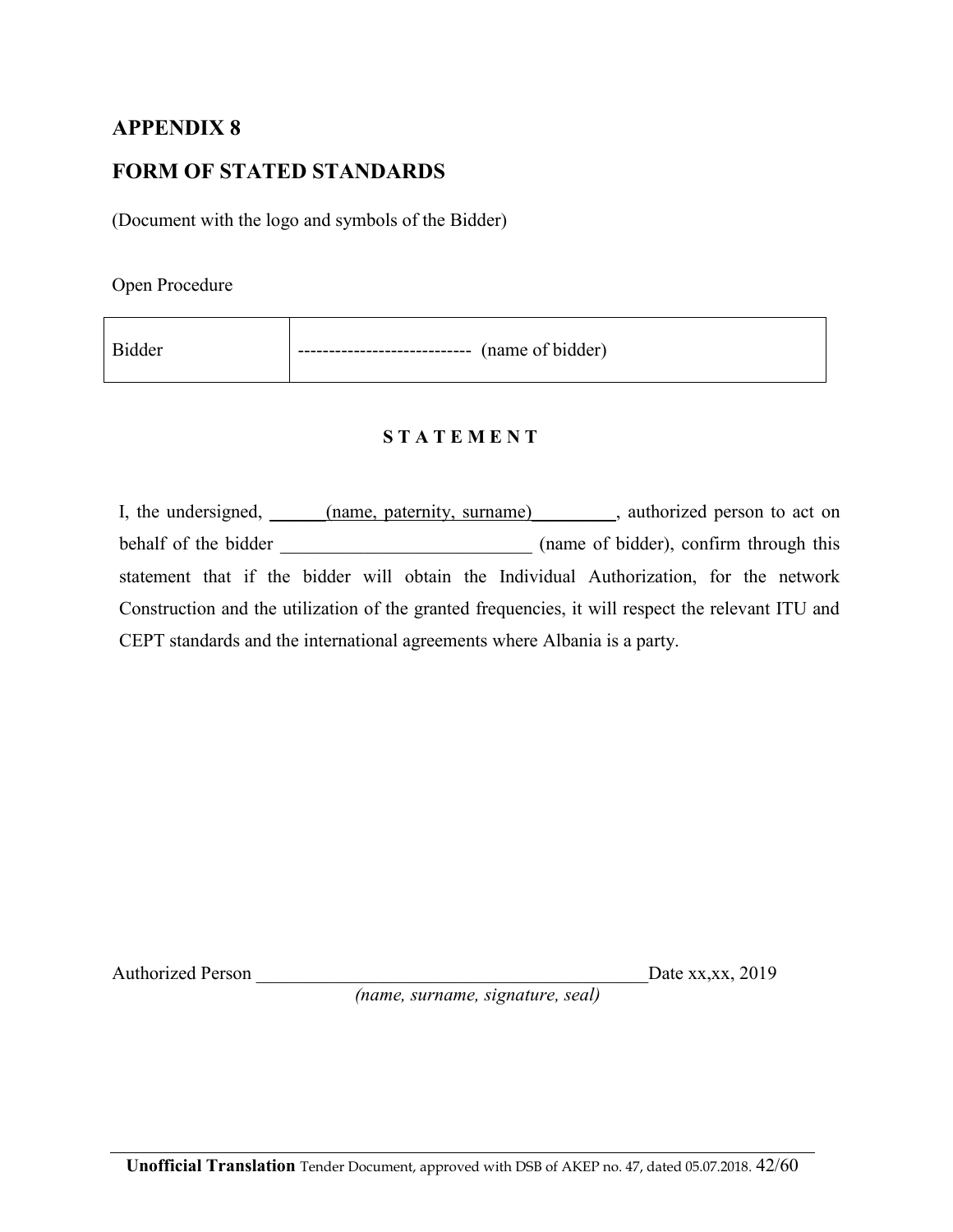### **FORM OF STATED STANDARDS**

(Document with the logo and symbols of the Bidder)

Open Procedure

| <b>Bidder</b> | ----------------------- (name of bidder) |
|---------------|------------------------------------------|
|               |                                          |

#### **S T A T E M E N T**

I, the undersigned, \_\_\_\_\_(name, paternity, surname) \_\_\_\_\_\_, authorized person to act on behalf of the bidder \_\_\_\_\_\_\_\_\_\_\_\_\_\_\_\_\_\_\_\_\_\_\_\_\_\_\_ (name of bidder), confirm through this statement that if the bidder will obtain the Individual Authorization, for the network Construction and the utilization of the granted frequencies, it will respect the relevant ITU and CEPT standards and the international agreements where Albania is a party.

Authorized Person \_\_\_\_\_\_\_\_\_\_\_\_\_\_\_\_\_\_\_\_\_\_\_\_\_\_\_\_\_\_\_\_\_\_\_\_\_\_\_\_\_\_Date xx,xx, 2019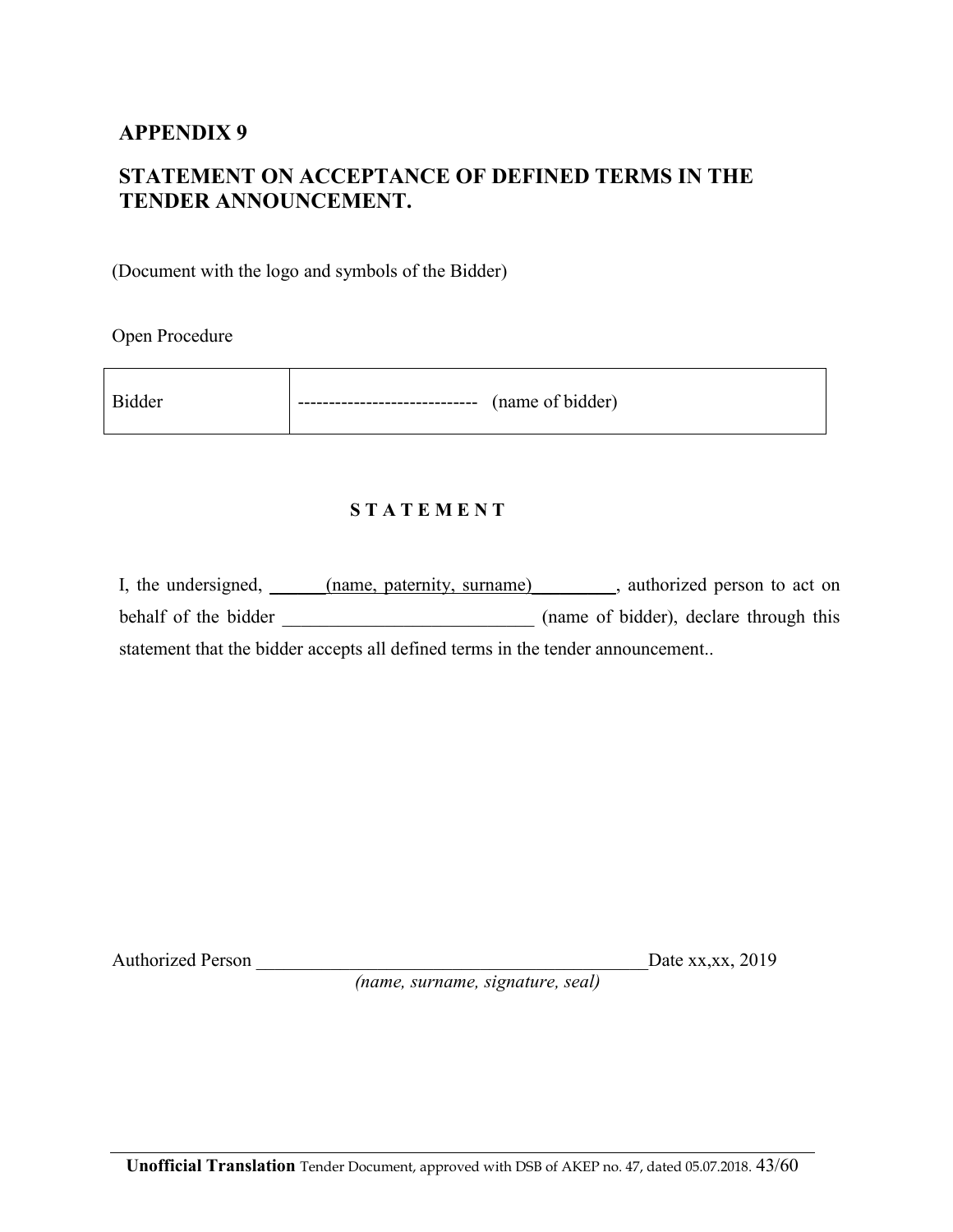## **STATEMENT ON ACCEPTANCE OF DEFINED TERMS IN THE TENDER ANNOUNCEMENT.**

(Document with the logo and symbols of the Bidder)

Open Procedure

#### **S T A T E M E N T**

| I, the undersigned, $\overline{\phantom{a}}$ | (name, paternity, surname)                                                     | authorized person to act on            |
|----------------------------------------------|--------------------------------------------------------------------------------|----------------------------------------|
| behalf of the bidder                         |                                                                                | (name of bidder), declare through this |
|                                              | statement that the bidder accepts all defined terms in the tender announcement |                                        |

Authorized Person \_\_\_\_\_\_\_\_\_\_\_\_\_\_\_\_\_\_\_\_\_\_\_\_\_\_\_\_\_\_\_\_\_\_\_\_\_\_\_\_\_\_Date xx,xx, 2019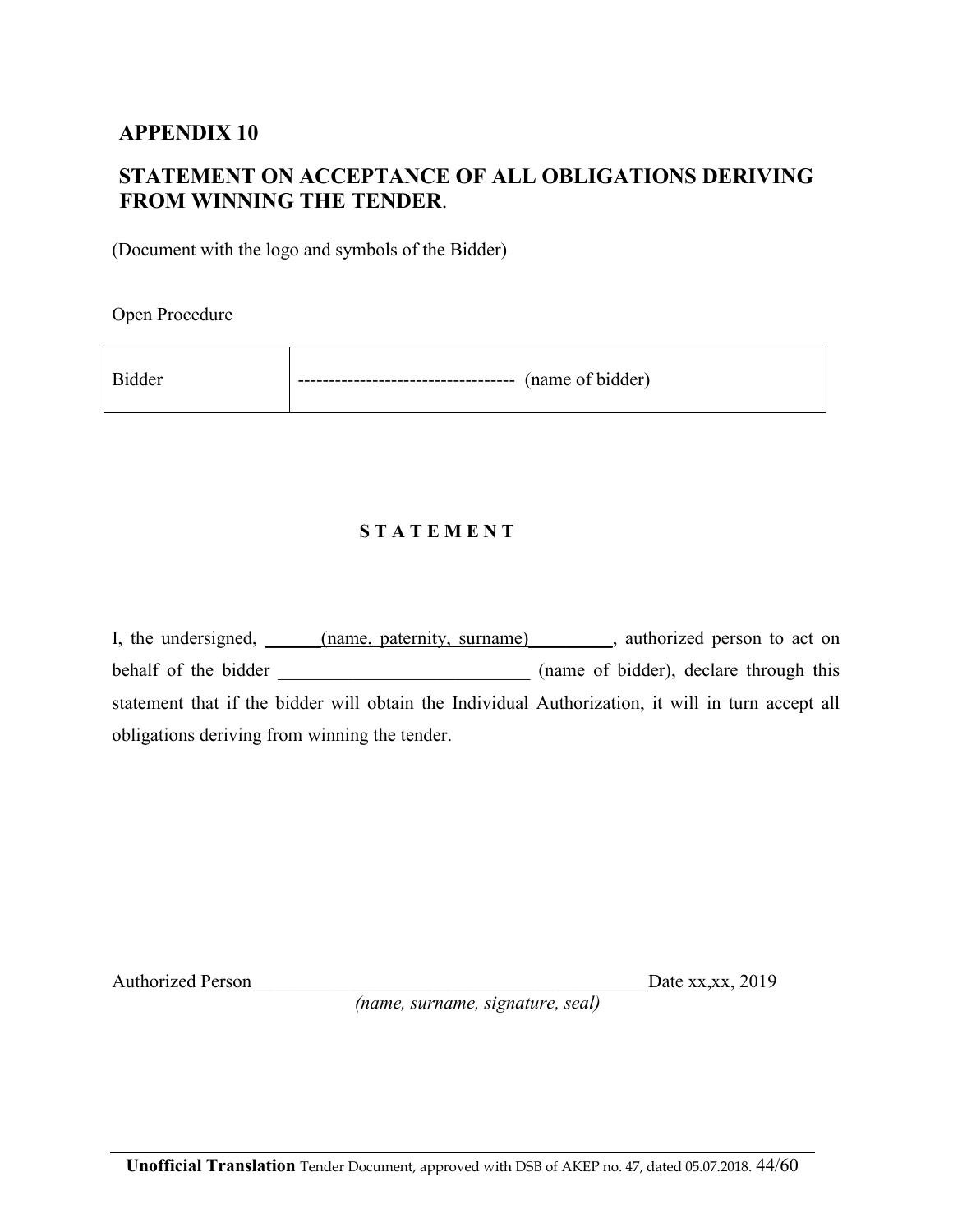## **STATEMENT ON ACCEPTANCE OF ALL OBLIGATIONS DERIVING FROM WINNING THE TENDER**.

(Document with the logo and symbols of the Bidder)

 $\overline{\phantom{0}}$ 

Open Procedure

| Bidder | --------------------------- | (name of bidder) |
|--------|-----------------------------|------------------|
|        |                             |                  |

#### **S T A T E M E N T**

I, the undersigned,  $(name, patternity, surname)$ , authorized person to act on behalf of the bidder \_\_\_\_\_\_\_\_\_\_\_\_\_\_\_\_\_\_\_\_\_\_\_\_\_\_\_ (name of bidder), declare through this statement that if the bidder will obtain the Individual Authorization, it will in turn accept all obligations deriving from winning the tender.

Authorized Person \_\_\_\_\_\_\_\_\_\_\_\_\_\_\_\_\_\_\_\_\_\_\_\_\_\_\_\_\_\_\_\_\_\_\_\_\_\_\_\_\_\_Date xx,xx, 2019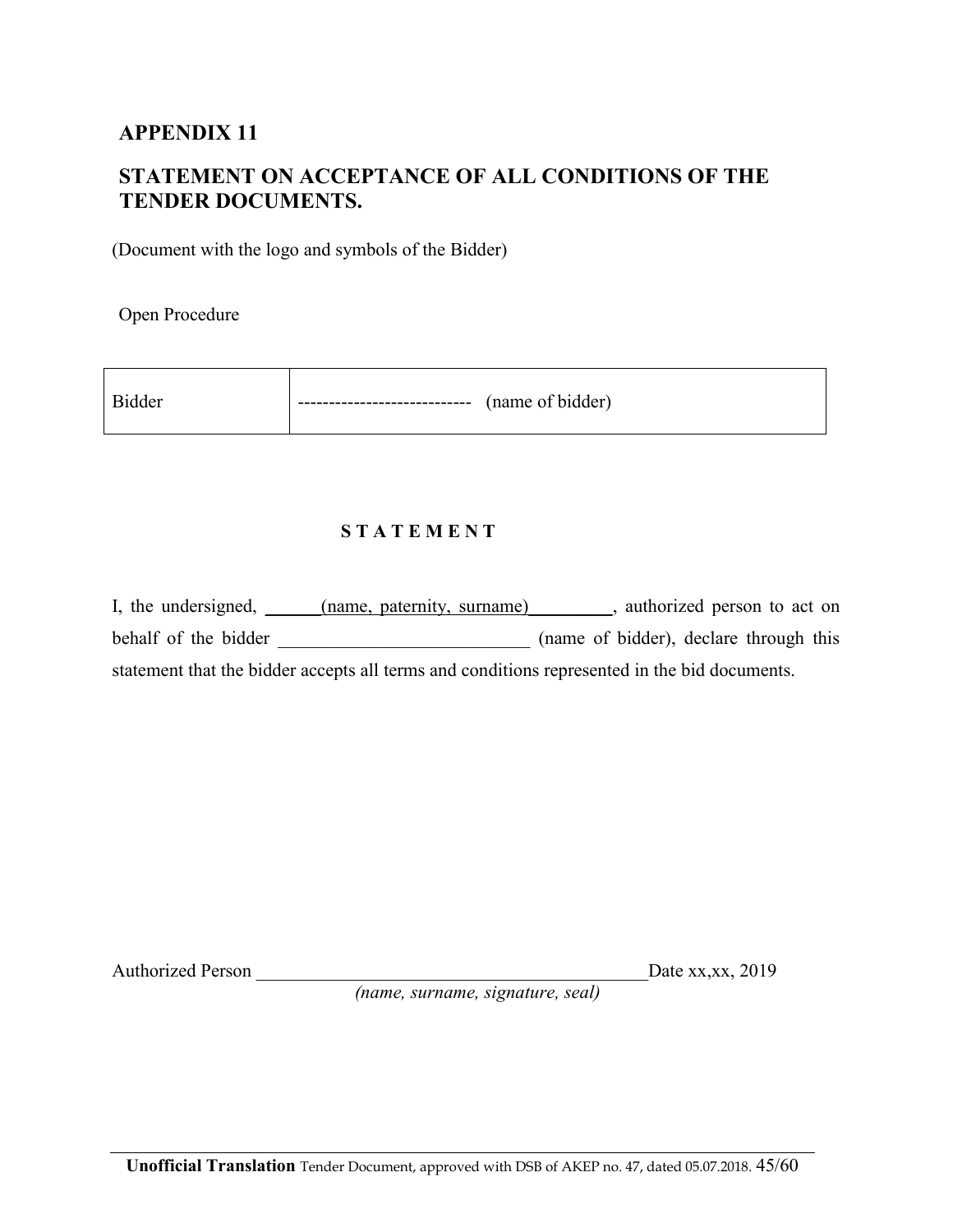## **STATEMENT ON ACCEPTANCE OF ALL CONDITIONS OF THE TENDER DOCUMENTS.**

(Document with the logo and symbols of the Bidder)

Open Procedure

| - Bidder | ------------------------------ | (name of bidder) |
|----------|--------------------------------|------------------|
|          |                                |                  |

<u> 2002 - Jan Barnett, fransk politik (d. 1882)</u>

#### **S T A T E M E N T**

I, the undersigned, \_\_\_\_\_(name, paternity, surname) \_\_\_\_\_\_, authorized person to act on behalf of the bidder \_\_\_\_\_\_\_\_\_\_\_\_\_\_\_\_\_\_\_\_\_\_\_\_\_\_\_ (name of bidder), declare through this statement that the bidder accepts all terms and conditions represented in the bid documents.

Authorized Person \_\_\_\_\_\_\_\_\_\_\_\_\_\_\_\_\_\_\_\_\_\_\_\_\_\_\_\_\_\_\_\_\_\_\_\_\_\_\_\_\_\_Date xx,xx, 2019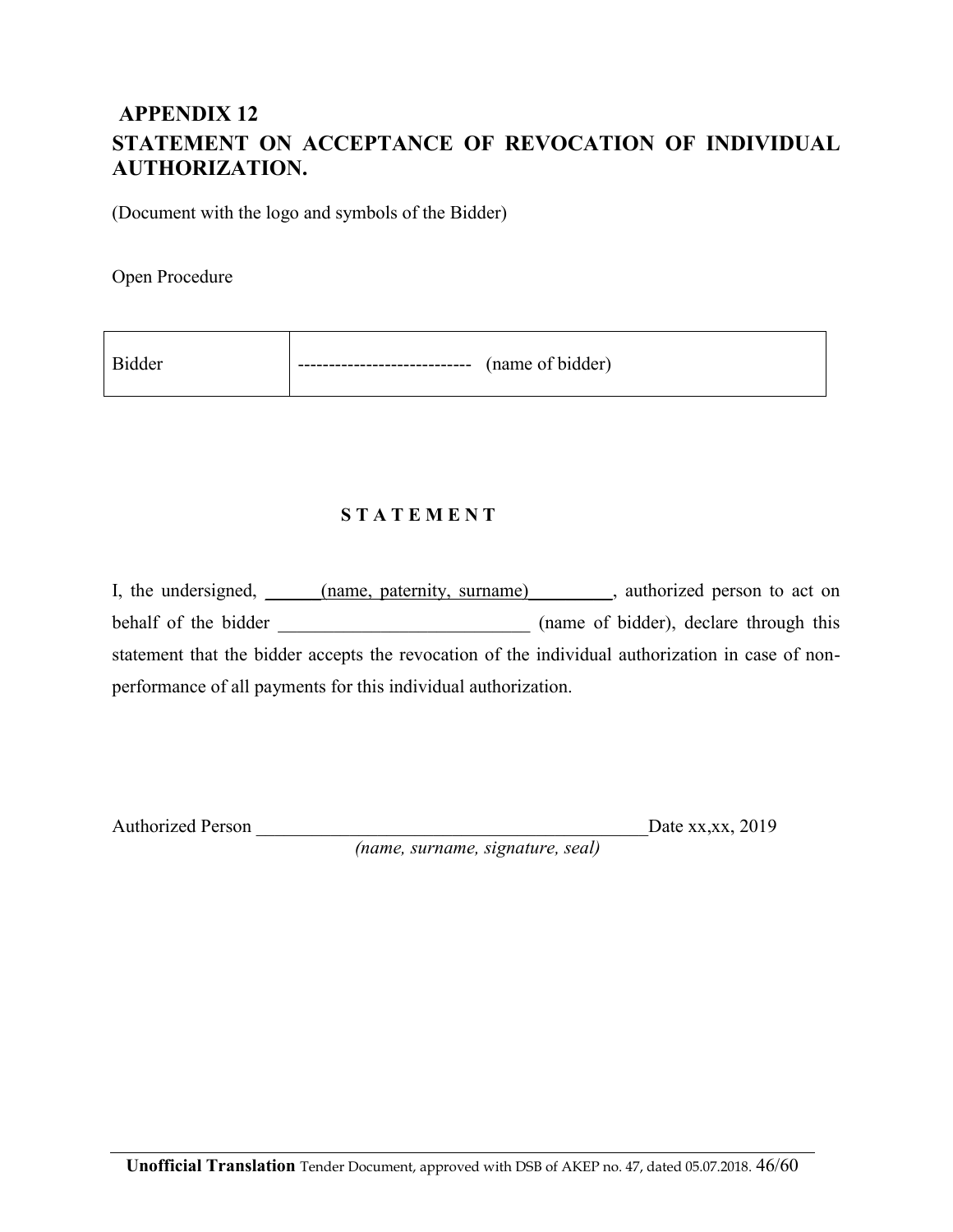## **APPENDIX 12 STATEMENT ON ACCEPTANCE OF REVOCATION OF INDIVIDUAL AUTHORIZATION.**

(Document with the logo and symbols of the Bidder)

Open Procedure

| (name of bidder) |
|------------------|
|                  |

#### **S T A T E M E N T**

I, the undersigned, \_\_\_\_\_(name, paternity, surname) \_\_\_\_\_\_, authorized person to act on behalf of the bidder \_\_\_\_\_\_\_\_\_\_\_\_\_\_\_\_\_\_\_\_\_\_\_\_\_\_\_ (name of bidder), declare through this statement that the bidder accepts the revocation of the individual authorization in case of nonperformance of all payments for this individual authorization.

Authorized Person \_\_\_\_\_\_\_\_\_\_\_\_\_\_\_\_\_\_\_\_\_\_\_\_\_\_\_\_\_\_\_\_\_\_\_\_\_\_\_\_\_\_Date xx,xx, 2019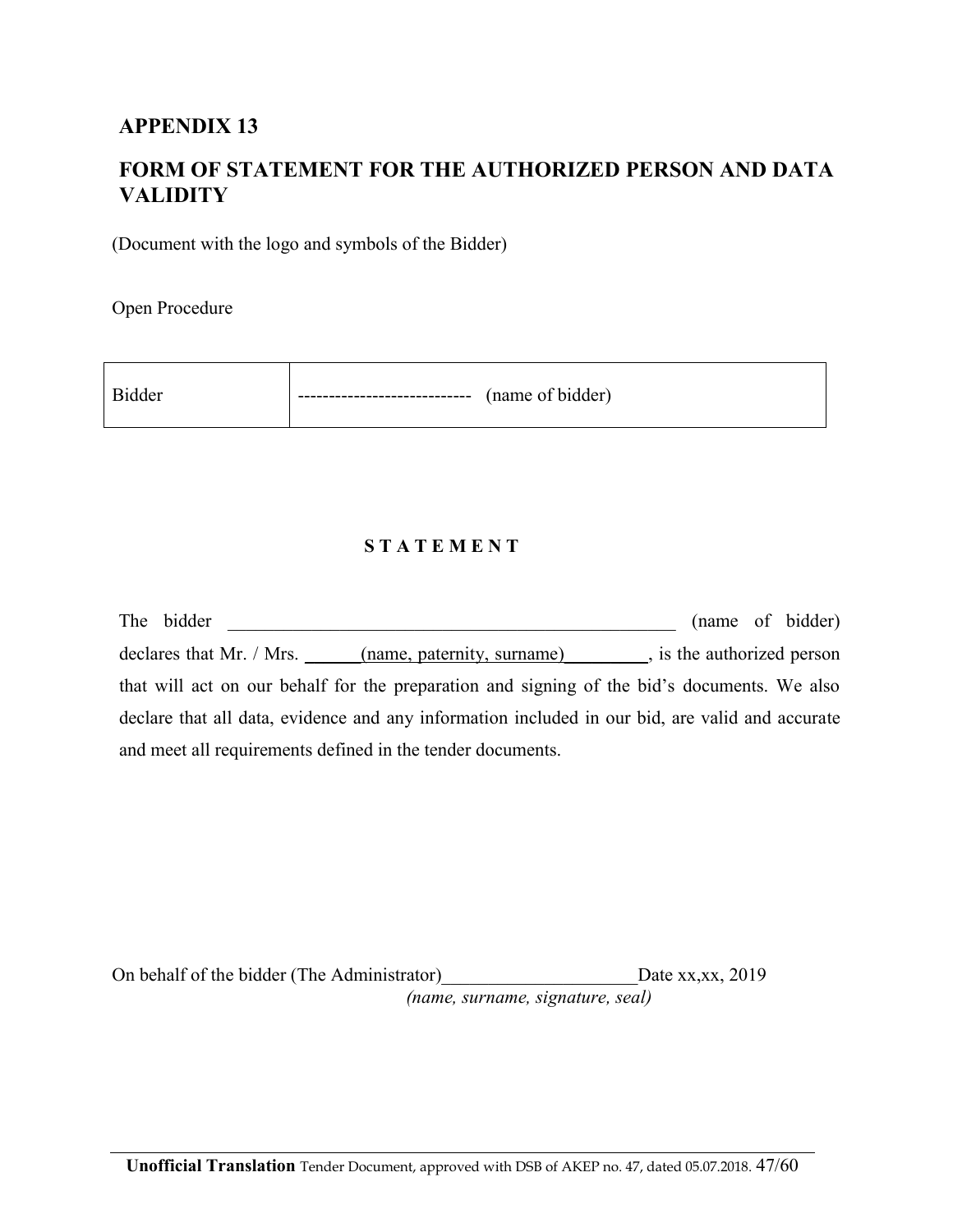## **FORM OF STATEMENT FOR THE AUTHORIZED PERSON AND DATA VALIDITY**

(Document with the logo and symbols of the Bidder)

Open Procedure

| (name of bidder)<br>------------------ |  |
|----------------------------------------|--|
|                                        |  |

#### **S T A T E M E N T**

| The bidder                                                                                      |  | (name of bidder) |
|-------------------------------------------------------------------------------------------------|--|------------------|
| declares that Mr. / Mrs. (name, paternity, surname) (i.e., is the authorized person             |  |                  |
| that will act on our behalf for the preparation and signing of the bid's documents. We also     |  |                  |
| declare that all data, evidence and any information included in our bid, are valid and accurate |  |                  |
| and meet all requirements defined in the tender documents.                                      |  |                  |

On behalf of the bidder (The Administrator) Date xx,xx, 2019 *(name, surname, signature, seal)*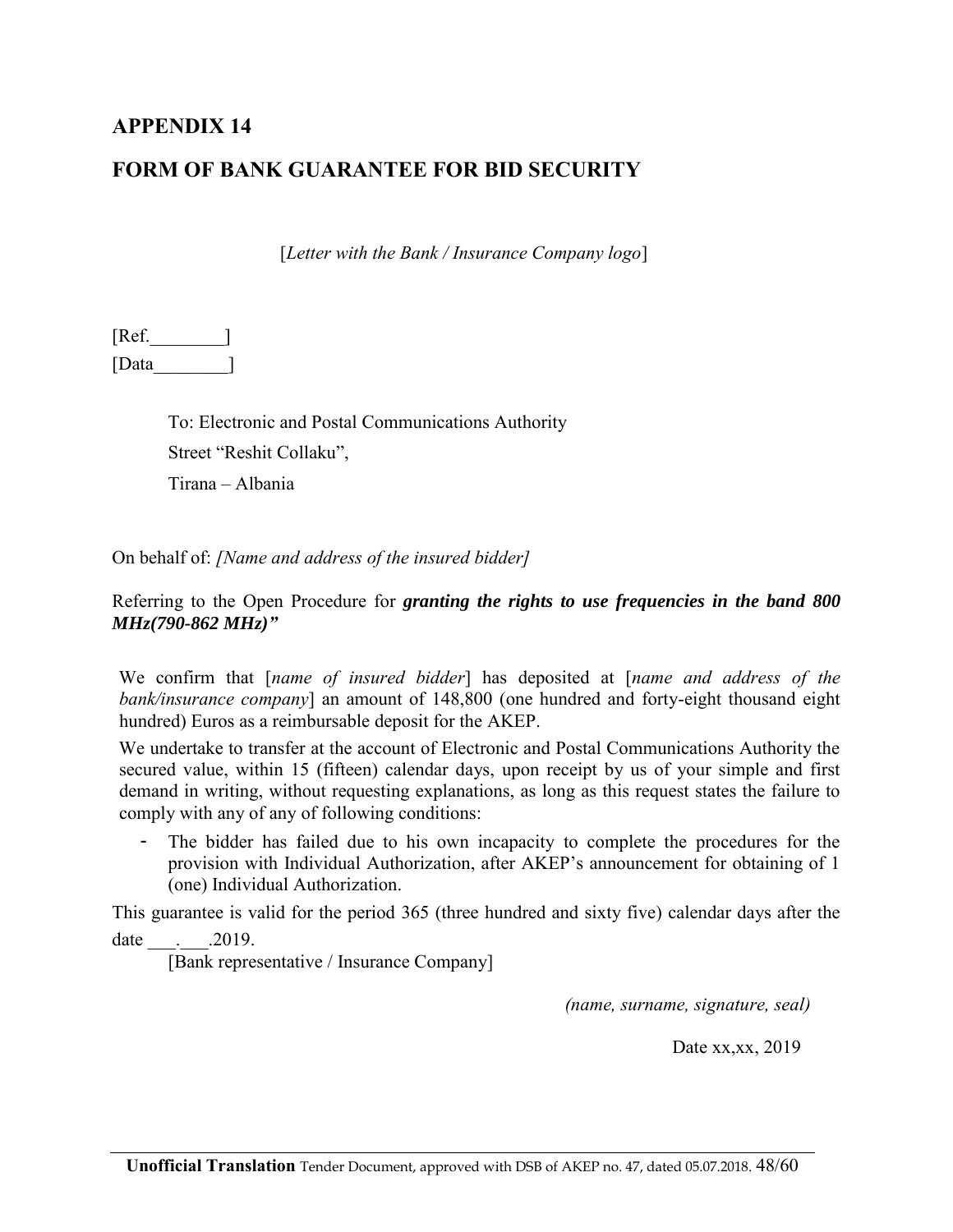### **FORM OF BANK GUARANTEE FOR BID SECURITY**

[*Letter with the Bank / Insurance Company logo*]

[Ref.\_\_\_\_\_\_\_\_] [Data\_\_\_\_\_\_\_\_]

> To: Electronic and Postal Communications Authority Street "Reshit Collaku", Tirana – Albania

On behalf of: *[Name and address of the insured bidder]*

Referring to the Open Procedure for *granting the rights to use frequencies in the band 800 MHz(790-862 MHz)"*

We confirm that [*name of insured bidder*] has deposited at [*name and address of the bank/insurance company*] an amount of 148,800 (one hundred and forty-eight thousand eight hundred) Euros as a reimbursable deposit for the AKEP.

We undertake to transfer at the account of Electronic and Postal Communications Authority the secured value, within 15 (fifteen) calendar days, upon receipt by us of your simple and first demand in writing, without requesting explanations, as long as this request states the failure to comply with any of any of following conditions:

The bidder has failed due to his own incapacity to complete the procedures for the provision with Individual Authorization, after AKEP's announcement for obtaining of 1 (one) Individual Authorization.

This guarantee is valid for the period 365 (three hundred and sixty five) calendar days after the

date \_\_\_.\_\_\_.2019.

[Bank representative / Insurance Company]

*(name, surname, signature, seal)* 

Date xx,xx, 2019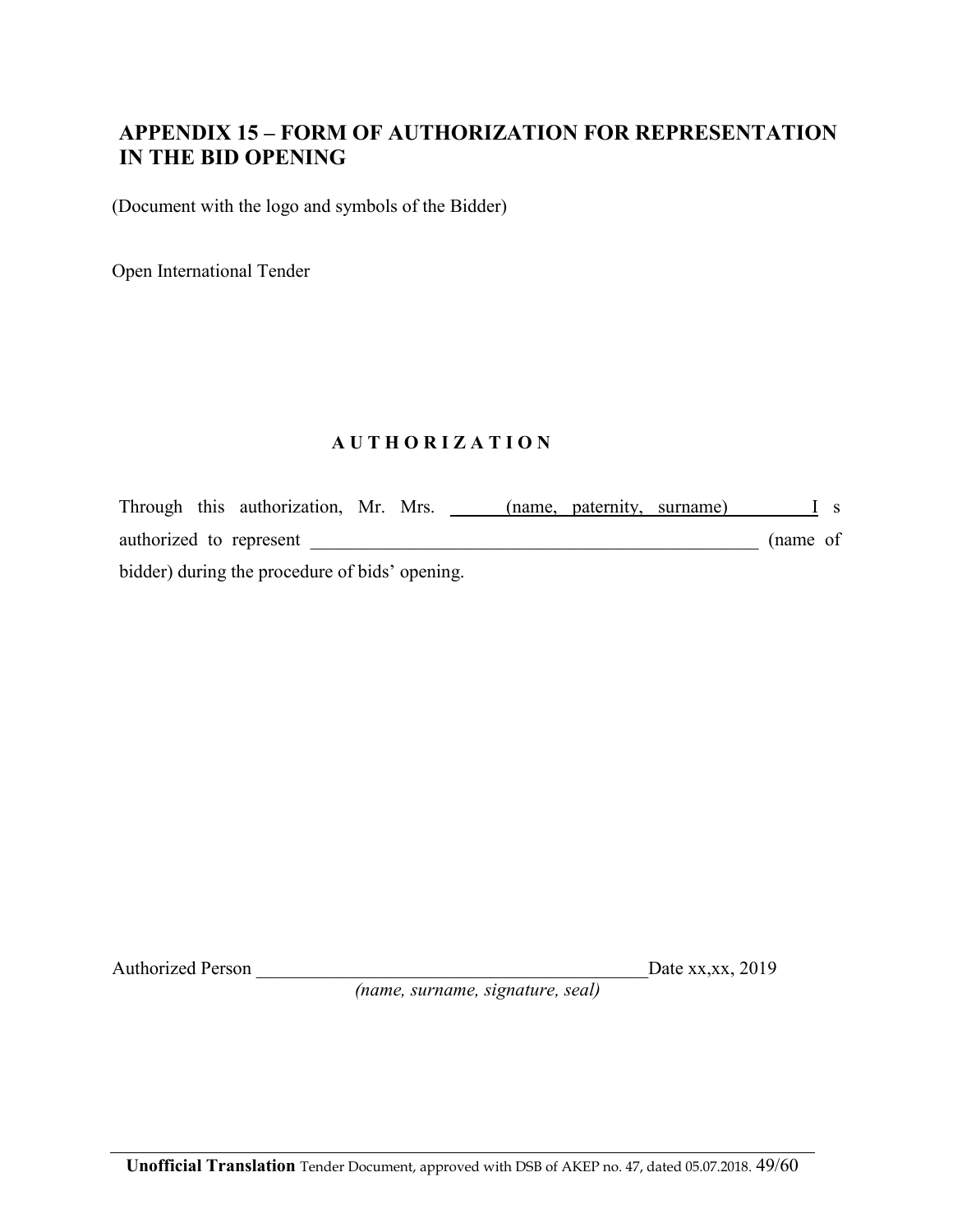### **APPENDIX 15 – FORM OF AUTHORIZATION FOR REPRESENTATION IN THE BID OPENING**

(Document with the logo and symbols of the Bidder)

Open International Tender

#### **A U T H O R I Z A T I O N**

Through this authorization, Mr. Mrs. \_\_\_\_\_(name, paternity, surname) \_\_\_\_\_\_\_\_\_I s authorized to represent \_\_\_\_\_\_\_\_\_\_\_\_\_\_\_\_\_\_\_\_\_\_\_\_\_\_\_\_\_\_\_\_\_\_\_\_\_\_\_\_\_\_\_\_\_\_\_\_ (name of bidder) during the procedure of bids' opening.

Authorized Person \_\_\_\_\_\_\_\_\_\_\_\_\_\_\_\_\_\_\_\_\_\_\_\_\_\_\_\_\_\_\_\_\_\_\_\_\_\_\_\_\_\_Date xx,xx, 2019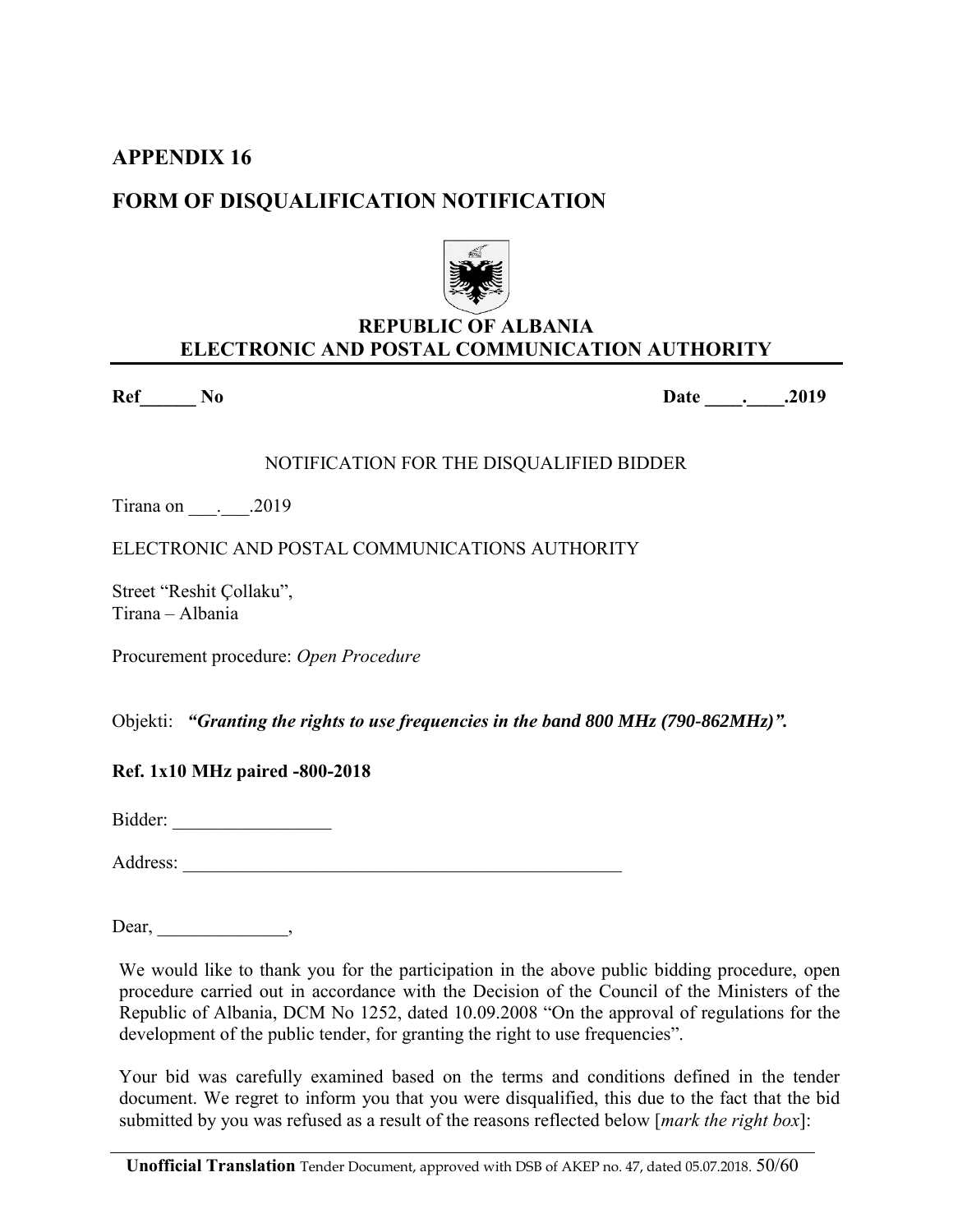## **FORM OF DISQUALIFICATION NOTIFICATION**



### **REPUBLIC OF ALBANIA ELECTRONIC AND POSTAL COMMUNICATION AUTHORITY**

**Ref\_\_\_\_\_\_ No Date \_\_\_\_.\_\_\_\_.2019** 

NOTIFICATION FOR THE DISQUALIFIED BIDDER

Tirana on  $.2019$ 

ELECTRONIC AND POSTAL COMMUNICATIONS AUTHORITY

Street "Reshit Çollaku", Tirana – Albania

Procurement procedure: *Open Procedure*

Objekti: *"Granting the rights to use frequencies in the band 800 MHz (790-862MHz)".*

**Ref. 1x10 MHz paired -800-2018**

Bidder: \_\_\_\_\_\_\_\_\_\_\_\_\_\_\_\_\_

Address:

Dear, \_\_\_\_\_\_\_\_\_\_\_\_\_\_\_\_\_,

We would like to thank you for the participation in the above public bidding procedure, open procedure carried out in accordance with the Decision of the Council of the Ministers of the Republic of Albania, DCM No 1252, dated 10.09.2008 "On the approval of regulations for the development of the public tender, for granting the right to use frequencies".

Your bid was carefully examined based on the terms and conditions defined in the tender document. We regret to inform you that you were disqualified, this due to the fact that the bid submitted by you was refused as a result of the reasons reflected below [*mark the right box*]: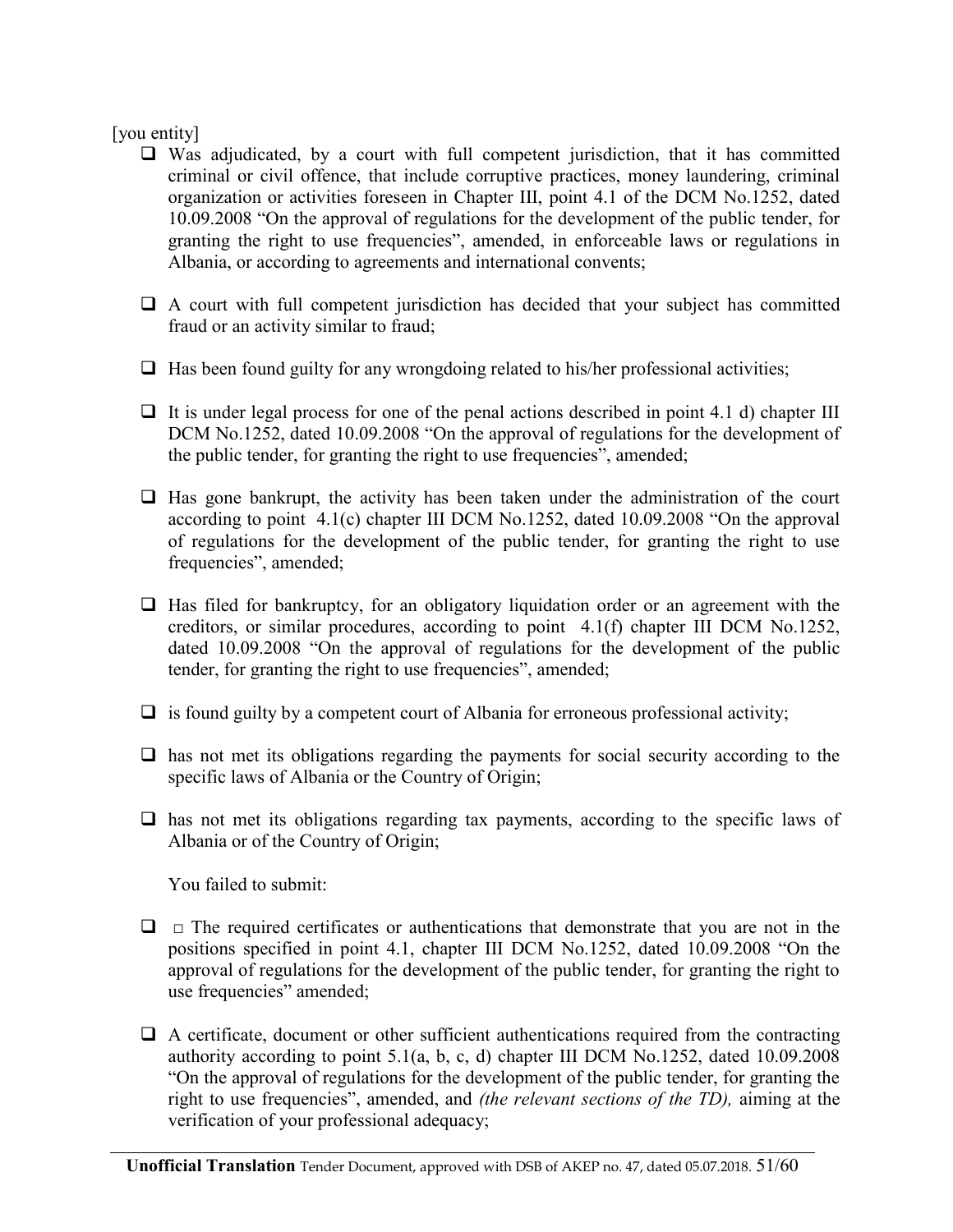#### [you entity]

- $\Box$  Was adjudicated, by a court with full competent jurisdiction, that it has committed criminal or civil offence, that include corruptive practices, money laundering, criminal organization or activities foreseen in Chapter III, point 4.1 of the DCM No.1252, dated 10.09.2008 "On the approval of regulations for the development of the public tender, for granting the right to use frequencies", amended, in enforceable laws or regulations in Albania, or according to agreements and international convents;
- $\Box$  A court with full competent jurisdiction has decided that your subject has committed fraud or an activity similar to fraud;
- $\Box$  Has been found guilty for any wrongdoing related to his/her professional activities;
- $\Box$  It is under legal process for one of the penal actions described in point 4.1 d) chapter III DCM No.1252, dated 10.09.2008 "On the approval of regulations for the development of the public tender, for granting the right to use frequencies", amended;
- $\Box$  Has gone bankrupt, the activity has been taken under the administration of the court according to point 4.1(c) chapter III DCM No.1252, dated 10.09.2008 "On the approval of regulations for the development of the public tender, for granting the right to use frequencies", amended;
- $\Box$  Has filed for bankruptcy, for an obligatory liquidation order or an agreement with the creditors, or similar procedures, according to point 4.1(f) chapter III DCM No.1252, dated 10.09.2008 "On the approval of regulations for the development of the public tender, for granting the right to use frequencies", amended;
- $\Box$  is found guilty by a competent court of Albania for erroneous professional activity;
- $\Box$  has not met its obligations regarding the payments for social security according to the specific laws of Albania or the Country of Origin;
- $\Box$  has not met its obligations regarding tax payments, according to the specific laws of Albania or of the Country of Origin;

You failed to submit:

- $\Box$   $\Box$  The required certificates or authentications that demonstrate that you are not in the positions specified in point 4.1, chapter III DCM No.1252, dated 10.09.2008 "On the approval of regulations for the development of the public tender, for granting the right to use frequencies" amended;
- $\Box$  A certificate, document or other sufficient authentications required from the contracting authority according to point 5.1(a, b, c, d) chapter III DCM No.1252, dated 10.09.2008 "On the approval of regulations for the development of the public tender, for granting the right to use frequencies", amended, and *(the relevant sections of the TD),* aiming at the verification of your professional adequacy;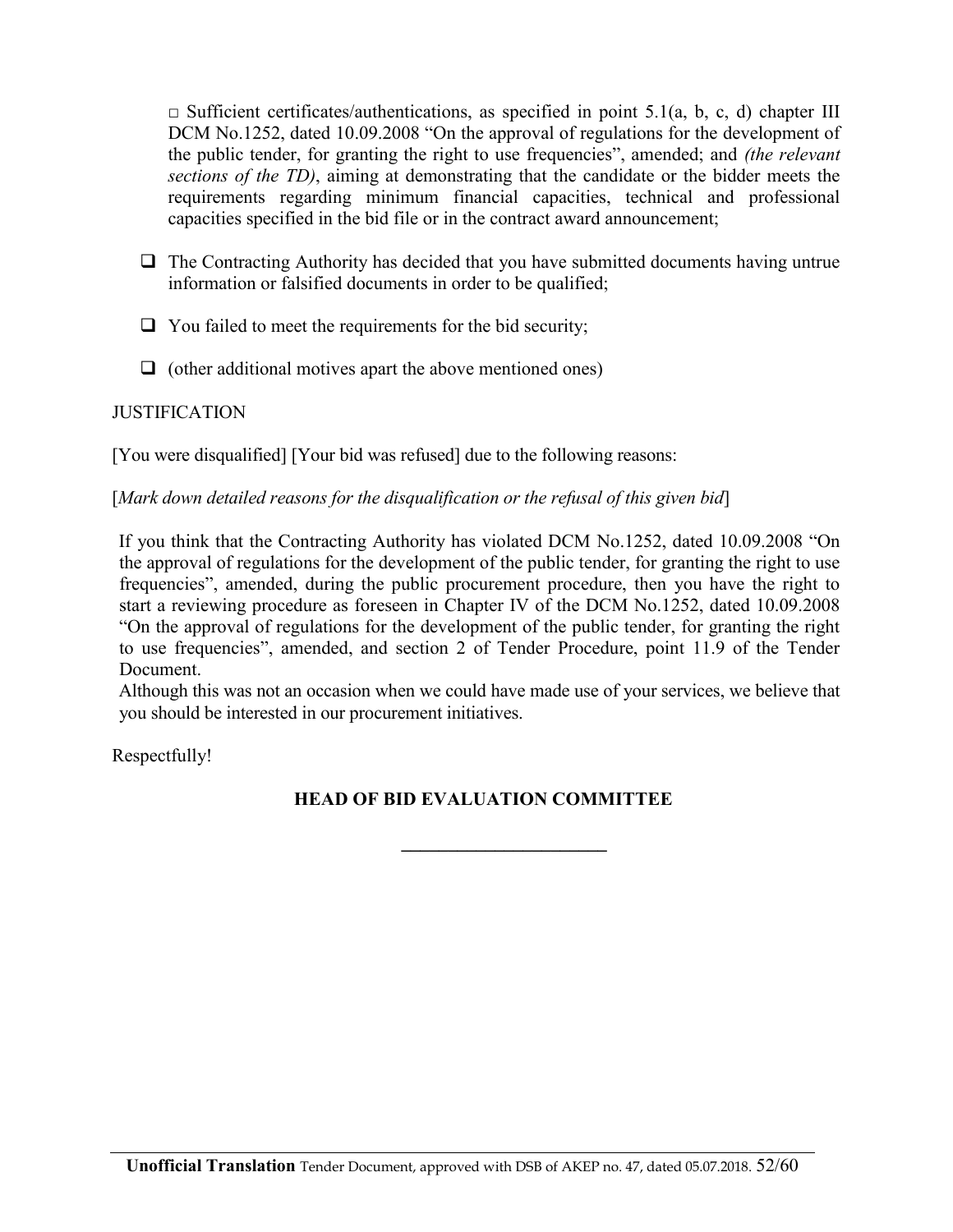$\Box$  Sufficient certificates/authentications, as specified in point 5.1(a, b, c, d) chapter III DCM No.1252, dated 10.09.2008 "On the approval of regulations for the development of the public tender, for granting the right to use frequencies", amended; and *(the relevant sections of the TD)*, aiming at demonstrating that the candidate or the bidder meets the requirements regarding minimum financial capacities, technical and professional capacities specified in the bid file or in the contract award announcement;

- $\Box$  The Contracting Authority has decided that you have submitted documents having untrue information or falsified documents in order to be qualified;
- $\Box$  You failed to meet the requirements for the bid security;
- $\Box$  (other additional motives apart the above mentioned ones)

#### **JUSTIFICATION**

[You were disqualified] [Your bid was refused] due to the following reasons:

#### [*Mark down detailed reasons for the disqualification or the refusal of this given bid*]

If you think that the Contracting Authority has violated DCM No.1252, dated 10.09.2008 "On the approval of regulations for the development of the public tender, for granting the right to use frequencies", amended, during the public procurement procedure, then you have the right to start a reviewing procedure as foreseen in Chapter IV of the DCM No.1252, dated 10.09.2008 "On the approval of regulations for the development of the public tender, for granting the right to use frequencies", amended, and section 2 of Tender Procedure, point 11.9 of the Tender Document.

Although this was not an occasion when we could have made use of your services, we believe that you should be interested in our procurement initiatives.

Respectfully!

#### **HEAD OF BID EVALUATION COMMITTEE**

**\_\_\_\_\_\_\_\_\_\_\_\_\_\_\_\_\_\_\_\_\_\_**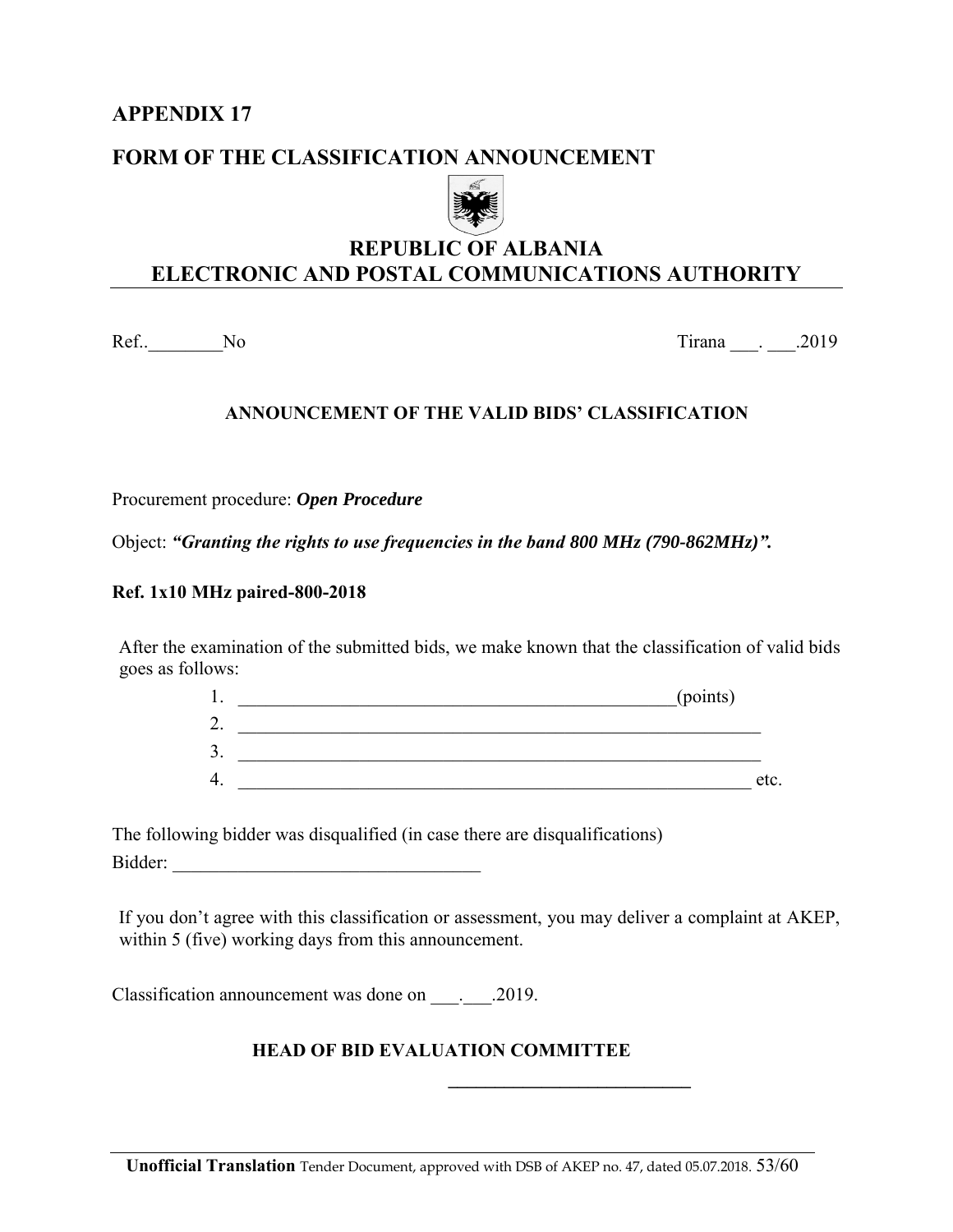### **FORM OF THE CLASSIFICATION ANNOUNCEMENT**



## **REPUBLIC OF ALBANIA ELECTRONIC AND POSTAL COMMUNICATIONS AUTHORITY**

Ref.. No 2019

#### **ANNOUNCEMENT OF THE VALID BIDS' CLASSIFICATION**

Procurement procedure: *Open Procedure*

Object: *"Granting the rights to use frequencies in the band 800 MHz (790-862MHz)".*

#### **Ref. 1x10 MHz paired-800-2018**

After the examination of the submitted bids, we make known that the classification of valid bids goes as follows:

| . .                       | (points) |      |
|---------------------------|----------|------|
| $\bigcap$<br>∠.           |          |      |
| $\sim$<br>$\mathfrak{I}.$ |          |      |
| 4.                        |          | etc. |

The following bidder was disqualified (in case there are disqualifications) Bidder: *\_\_\_\_\_\_\_\_\_\_\_\_\_\_\_\_\_\_\_\_\_\_\_\_\_\_\_\_\_\_\_\_\_* 

If you don't agree with this classification or assessment, you may deliver a complaint at AKEP, within 5 (five) working days from this announcement.

Classification announcement was done on  $\qquad \qquad .2019.$ 

#### **HEAD OF BID EVALUATION COMMITTEE**

**\_\_\_\_\_\_\_\_\_\_\_\_\_\_\_\_\_\_\_\_\_\_\_\_\_\_**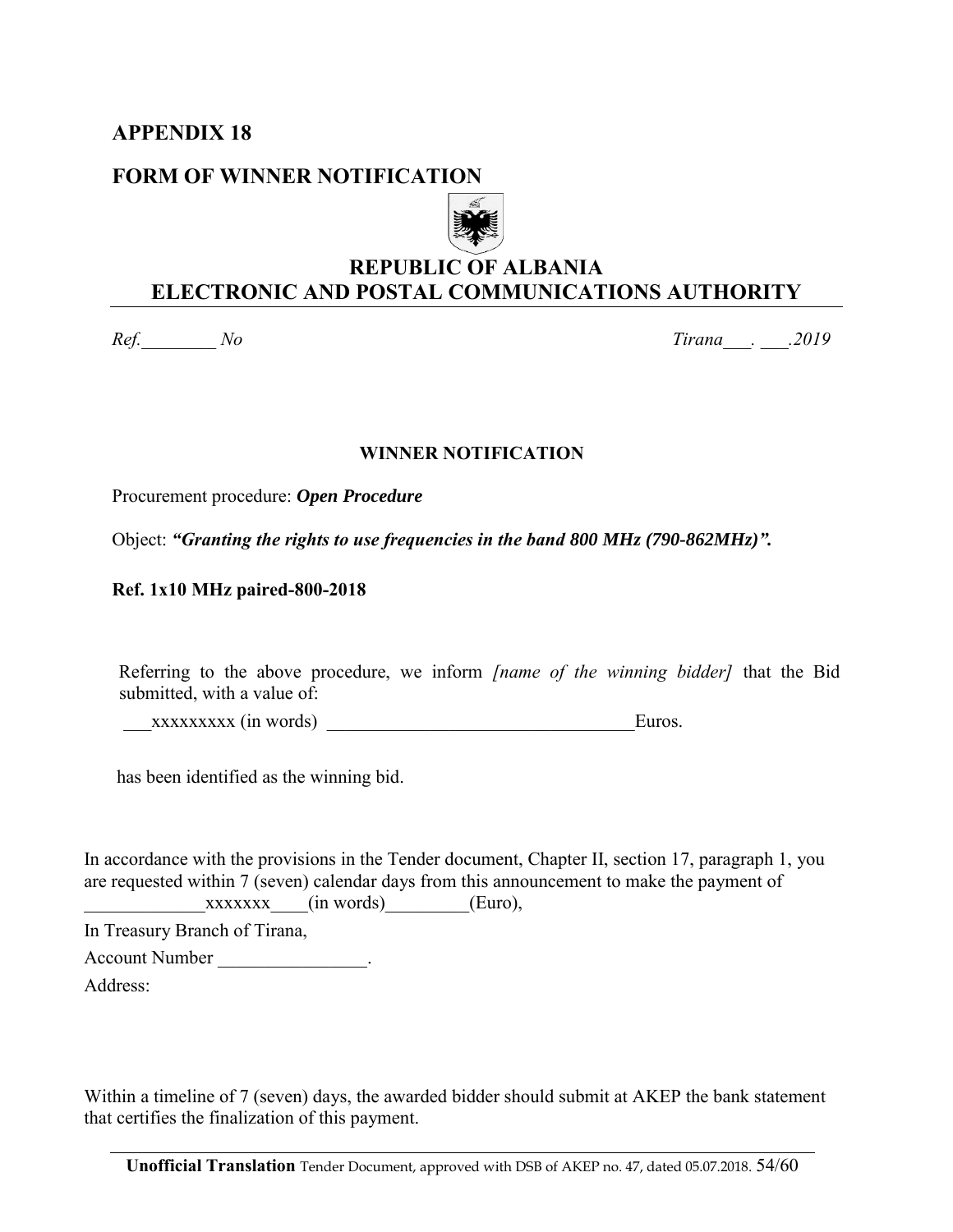#### **FORM OF WINNER NOTIFICATION**



## **REPUBLIC OF ALBANIA ELECTRONIC AND POSTAL COMMUNICATIONS AUTHORITY**

*Ref.\_\_\_\_\_\_\_\_ No Tirana\_\_\_. \_\_\_.2019* 

#### **WINNER NOTIFICATION**

Procurement procedure: *Open Procedure*

Object: *"Granting the rights to use frequencies in the band 800 MHz (790-862MHz)".*

#### **Ref. 1x10 MHz paired-800-2018**

Referring to the above procedure, we inform *[name of the winning bidder]* that the Bid submitted, with a value of:

xxxxxxxx (in words) Euros.

has been identified as the winning bid.

In accordance with the provisions in the Tender document, Chapter II, section 17, paragraph 1, you are requested within 7 (seven) calendar days from this announcement to make the payment of  $xxxxxxx$  (in words) (Euro),

In Treasury Branch of Tirana,

Account Number the control of the second Number of the second second second second second second second second second second second second second second second second second second second second second second second second

Address:

Within a timeline of 7 (seven) days, the awarded bidder should submit at AKEP the bank statement that certifies the finalization of this payment.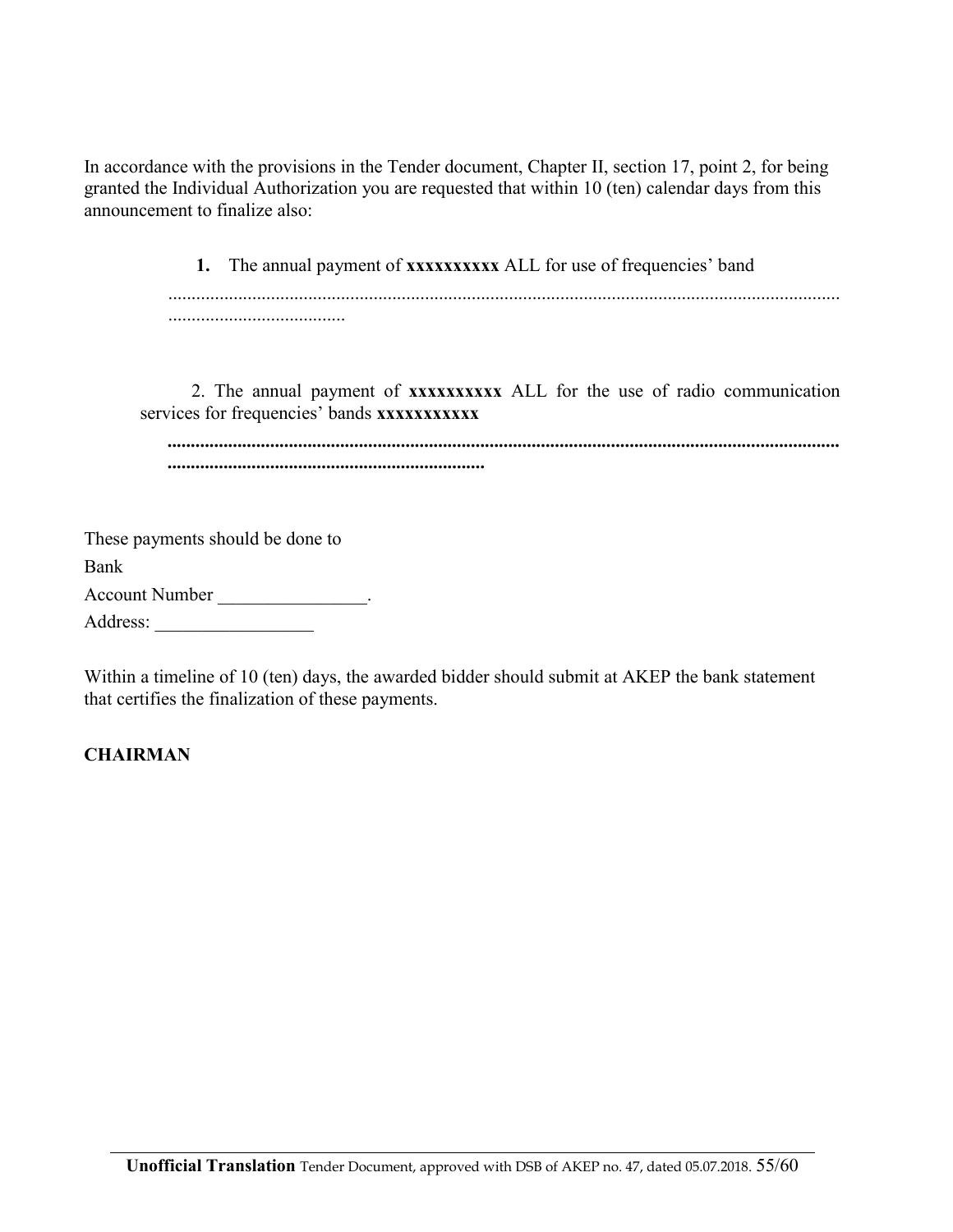In accordance with the provisions in the Tender document, Chapter II, section 17, point 2, for being granted the Individual Authorization you are requested that within 10 (ten) calendar days from this announcement to finalize also:

> **1.** The annual payment of **xxxxxxxxxx** ALL for use of frequencies' band ................................................................................................................................................ ......................................

 2. The annual payment of **xxxxxxxxxx** ALL for the use of radio communication services for frequencies' bands **xxxxxxxxx** 

*................................................................................................................................................ ....................................................................* 

| These payments should be done to |  |
|----------------------------------|--|
| Bank                             |  |
| <b>Account Number</b>            |  |
| Address:                         |  |

Within a timeline of 10 (ten) days, the awarded bidder should submit at AKEP the bank statement that certifies the finalization of these payments.

### **CHAIRMAN**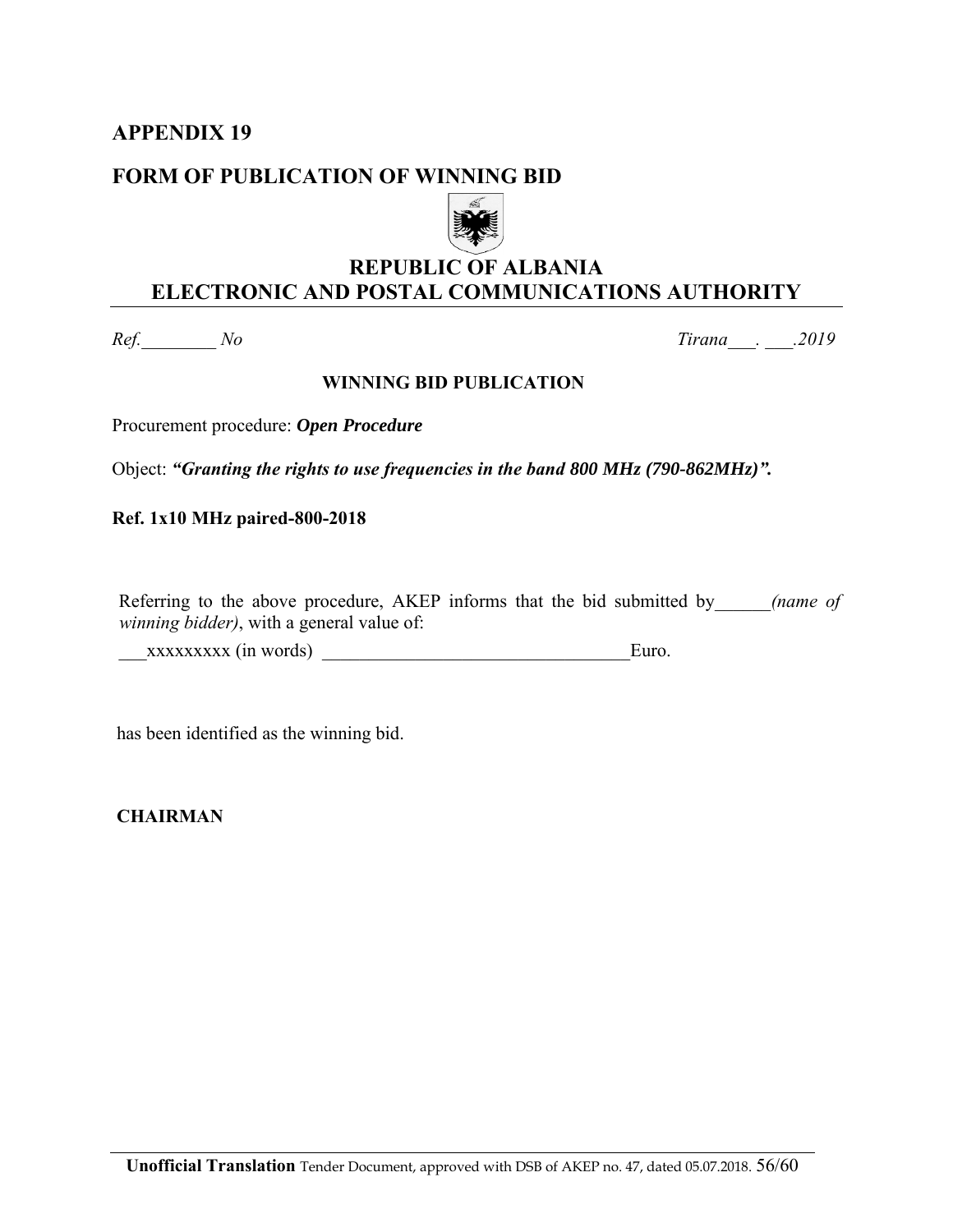#### **FORM OF PUBLICATION OF WINNING BID**



## **REPUBLIC OF ALBANIA ELECTRONIC AND POSTAL COMMUNICATIONS AUTHORITY**

*Ref.\_\_\_\_\_\_\_\_ No Tirana\_\_\_. \_\_\_.2019* 

#### **WINNING BID PUBLICATION**

Procurement procedure: *Open Procedure*

Object: *"Granting the rights to use frequencies in the band 800 MHz (790-862MHz)".*

**Ref. 1x10 MHz paired-800-2018**

Referring to the above procedure, AKEP informs that the bid submitted by *(name of* ) *winning bidder)*, with a general value of:

\_\_\_xxxxxxxxx (in words) \_\_\_\_\_\_\_\_\_\_\_\_\_\_\_\_\_\_\_\_\_\_\_\_\_\_\_\_\_\_\_\_\_Euro.

has been identified as the winning bid.

 **CHAIRMAN**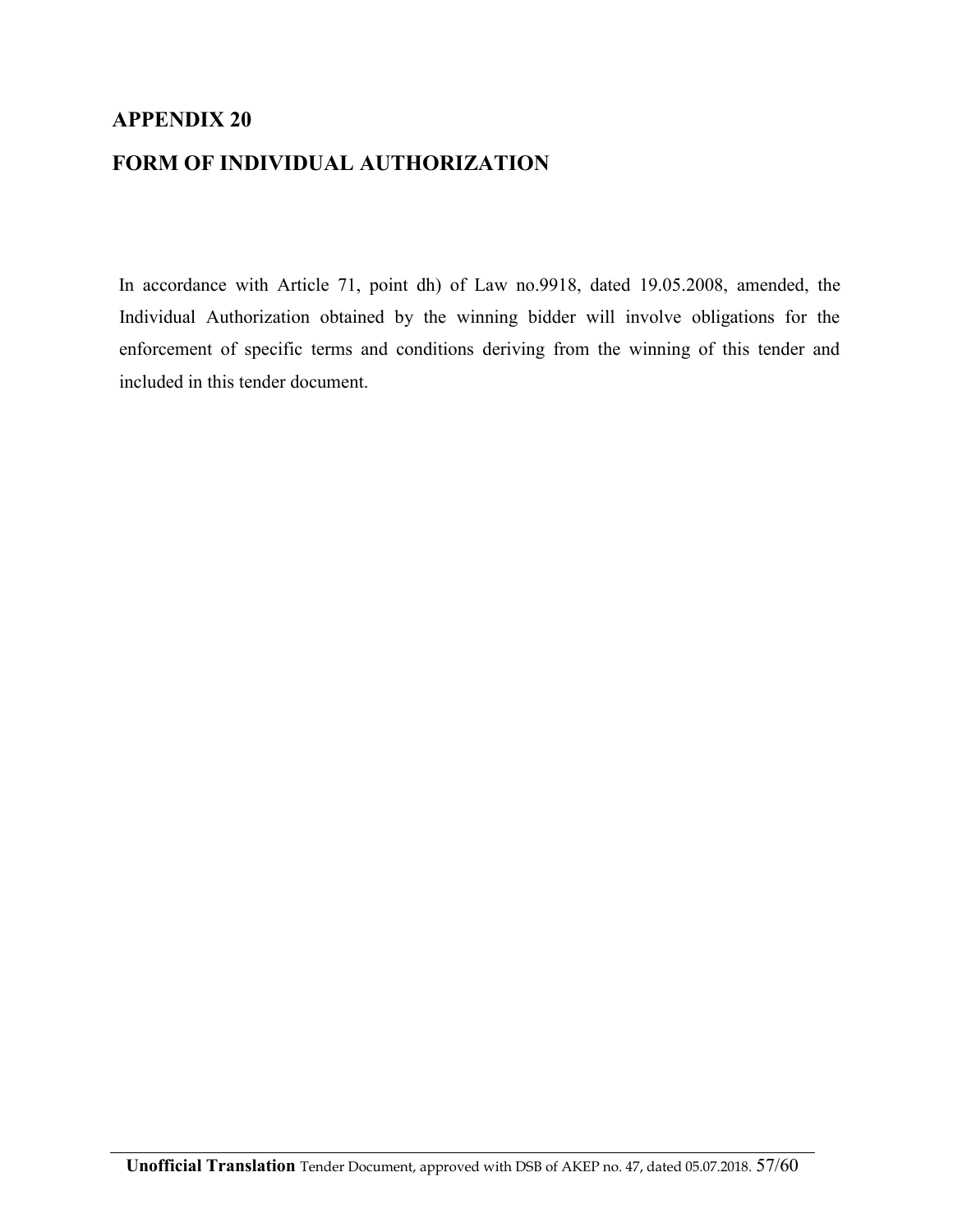#### **FORM OF INDIVIDUAL AUTHORIZATION**

In accordance with Article 71, point dh) of Law no.9918, dated 19.05.2008, amended, the Individual Authorization obtained by the winning bidder will involve obligations for the enforcement of specific terms and conditions deriving from the winning of this tender and included in this tender document.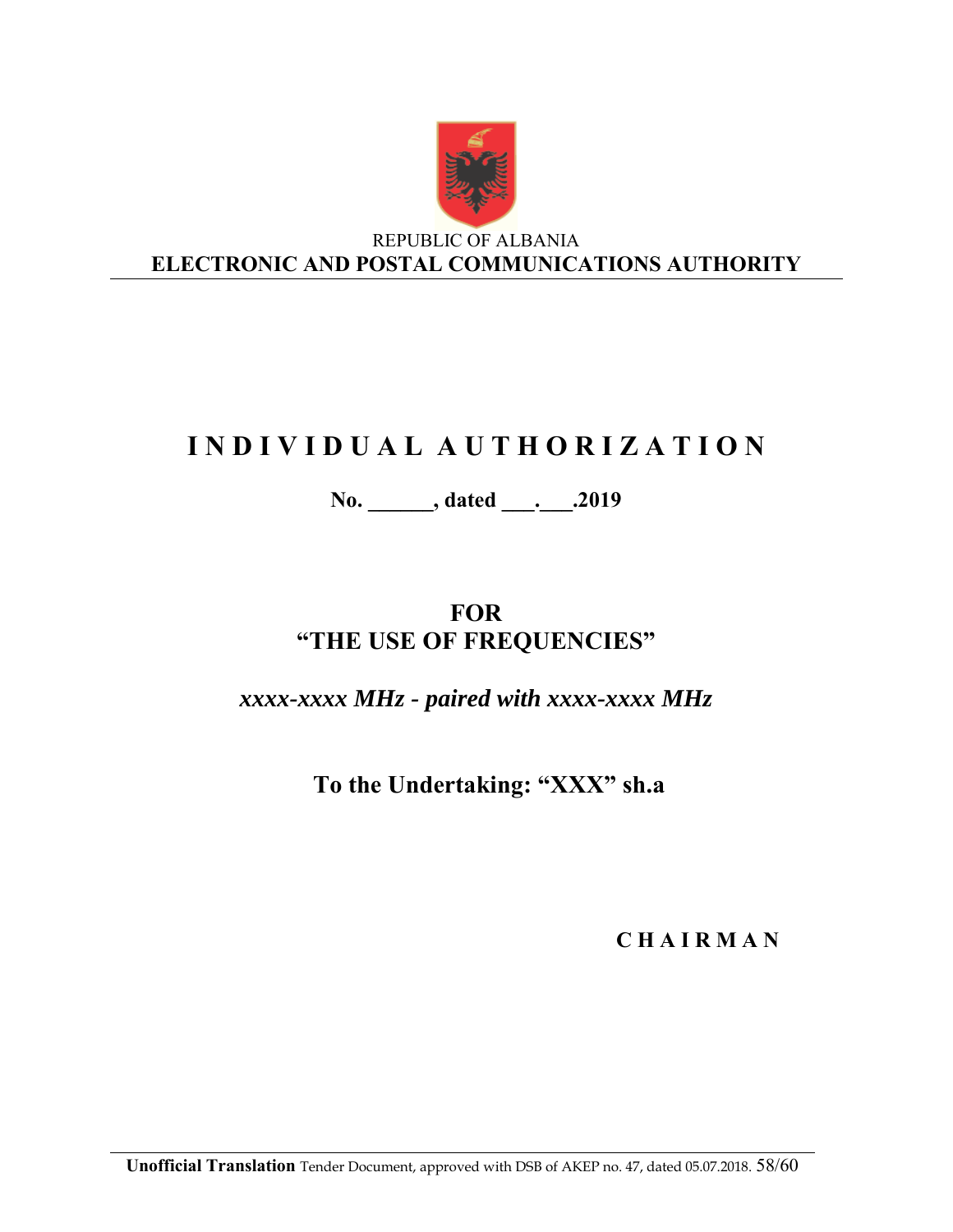

REPUBLIC OF ALBANIA **ELECTRONIC AND POSTAL COMMUNICATIONS AUTHORITY**

# **I N D I V I D U A L A U T H O R I Z A T I O N**

**No. \_\_\_\_\_\_, dated \_\_\_.\_\_\_.2019** 

# **FOR "THE USE OF FREQUENCIES"**

*xxxx-xxxx MHz - paired with xxxx-xxxx MHz*

**To the Undertaking: "XXX" sh.a** 

**C H A I R M A N**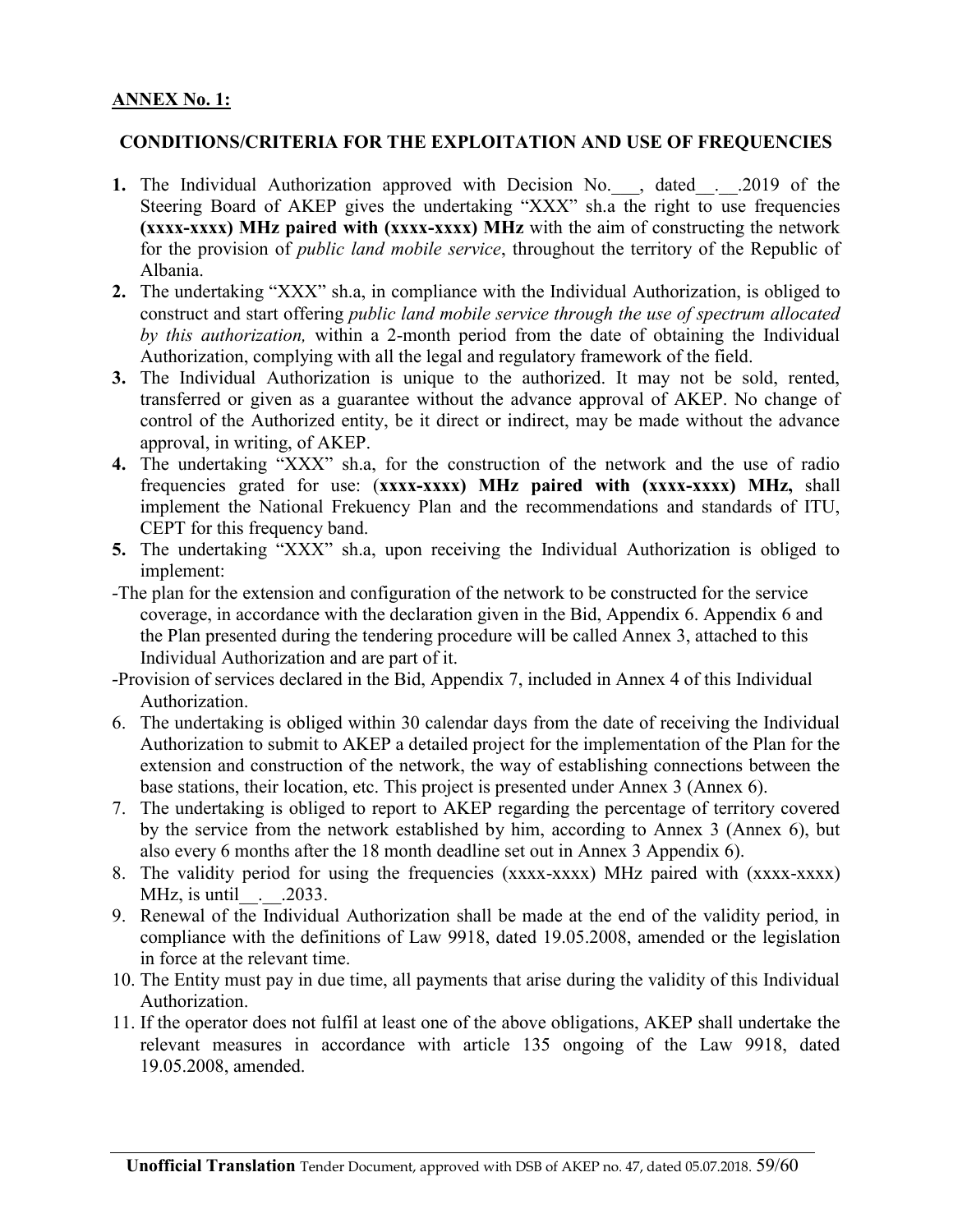#### **ANNEX No. 1:**

#### **CONDITIONS/CRITERIA FOR THE EXPLOITATION AND USE OF FREQUENCIES**

- **1.** The Individual Authorization approved with Decision No. , dated . .2019 of the Steering Board of AKEP gives the undertaking "XXX" sh.a the right to use frequencies **(xxxx-xxxx) MHz paired with (xxxx-xxxx) MHz** with the aim of constructing the network for the provision of *public land mobile service*, throughout the territory of the Republic of Albania.
- **2.** The undertaking "XXX" sh.a, in compliance with the Individual Authorization, is obliged to construct and start offering *public land mobile service through the use of spectrum allocated by this authorization,* within a 2-month period from the date of obtaining the Individual Authorization, complying with all the legal and regulatory framework of the field.
- **3.** The Individual Authorization is unique to the authorized. It may not be sold, rented, transferred or given as a guarantee without the advance approval of AKEP. No change of control of the Authorized entity, be it direct or indirect, may be made without the advance approval, in writing, of AKEP.
- **4.** The undertaking "XXX" sh.a, for the construction of the network and the use of radio frequencies grated for use: (**xxxx-xxxx) MHz paired with (xxxx-xxxx) MHz,** shall implement the National Frekuency Plan and the recommendations and standards of ITU, CEPT for this frequency band.
- **5.** The undertaking "XXX" sh.a, upon receiving the Individual Authorization is obliged to implement:
- -The plan for the extension and configuration of the network to be constructed for the service coverage, in accordance with the declaration given in the Bid, Appendix 6. Appendix 6 and the Plan presented during the tendering procedure will be called Annex 3, attached to this Individual Authorization and are part of it.
- -Provision of services declared in the Bid, Appendix 7, included in Annex 4 of this Individual Authorization.
- 6. The undertaking is obliged within 30 calendar days from the date of receiving the Individual Authorization to submit to AKEP a detailed project for the implementation of the Plan for the extension and construction of the network, the way of establishing connections between the base stations, their location, etc. This project is presented under Annex 3 (Annex 6).
- 7. The undertaking is obliged to report to AKEP regarding the percentage of territory covered by the service from the network established by him, according to Annex 3 (Annex 6), but also every 6 months after the 18 month deadline set out in Annex 3 Appendix 6).
- 8. The validity period for using the frequencies (xxxx-xxxx) MHz paired with (xxxx-xxxx) MHz, is until . . . 2033.
- 9. Renewal of the Individual Authorization shall be made at the end of the validity period, in compliance with the definitions of Law 9918, dated 19.05.2008, amended or the legislation in force at the relevant time.
- 10. The Entity must pay in due time, all payments that arise during the validity of this Individual Authorization.
- 11. If the operator does not fulfil at least one of the above obligations, AKEP shall undertake the relevant measures in accordance with article 135 ongoing of the Law 9918, dated 19.05.2008, amended.